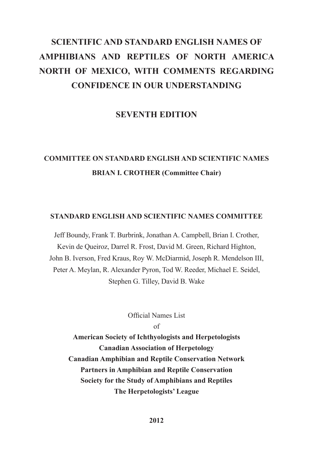# **SCIENTIFIC AND STANDARD ENGLISH NAMES OF AMPHIBIANS AND REPTILES OF NORTH AMERICA NORTH OF MEXICO, WITH COMMENTS REGARDING CONFIDENCE IN OUR UNDERSTANDING**

# **SEVENTH EDITION**

# **COMMITTEE ON STANDARD ENGLISH AND SCIENTIFIC NAMES BRIAN I. CROTHER (Committee Chair)**

#### **STANDARD ENGLISH AND SCIENTIFIC NAMES COMMITTEE**

Jeff Boundy, Frank T. Burbrink, Jonathan A. Campbell, Brian I. Crother, Kevin de Queiroz, Darrel R. Frost, David M. Green, Richard Highton, John B. Iverson, Fred Kraus, Roy W. McDiarmid, Joseph R. Mendelson III, Peter A. Meylan, R. Alexander Pyron, Tod W. Reeder, Michael E. Seidel, Stephen G. Tilley, David B. Wake

Official Names List

of

**American Society of Ichthyologists and Herpetologists Canadian Association of Herpetology Canadian Amphibian and Reptile Conservation Network Partners in Amphibian and Reptile Conservation Society for the Study of Amphibians and Reptiles The Herpetologists' League**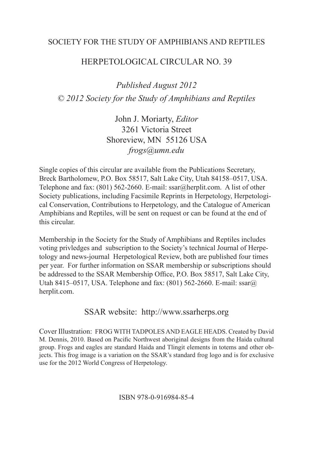# SOCIETY FOR THE STUDY OF AMPHIBIANS AND REPTILES

# HERPETOLOGICAL CIRCULAR NO. 39

*Published August 2012 © 2012 Society for the Study of Amphibians and Reptiles*

> John J. Moriarty, *Editor* 3261 Victoria Street Shoreview, MN 55126 USA *frogs@umn.edu*

Single copies of this circular are available from the Publications Secretary, Breck Bartholomew, P.O. Box 58517, Salt Lake City, Utah 84158–0517, USA. Telephone and fax: (801) 562-2660. E-mail: ssar@herplit.com. A list of other Society publications, including Facsimile Reprints in Herpetology, Herpetological Conservation, Contributions to Herpetology, and the Catalogue of American Amphibians and Reptiles, will be sent on request or can be found at the end of this circular.

Membership in the Society for the Study of Amphibians and Reptiles includes voting privledges and subscription to the Society's technical Journal of Herpetology and news-journal Herpetological Review, both are published four times per year. For further information on SSAR membership or subscriptions should be addressed to the SSAR Membership Office, P.O. Box 58517, Salt Lake City, Utah 8415–0517, USA. Telephone and fax: (801) 562-2660. E-mail: ssar@ herplit.com.

# SSAR website: http://www.ssarherps.org

Cover Illustration: FROG WITH TADPOLES AND EAGLE HEADS. Created by David M. Dennis, 2010. Based on Pacific Northwest aboriginal designs from the Haida cultural group. Frogs and eagles are standard Haida and Tlingit elements in totems and other objects. This frog image is a variation on the SSAR's standard frog logo and is for exclusive use for the 2012 World Congress of Herpetology.

#### ISBN 978-0-916984-85-4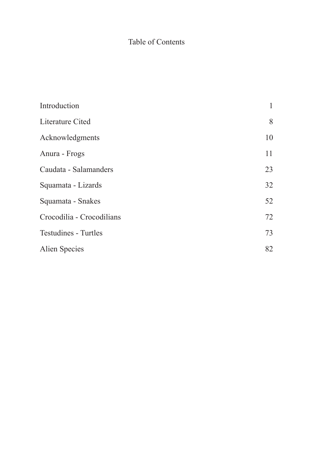# Table of Contents

| Introduction                | 1  |
|-----------------------------|----|
| Literature Cited            | 8  |
| Acknowledgments             | 10 |
| Anura - Frogs               | 11 |
| Caudata - Salamanders       | 23 |
| Squamata - Lizards          | 32 |
| Squamata - Snakes           | 52 |
| Crocodilia - Crocodilians   | 72 |
| <b>Testudines - Turtles</b> | 73 |
| Alien Species               | 82 |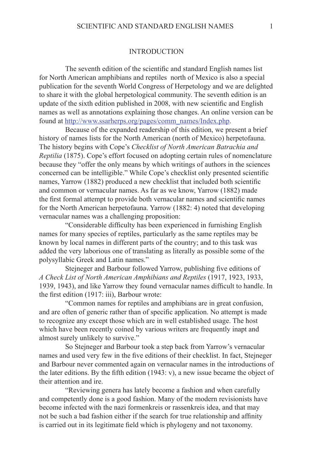#### INTRODUCTION

The seventh edition of the scientific and standard English names list for North American amphibians and reptiles north of Mexico is also a special publication for the seventh World Congress of Herpetology and we are delighted to share it with the global herpetological community. The seventh edition is an update of the sixth edition published in 2008, with new scientific and English names as well as annotations explaining those changes. An online version can be found at http://www.ssarherps.org/pages/comm\_names/Index.php.

Because of the expanded readership of this edition, we present a brief history of names lists for the North American (north of Mexico) herpetofauna. The history begins with Cope's *Checklist of North American Batrachia and Reptilia* (1875). Cope's effort focused on adopting certain rules of nomenclature because they "offer the only means by which writings of authors in the sciences concerned can be intelligible." While Cope's checklist only presented scientific names, Yarrow (1882) produced a new checklist that included both scientific and common or vernacular names. As far as we know, Yarrow (1882) made the first formal attempt to provide both vernacular names and scientific names for the North American herpetofauna. Yarrow (1882: 4) noted that developing vernacular names was a challenging proposition:

"Considerable difficulty has been experienced in furnishing English names for many species of reptiles, particularly as the same reptiles may be known by local names in different parts of the country; and to this task was added the very laborious one of translating as literally as possible some of the polysyllabic Greek and Latin names."

Stejneger and Barbour followed Yarrow, publishing five editions of *A Check List of North American Amphibians and Reptiles* (1917, 1923, 1933, 1939, 1943), and like Yarrow they found vernacular names difficult to handle. In the first edition (1917: iii), Barbour wrote:

"Common names for reptiles and amphibians are in great confusion, and are often of generic rather than of specific application. No attempt is made to recognize any except those which are in well established usage. The host which have been recently coined by various writers are frequently inapt and almost surely unlikely to survive."

So Stejneger and Barbour took a step back from Yarrow's vernacular names and used very few in the five editions of their checklist. In fact, Stejneger and Barbour never commented again on vernacular names in the introductions of the later editions. By the fifth edition (1943: v), a new issue became the object of their attention and ire.

"Reviewing genera has lately become a fashion and when carefully and competently done is a good fashion. Many of the modern revisionists have become infected with the nazi formenkreis or rassenkreis idea, and that may not be such a bad fashion either if the search for true relationship and affinity is carried out in its legitimate field which is phylogeny and not taxonomy.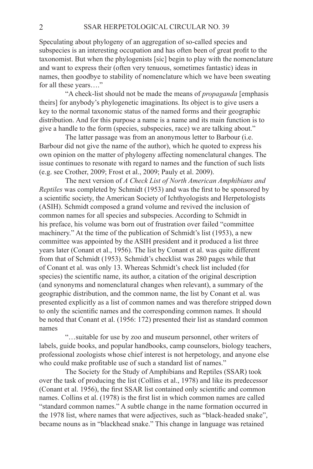Speculating about phylogeny of an aggregation of so-called species and subspecies is an interesting occupation and has often been of great profit to the taxonomist. But when the phylogenists [sic] begin to play with the nomenclature and want to express their (often very tenuous, sometimes fantastic) ideas in names, then goodbye to stability of nomenclature which we have been sweating for all these years…."

"A check-list should not be made the means of *propaganda* [emphasis theirs] for anybody's phylogenetic imaginations. Its object is to give users a key to the normal taxonomic status of the named forms and their geographic distribution. And for this purpose a name is a name and its main function is to give a handle to the form (species, subspecies, race) we are talking about."

The latter passage was from an anonymous letter to Barbour (i.e. Barbour did not give the name of the author), which he quoted to express his own opinion on the matter of phylogeny affecting nomenclatural changes. The issue continues to resonate with regard to names and the function of such lists (e.g. see Crother, 2009; Frost et al., 2009; Pauly et al. 2009).

The next version of *A Check List of North American Amphibians and Reptiles* was completed by Schmidt (1953) and was the first to be sponsored by a scientific society, the American Society of Ichthyologists and Herpetologists (ASIH). Schmidt composed a grand volume and revived the inclusion of common names for all species and subspecies. According to Schmidt in his preface, his volume was born out of frustration over failed "committee machinery." At the time of the publication of Schmidt's list (1953), a new committee was appointed by the ASIH president and it produced a list three years later (Conant et al., 1956). The list by Conant et al. was quite different from that of Schmidt (1953). Schmidt's checklist was 280 pages while that of Conant et al. was only 13. Whereas Schmidt's check list included (for species) the scientific name, its author, a citation of the original description (and synonyms and nomenclatural changes when relevant), a summary of the geographic distribution, and the common name, the list by Conant et al. was presented explicitly as a list of common names and was therefore stripped down to only the scientific names and the corresponding common names. It should be noted that Conant et al. (1956: 172) presented their list as standard common names

"…suitable for use by zoo and museum personnel, other writers of labels, guide books, and popular handbooks, camp counselors, biology teachers, professional zoologists whose chief interest is not herpetology, and anyone else who could make profitable use of such a standard list of names."

The Society for the Study of Amphibians and Reptiles (SSAR) took over the task of producing the list (Collins et al., 1978) and like its predecessor (Conant et al. 1956), the first SSAR list contained only scientific and common names. Collins et al. (1978) is the first list in which common names are called "standard common names." A subtle change in the name formation occurred in the 1978 list, where names that were adjectives, such as "black-headed snake", became nouns as in "blackhead snake." This change in language was retained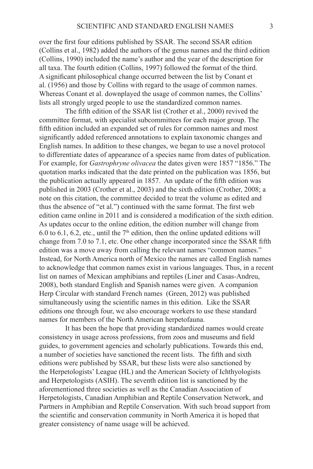over the first four editions published by SSAR. The second SSAR edition (Collins et al., 1982) added the authors of the genus names and the third edition (Collins, 1990) included the name's author and the year of the description for all taxa. The fourth edition (Collins, 1997) followed the format of the third. A significant philosophical change occurred between the list by Conant et al. (1956) and those by Collins with regard to the usage of common names. Whereas Conant et al. downplayed the usage of common names, the Collins' lists all strongly urged people to use the standardized common names.

The fifth edition of the SSAR list (Crother et al., 2000) revived the committee format, with specialist subcommittees for each major group. The fifth edition included an expanded set of rules for common names and most significantly added referenced annotations to explain taxonomic changes and English names. In addition to these changes, we began to use a novel protocol to differentiate dates of appearance of a species name from dates of publication. For example, for *Gastrophryne olivacea* the dates given were 1857 "1856." The quotation marks indicated that the date printed on the publication was 1856, but the publication actually appeared in 1857. An update of the fifth edition was published in 2003 (Crother et al., 2003) and the sixth edition (Crother, 2008; a note on this citation, the committee decided to treat the volume as edited and thus the absence of "et al.") continued with the same format. The first web edition came online in 2011 and is considered a modification of the sixth edition. As updates occur to the online edition, the edition number will change from 6.0 to 6.1, 6.2, etc., until the  $7<sup>th</sup>$  edition, then the online updated editions will change from 7.0 to 7.1, etc. One other change incorporated since the SSAR fifth edition was a move away from calling the relevant names "common names." Instead, for North America north of Mexico the names are called English names to acknowledge that common names exist in various languages. Thus, in a recent list on names of Mexican amphibians and reptiles (Liner and Casas-Andreu, 2008), both standard English and Spanish names were given. A companion Herp Circular with standard French names (Green, 2012) was published simultaneously using the scientific names in this edition. Like the SSAR editions one through four, we also encourage workers to use these standard names for members of the North American herpetofauna.

It has been the hope that providing standardized names would create consistency in usage across professions, from zoos and museums and field guides, to government agencies and scholarly publications. Towards this end, a number of societies have sanctioned the recent lists. The fifth and sixth editions were published by SSAR, but these lists were also sanctioned by the Herpetologists' League (HL) and the American Society of Ichthyologists and Herpetologists (ASIH). The seventh edition list is sanctioned by the aforementioned three societies as well as the Canadian Association of Herpetologists, Canadian Amphibian and Reptile Conservation Network, and Partners in Amphibian and Reptile Conservation. With such broad support from the scientific and conservation community in North America it is hoped that greater consistency of name usage will be achieved.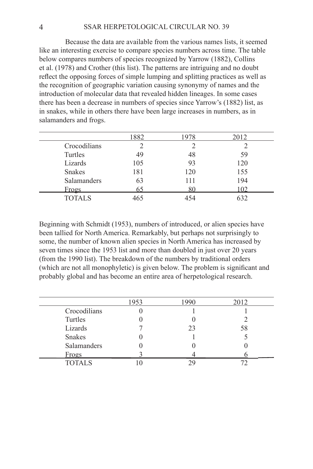Because the data are available from the various names lists, it seemed like an interesting exercise to compare species numbers across time. The table below compares numbers of species recognized by Yarrow (1882), Collins et al. (1978) and Crother (this list). The patterns are intriguing and no doubt reflect the opposing forces of simple lumping and splitting practices as well as the recognition of geographic variation causing synonymy of names and the introduction of molecular data that revealed hidden lineages. In some cases there has been a decrease in numbers of species since Yarrow's (1882) list, as in snakes, while in others there have been large increases in numbers, as in salamanders and frogs.

|               | 1882 | 978 | 2012 |
|---------------|------|-----|------|
| Crocodilians  |      |     |      |
| Turtles       | 49   | 48  | 59   |
| Lizards       | 105  | 93  | 120  |
| <b>Snakes</b> | 181  | 120 | 155  |
| Salamanders   | 63   | 111 | 194  |
| <u>Frogs</u>  | 65   | 80  | 102  |
| <b>TOTALS</b> | 465  | 154 | 632  |

Beginning with Schmidt (1953), numbers of introduced, or alien species have been tallied for North America. Remarkably, but perhaps not surprisingly to some, the number of known alien species in North America has increased by seven times since the 1953 list and more than doubled in just over 20 years (from the 1990 list). The breakdown of the numbers by traditional orders (which are not all monophyletic) is given below. The problem is significant and probably global and has become an entire area of herpetological research.

|               | 1953 | 1990 | 2012 |
|---------------|------|------|------|
| Crocodilians  |      |      |      |
| Turtles       |      |      |      |
| Lizards       |      | 23   | 58   |
| <b>Snakes</b> |      |      |      |
| Salamanders   |      |      |      |
| Frogs         |      |      |      |
| <b>TOTALS</b> |      |      |      |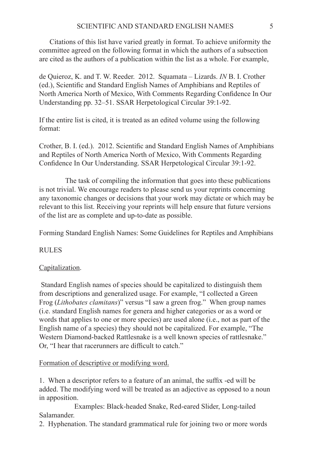Citations of this list have varied greatly in format. To achieve uniformity the committee agreed on the following format in which the authors of a subsection are cited as the authors of a publication within the list as a whole. For example,

de Quieroz, K. and T. W. Reeder. 2012. Squamata – Lizards. *IN* B. I. Crother (ed.), Scientific and Standard English Names of Amphibians and Reptiles of North America North of Mexico, With Comments Regarding Confidence In Our Understanding pp. 32–51. SSAR Herpetological Circular 39:1-92.

If the entire list is cited, it is treated as an edited volume using the following format:

Crother, B. I. (ed.). 2012. Scientific and Standard English Names of Amphibians and Reptiles of North America North of Mexico, With Comments Regarding Confidence In Our Understanding. SSAR Herpetological Circular 39:1-92.

The task of compiling the information that goes into these publications is not trivial. We encourage readers to please send us your reprints concerning any taxonomic changes or decisions that your work may dictate or which may be relevant to this list. Receiving your reprints will help ensure that future versions of the list are as complete and up-to-date as possible.

Forming Standard English Names: Some Guidelines for Reptiles and Amphibians

# RULES

# Capitalization.

 Standard English names of species should be capitalized to distinguish them from descriptions and generalized usage. For example, "I collected a Green Frog (*Lithobates clamitans*)" versus "I saw a green frog." When group names (i.e. standard English names for genera and higher categories or as a word or words that applies to one or more species) are used alone (i.e., not as part of the English name of a species) they should not be capitalized. For example, "The Western Diamond-backed Rattlesnake is a well known species of rattlesnake." Or, "I hear that racerunners are difficult to catch."

# Formation of descriptive or modifying word.

1. When a descriptor refers to a feature of an animal, the suffix -ed will be added. The modifying word will be treated as an adjective as opposed to a noun in apposition.

 Examples: Black-headed Snake, Red-eared Slider, Long-tailed Salamander.

2. Hyphenation. The standard grammatical rule for joining two or more words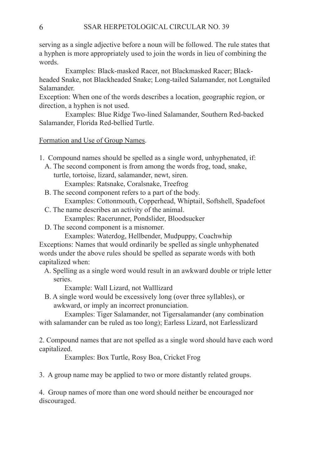serving as a single adjective before a noun will be followed. The rule states that a hyphen is more appropriately used to join the words in lieu of combining the words.

 Examples: Black-masked Racer, not Blackmasked Racer; Blackheaded Snake, not Blackheaded Snake; Long-tailed Salamander, not Longtailed Salamander.

Exception: When one of the words describes a location, geographic region, or direction, a hyphen is not used.

 Examples: Blue Ridge Two-lined Salamander, Southern Red-backed Salamander, Florida Red-bellied Turtle.

Formation and Use of Group Names.

1. Compound names should be spelled as a single word, unhyphenated, if:

- A. The second component is from among the words frog, toad, snake, turtle, tortoise, lizard, salamander, newt, siren.
	- Examples: Ratsnake, Coralsnake, Treefrog
	-
- B. The second component refers to a part of the body.

Examples: Cottonmouth, Copperhead, Whiptail, Softshell, Spadefoot

C. The name describes an activity of the animal.

Examples: Racerunner, Pondslider, Bloodsucker

D. The second component is a misnomer.

Examples: Waterdog, Hellbender, Mudpuppy, Coachwhip

Exceptions: Names that would ordinarily be spelled as single unhyphenated words under the above rules should be spelled as separate words with both capitalized when:

 A. Spelling as a single word would result in an awkward double or triple letter series.

Example: Wall Lizard, not Walllizard

 B. A single word would be excessively long (over three syllables), or awkward, or imply an incorrect pronunciation.

 Examples: Tiger Salamander, not Tigersalamander (any combination with salamander can be ruled as too long); Earless Lizard, not Earlesslizard

2. Compound names that are not spelled as a single word should have each word capitalized.

Examples: Box Turtle, Rosy Boa, Cricket Frog

3. A group name may be applied to two or more distantly related groups.

4. Group names of more than one word should neither be encouraged nor discouraged.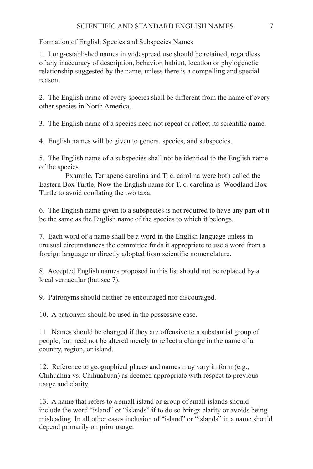# Formation of English Species and Subspecies Names

1. Long-established names in widespread use should be retained, regardless of any inaccuracy of description, behavior, habitat, location or phylogenetic relationship suggested by the name, unless there is a compelling and special reason.

2. The English name of every species shall be different from the name of every other species in North America.

3. The English name of a species need not repeat or reflect its scientific name.

4. English names will be given to genera, species, and subspecies.

5. The English name of a subspecies shall not be identical to the English name of the species.

 Example, Terrapene carolina and T. c. carolina were both called the Eastern Box Turtle. Now the English name for T. c. carolina is Woodland Box Turtle to avoid conflating the two taxa.

6. The English name given to a subspecies is not required to have any part of it be the same as the English name of the species to which it belongs.

7. Each word of a name shall be a word in the English language unless in unusual circumstances the committee finds it appropriate to use a word from a foreign language or directly adopted from scientific nomenclature.

8. Accepted English names proposed in this list should not be replaced by a local vernacular (but see 7).

9. Patronyms should neither be encouraged nor discouraged.

10. A patronym should be used in the possessive case.

11. Names should be changed if they are offensive to a substantial group of people, but need not be altered merely to reflect a change in the name of a country, region, or island.

12. Reference to geographical places and names may vary in form (e.g., Chihuahua vs. Chihuahuan) as deemed appropriate with respect to previous usage and clarity.

13. A name that refers to a small island or group of small islands should include the word "island" or "islands" if to do so brings clarity or avoids being misleading. In all other cases inclusion of "island" or "islands" in a name should depend primarily on prior usage.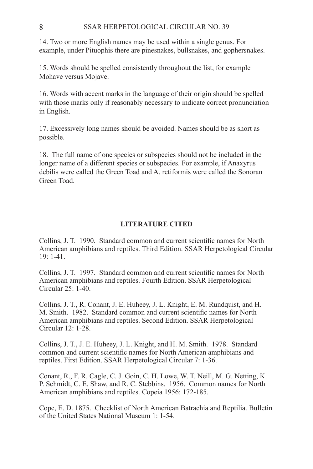#### 8 SSAR HERPETOLOGICAL CIRCULAR NO. 39

 14. Two or more English names may be used within a single genus. For example, under Pituophis there are pinesnakes, bullsnakes, and gophersnakes.

15. Words should be spelled consistently throughout the list, for example Mohave versus Mojave.

16. Words with accent marks in the language of their origin should be spelled with those marks only if reasonably necessary to indicate correct pronunciation in English.

17. Excessively long names should be avoided. Names should be as short as possible.

18. The full name of one species or subspecies should not be included in the longer name of a different species or subspecies. For example, if Anaxyrus debilis were called the Green Toad and A. retiformis were called the Sonoran Green Toad.

# **LITERATURE CITED**

Collins, J. T. 1990. Standard common and current scientific names for North American amphibians and reptiles. Third Edition. SSAR Herpetological Circular 19: 1-41.

Collins, J. T. 1997. Standard common and current scientific names for North American amphibians and reptiles. Fourth Edition. SSAR Herpetological Circular 25: 1-40.

Collins, J. T., R. Conant, J. E. Huheey, J. L. Knight, E. M. Rundquist, and H. M. Smith. 1982. Standard common and current scientific names for North American amphibians and reptiles. Second Edition. SSAR Herpetological Circular 12: 1-28.

Collins, J. T., J. E. Huheey, J. L. Knight, and H. M. Smith. 1978. Standard common and current scientific names for North American amphibians and reptiles. First Edition. SSAR Herpetological Circular 7: 1-36.

Conant, R., F. R. Cagle, C. J. Goin, C. H. Lowe, W. T. Neill, M. G. Netting, K. P. Schmidt, C. E. Shaw, and R. C. Stebbins. 1956. Common names for North American amphibians and reptiles. Copeia 1956: 172-185.

Cope, E. D. 1875. Checklist of North American Batrachia and Reptilia. Bulletin of the United States National Museum 1: 1-54.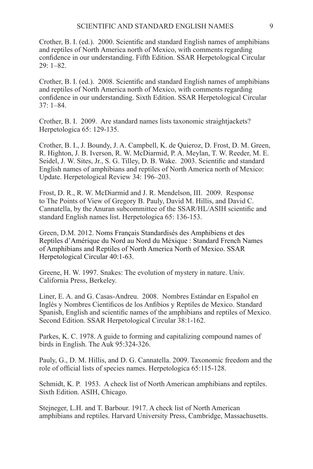Crother, B. I. (ed.). 2000. Scientific and standard English names of amphibians and reptiles of North America north of Mexico, with comments regarding confidence in our understanding. Fifth Edition. SSAR Herpetological Circular 29: 1–82.

Crother, B. I. (ed.). 2008. Scientific and standard English names of amphibians and reptiles of North America north of Mexico, with comments regarding confidence in our understanding. Sixth Edition. SSAR Herpetological Circular 37: 1–84.

Crother, B. I. 2009. Are standard names lists taxonomic straightjackets? Herpetologica 65: 129-135.

Crother, B. I., J. Boundy, J. A. Campbell, K. de Quieroz, D. Frost, D. M. Green, R. Highton, J. B. Iverson, R. W. McDiarmid, P. A. Meylan, T. W. Reeder, M. E. Seidel, J. W. Sites, Jr., S. G. Tilley, D. B. Wake. 2003. Scientific and standard English names of amphibians and reptiles of North America north of Mexico: Update. Herpetological Review 34: 196–203.

Frost, D. R., R. W. McDiarmid and J. R. Mendelson, III. 2009. Response to The Points of View of Gregory B. Pauly, David M. Hillis, and David C. Cannatella, by the Anuran subcommittee of the SSAR/HL/ASIH scientific and standard English names list. Herpetologica 65: 136-153.

Green, D.M. 2012. Noms Français Standardisés des Amphibiens et des Reptiles d'Amérique du Nord au Nord du Méxique : Standard French Names of Amphibians and Reptiles of North America North of Mexico. SSAR Herpetological Circular 40:1-63.

Greene, H. W. 1997. Snakes: The evolution of mystery in nature. Univ. California Press, Berkeley.

Liner, E. A. and G. Casas-Andreu. 2008. Nombres Estándar en Español en Inglés y Nombres Científicos de los Anfibios y Reptiles de Mexico. Standard Spanish, English and scientific names of the amphibians and reptiles of Mexico. Second Edition. SSAR Herpetological Circular 38:1-162.

Parkes, K. C. 1978. A guide to forming and capitalizing compound names of birds in English. The Auk 95:324-326.

Pauly, G., D. M. Hillis, and D. G. Cannatella. 2009. Taxonomic freedom and the role of official lists of species names. Herpetologica 65:115-128.

Schmidt, K. P. 1953. A check list of North American amphibians and reptiles. Sixth Edition. ASIH, Chicago.

Stejneger, L.H. and T. Barbour. 1917. A check list of North American amphibians and reptiles. Harvard University Press, Cambridge, Massachusetts.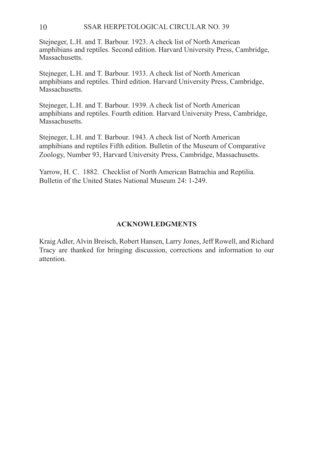#### 10 SSAR HERPETOLOGICAL CIRCULAR NO. 39

 Stejneger, L.H. and T. Barbour. 1923. A check list of North American amphibians and reptiles. Second edition. Harvard University Press, Cambridge, Massachusetts.

Stejneger, L.H. and T. Barbour. 1933. A check list of North American amphibians and reptiles. Third edition. Harvard University Press, Cambridge, Massachusetts.

Stejneger, L.H. and T. Barbour. 1939. A check list of North American amphibians and reptiles. Fourth edition. Harvard University Press, Cambridge, Massachusetts.

Stejneger, L.H. and T. Barbour. 1943. A check list of North American amphibians and reptiles Fifth edition. Bulletin of the Museum of Comparative Zoology, Number 93, Harvard University Press, Cambridge, Massachusetts.

Yarrow, H. C. 1882. Checklist of North American Batrachia and Reptilia. Bulletin of the United States National Museum 24: 1-249.

#### **ACKNOWLEDGMENTS**

Kraig Adler, Alvin Breisch, Robert Hansen, Larry Jones, Jeff Rowell, and Richard Tracy are thanked for bringing discussion, corrections and information to our attention.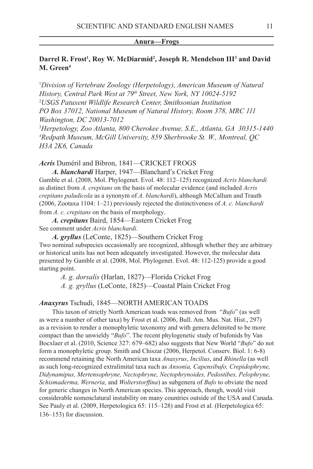#### **Anura—Frogs**

## Darrel R. Frost<sup>1</sup>, Roy W. McDiarmid<sup>2</sup>, Joseph R. Mendelson III<sup>3</sup> and David **M. Green4**

<sup>1</sup>Division of Vertebrate Zoology (Herpetology), American Museum of Natural *History, Central Park West at 79th Street, New York, NY 10024-5192* 2 *USGS Patuxent Wildlife Research Center, Smithsonian Institution PO Box 37012, National Museum of Natural History, Room 378, MRC 111 Washington, DC 20013-7012*

3 *Herpetology, Zoo Atlanta, 800 Cherokee Avenue, S.E., Atlanta, GA 30315-1440 4 Redpath Museum, McGill University, 859 Sherbrooke St. W., Montreal, QC H3A 2K6, Canada*

Acris Duméril and Bibron, 1841—CRICKET FROGS

*A. blanchardi* Harper, 1947—Blanchard's Cricket Frog Gamble et al. (2008, Mol. Phylogenet. Evol. 48: 112–125) recognized *Acris blanchardi* as distinct from *A. crepitans* on the basis of molecular evidence (and included *Acris crepitans paludicola* as a synonym of *A. blanchardi*), although McCallum and Trauth (2006, Zootaxa 1104: 1–21) previously rejected the distinctiveness of *A. c. blanchardi*  from *A. c. crepitans* on the basis of morphology.

*A. crepitans* Baird, 1854—Eastern Cricket Frog See comment under *Acris blanchardi.*

*A. gryllus* (LeConte, 1825)—Southern Cricket Frog Two nominal subspecies occasionally are recognized, although whether they are arbitrary or historical units has not been adequately investigated. However, the molecular data presented by Gamble et al. (2008, Mol. Phylogenet. Evol. 48: 112-125) provide a good starting point.

 *A. g. dorsalis* (Harlan, 1827)—Florida Cricket Frog

 *A. g. gryllus* (LeConte, 1825)—Coastal Plain Cricket Frog

# Anaxyrus Tschudi, 1845-NORTH AMERICAN TOADS

This taxon of strictly North American toads was removed from "*Bufo*" (as well as were a number of other taxa) by Frost et al. (2006, Bull. Am. Mus. Nat. Hist., 297) as a revision to render a monophyletic taxonomy and with genera delimited to be more compact than the unwieldy "*Bufo*". The recent phylogenetic study of bufonids by Van Bocxlaer et al. (2010, Science 327: 679–682) also suggests that New World "*Bufo*" do not form a monophyletic group. Smith and Chiszar (2006, Herpetol. Conserv. Biol. 1: 6-8) recommend retaining the North American taxa *Anaxyrus*, *Incilius*, and *Rhinella* (as well as such long-recognized extralimital taxa such as *Ansonia, Capensibufo, Crepidophryne, Didynamipus, Mertensophryne, Nectophryne, Nectophrynoides, Pedostibes, Pelophryne, Schismaderma, Werneria,* and *Wolterstorffina*) as subgenera of *Bufo* to obviate the need for generic changes in North American species. This approach, though, would visit considerable nomenclatural instability on many countries outside of the USA and Canada. See Pauly et al. (2009, Herpetologica 65: 115–128) and Frost et al. (Herpetologica 65: 136–153) for discussion.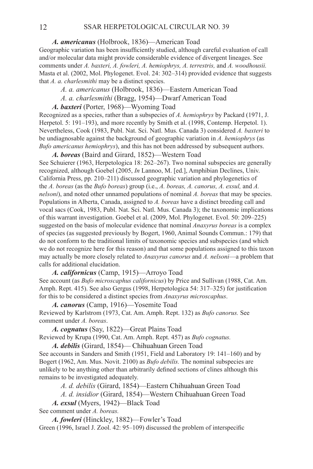*A. americanus* (Holbrook, 1836)—American Toad

Geographic variation has been insufficiently studied, although careful evaluation of call and/or molecular data might provide considerable evidence of divergent lineages. See comments under *A. baxteri, A. fowleri, A. hemiophrys, A. terrestris,* and *A. woodhousii.*  Masta et al. (2002, Mol. Phylogenet. Evol. 24: 302–314) provided evidence that suggests that *A. a. charlesmithi* may be a distinct species.

 *A. a. americanus* (Holbrook, 1836)—Eastern American Toad

 *A. a. charlesmithi* (Bragg, 1954)—Dwarf American Toad

*A. baxteri* (Porter, 1968)—Wyoming Toad

Recognized as a species, rather than a subspecies of *A. hemiophrys* by Packard (1971, J. Herpetol. 5: 191–193), and more recently by Smith et al. (1998, Contemp. Herpetol. 1). Nevertheless, Cook (1983, Publ. Nat. Sci. Natl. Mus. Canada 3) considered *A. baxteri* to be undiagnosable against the background of geographic variation in *A. hemiophrys* (as *Bufo americanus hemiophrys*), and this has not been addressed by subsequent authors.

*A. boreas* (Baird and Girard, 1852)—Western Toad See Schuierer (1963, Herpetologica 18: 262–267). Two nominal subspecies are generally recognized, although Goebel (2005, *In* Lannoo, M. [ed.], Amphibian Declines, Univ. California Press, pp. 210–211) discussed geographic variation and phylogenetics of the *A. boreas* (as the *Bufo boreas*) group (i.e., *A. boreas, A. canorus, A. exsul,* and *A. nelsoni*), and noted other unnamed populations of nominal *A. boreas* that may be species. Populations in Alberta, Canada, assigned to *A. boreas* have a distinct breeding call and vocal sacs (Cook, 1983, Publ. Nat. Sci. Natl. Mus. Canada 3); the taxonomic implications of this warrant investigation. Goebel et al. (2009, Mol. Phylogenet. Evol. 50: 209–225) suggested on the basis of molecular evidence that nominal *Anaxyrus boreas* is a complex of species (as suggested previously by Bogert, 1960, Animal Sounds Commun.: 179) that do not conform to the traditional limits of taxonomic species and subspecies (and which we do not recognize here for this reason) and that some populations assigned to this taxon may actually be more closely related to *Anaxyrus canorus* and *A. nelsoni*—a problem that calls for additional elucidation.

*A. californicus* (Camp, 1915)—Arroyo Toad See account (as *Bufo microscaphus californicus*) by Price and Sullivan (1988, Cat. Am. Amph. Rept. 415). See also Gergus (1998, Herpetologica 54: 317–325) for justification for this to be considered a distinct species from *Anaxyrus microscaphus*.

*A. canorus* (Camp, 1916)—Yosemite Toad Reviewed by Karlstrom (1973, Cat. Am. Amph. Rept. 132) as *Bufo canorus.* See comment under *A. boreas*.

*A. cognatus* (Say, 1822)—Great Plains Toad Reviewed by Krupa (1990, Cat. Am. Amph. Rept. 457) as *Bufo cognatus.*

*A. debilis* (Girard, 1854)— Chihuahuan Green Toad See accounts in Sanders and Smith (1951, Field and Laboratory 19: 141–160) and by Bogert (1962, Am. Mus. Novit. 2100) as *Bufo debilis.* The nominal subspecies are unlikely to be anything other than arbitrarily defined sections of clines although this remains to be investigated adequately.

 *A. d. debilis* (Girard, 1854)—Eastern Chihuahuan Green Toad

 *A. d. insidior* (Girard, 1854)—Western Chihuahuan Green Toad

*A. exsul* (Myers, 1942)—Black Toad See comment under *A. boreas.*

*A. fowleri* (Hinckley, 1882)—Fowler's Toad Green (1996, Israel J. Zool. 42: 95–109) discussed the problem of interspecific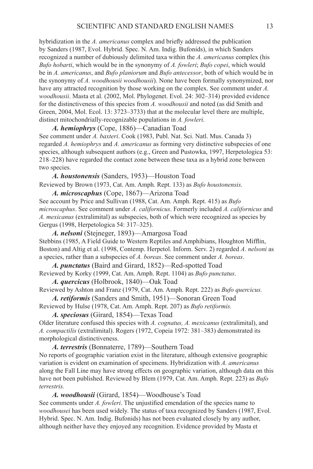hybridization in the *A. americanus* complex and briefly addressed the publication by Sanders (1987, Evol. Hybrid. Spec. N. Am. Indig. Bufonids), in which Sanders recognized a number of dubiously delimited taxa within the *A. americanus* complex (his *Bufo hobarti*, which would be in the synonymy of *A. fowleri*; *Bufo copei*, which would be in *A. americanus*, and *Bufo planiorum* and *Bufo antecessor*, both of which would be in the synonymy of *A. woodhousii woodhousii*). None have been formally synonymized, nor have any attracted recognition by those working on the complex. See comment under *A. woodhousii*. Masta et al. (2002, Mol. Phylogenet. Evol. 24: 302–314) provided evidence for the distinctiveness of this species from *A. woodhousii* and noted (as did Smith and Green, 2004, Mol. Ecol. 13: 3723–3733) that at the molecular level there are multiple, distinct mitochondrially-recognizable populations in *A. fowleri.*

*A. hemiophrys* (Cope, 1886)—Canadian Toad See comment under *A. baxteri*. Cook (1983, Publ. Nat. Sci. Natl. Mus. Canada 3) regarded *A. hemiophrys* and *A. americanus* as forming very distinctive subspecies of one species, although subsequent authors (e.g., Green and Pustowka, 1997, Herpetologica 53: 218–228) have regarded the contact zone between these taxa as a hybrid zone between two species.

*A. houstonensis* (Sanders, 1953)—Houston Toad Reviewed by Brown (1973, Cat. Am. Amph. Rept. 133) as *Bufo houstonensis.*

*A. microscaphus* (Cope, 1867)—Arizona Toad See account by Price and Sullivan (1988, Cat. Am. Amph. Rept. 415) as *Bufo microscaphus*. See comment under *A. californicus*. Formerly included *A. californicus* and *A. mexicanus* (extralimital) as subspecies, both of which were recognized as species by Gergus (1998, Herpetologica 54: 317–325).

*A. nelsoni* (Stejneger, 1893)—Amargosa Toad Stebbins (1985, A Field Guide to Western Reptiles and Amphibians, Houghton Mifflin, Boston) and Altig et al. (1998, Contemp. Herpetol. Inform. Serv. 2) regarded *A. nelsoni* as a species, rather than a subspecies of *A. boreas*. See comment under *A. boreas*.

*A. punctatus* (Baird and Girard, 1852)—Red-spotted Toad Reviewed by Korky (1999, Cat. Am. Amph. Rept. 1104) as *Bufo punctatus*.

*A. quercicus* (Holbrook, 1840)—Oak Toad

Reviewed by Ashton and Franz (1979, Cat. Am. Amph. Rept. 222) as *Bufo quercicus. A. retiformis* (Sanders and Smith, 1951)—Sonoran Green Toad Reviewed by Hulse (1978, Cat. Am. Amph. Rept. 207) as *Bufo retiformis.*

*A. speciosus* (Girard, 1854)—Texas Toad

Older literature confused this species with *A. cognatus, A. mexicanus* (extralimital), and *A. compactilis* (extralimital). Rogers (1972, Copeia 1972: 381–383) demonstrated its morphological distinctiveness.

*A. terrestris* (Bonnaterre, 1789)—Southern Toad No reports of geographic variation exist in the literature, although extensive geographic

variation is evident on examination of specimens. Hybridization with *A. americanus*  along the Fall Line may have strong effects on geographic variation, although data on this have not been published. Reviewed by Blem (1979, Cat. Am. Amph. Rept. 223) as *Bufo terrestris.*

*A. woodhousii* (Girard, 1854)—Woodhouse's Toad See comments under *A. fowleri*. The unjustified emendation of the species name to *woodhousei* has been used widely. The status of taxa recognized by Sanders (1987, Evol. Hybrid. Spec. N. Am. Indig. Bufonids) has not been evaluated closely by any author, although neither have they enjoyed any recognition. Evidence provided by Masta et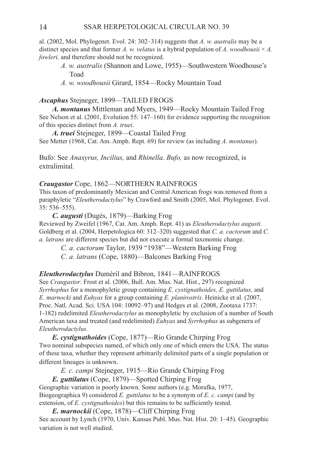al. (2002, Mol. Phylogenet. Evol. 24: 302–314) suggests that *A. w. australis* may be a distinct species and that former *A. w. velatus* is a hybrid population of *A. woodhousii*  $\times$  *A. fowleri,* and therefore should not be recognized.

- *A. w. australis* (Shannon and Lowe, 1955)—Southwestern Woodhouse's Toad
- *A. w. woodhousii* Girard, 1854—Rocky Mountain Toad

#### *Ascaphus* Stejneger, 1899—TAILED FROGS

*A. montanus* Mittleman and Myers, 1949—Rocky Mountain Tailed Frog See Nelson et al. (2001, Evolution 55: 147–160) for evidence supporting the recognition of this species distinct from *A. truei*.

*A. truei* Stejneger, 1899—Coastal Tailed Frog See Metter (1968, Cat. Am. Amph. Rept. 69) for review (as including *A. montanus*).

Bufo: See *Anaxyrus, Incilius,* and *Rhinella*. *Bufo,* as now recognized, is extralimital.

#### *Craugastor* Cope, 1862—NORTHERN RAINFROGS

This taxon of predominantly Mexican and Central American frogs was removed from a paraphyletic "*Eleutherodactylus*" by Crawford and Smith (2005, Mol. Phylogenet. Evol. 35: 536–555).

*C. augusti* (Dugès, 1879)—Barking Frog Reviewed by Zweifel (1967, Cat. Am. Amph. Rept. 41) as *Eleutherodactylus augusti.*  Goldberg et al. (2004, Herpetologica 60: 312–320) suggested that *C. a. cactorum* and *C. a. latrans* are different species but did not execute a formal taxonomic change.

 *C. a. cactorum* Taylor, 1939 "1938"—Western Barking Frog

 *C. a. latrans* (Cope, 1880)—Balcones Barking Frog

#### *Eleutherodactylus* Duméril and Bibron, 1841—Rainfrogs

See *Craugastor*. Frost et al. (2006, Bull. Am. Mus. Nat. Hist., 297) recognized *Syrrhophus* for a monophyletic group containing *E. cystignathoides, E. guttilatus,* and *E. marnocki* and *Euhyas* for a group containing *E. planirostris.* Heinicke et al. (2007, Proc. Natl. Acad. Sci. USA 104: 10092–97) and Hedges et al. (2008, Zootaxa 1737: 1-182) redelimited *Eleutherodactylus* as monophyletic by exclusion of a number of South American taxa and treated (and redelimited) *Euhyas* and *Syrrhophus* as subgenera of *Eleutherodactylus.*

*E. cystignathoides* (Cope, 1877)—Rio Grande Chirping Frog Two nominal subspecies named, of which only one of which enters the USA. The status of these taxa, whether they represent arbitrarily delimited parts of a single population or different lineages is unknown.

 *E. c. campi* Stejneger, 1915—Rio Grande Chirping Frog

*E. guttilatus* (Cope, 1879)—Spotted Chirping Frog Geographic variation is poorly known. Some authors (e.g. Morafka, 1977, Biogeographica 9) considered *E. guttilatus* to be a synonym of *E. c. campi* (and by extension, of *E. cystignathoides*) but this remains to be sufficiently tested.

*E. marnockii* (Cope, 1878)—Cliff Chirping Frog See account by Lynch (1970, Univ. Kansas Publ. Mus. Nat. Hist. 20: 1–45). Geographic variation is not well studied.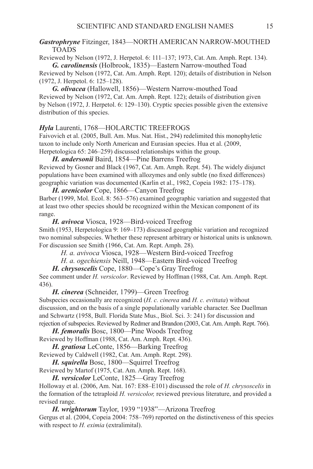#### Gastrophryne Fitzinger, 1843—NORTH AMERICAN NARROW-MOUTHED **TOADS**

Reviewed by Nelson (1972, J. Herpetol. 6: 111–137; 1973, Cat. Am. Amph. Rept. 134). *G. carolinensis* (Holbrook, 1835)—Eastern Narrow-mouthed Toad

Reviewed by Nelson (1972, Cat. Am. Amph. Rept. 120); details of distribution in Nelson (1972, J. Herpetol. 6: 125–128).

*G. olivacea* (Hallowell, 1856)—Western Narrow-mouthed Toad Reviewed by Nelson (1972, Cat. Am. Amph. Rept. 122); details of distribution given by Nelson (1972, J. Herpetol. 6: 129–130). Cryptic species possible given the extensive distribution of this species.

#### *Hyla* Laurenti, 1768—HOLARCTIC TREEFROGS

Faivovich et al. (2005, Bull. Am. Mus. Nat. Hist., 294) redelimited this monophyletic taxon to include only North American and Eurasian species. Hua et al. (2009, Herpetologica 65: 246–259) discussed relationships within the group.

*H. andersonii* Baird, 1854—Pine Barrens Treefrog

Reviewed by Gosner and Black (1967, Cat. Am. Amph. Rept. 54). The widely disjunct populations have been examined with allozymes and only subtle (no fixed differences) geographic variation was documented (Karlin et al., 1982, Copeia 1982: 175–178).

*H. arenicolor* Cope, 1866—Canyon Treefrog Barber (1999, Mol. Ecol. 8: 563–576) examined geographic variation and suggested that at least two other species should be recognized within the Mexican component of its range.

*H. avivoca* Viosca, 1928—Bird-voiced Treefrog Smith (1953, Herpetologica 9: 169–173) discussed geographic variation and recognized two nominal subspecies. Whether these represent arbitrary or historical units is unknown. For discussion see Smith (1966, Cat. Am. Rept. Amph. 28).

 *H. a. avivoca* Viosca, 1928—Western Bird-voiced Treefrog

 *H. a. ogechiensis* Neill, 1948—Eastern Bird-voiced Treefrog

*H. chrysoscelis* Cope, 1880—Cope's Gray Treefrog

See comment under *H. versicolor*. Reviewed by Hoffman (1988, Cat. Am. Amph. Rept. 436).

*H. cinerea* (Schneider, 1799)—Green Treefrog

Subspecies occasionally are recognized (*H. c. cinerea* and *H. c. evittata*) without discussion, and on the basis of a single populationally variable character. See Duellman and Schwartz (1958, Bull. Florida State Mus., Biol. Sci. 3: 241) for discussion and rejection of subspecies. Reviewed by Redmer and Brandon (2003, Cat. Am. Amph. Rept. 766).

*H. femoralis* Bosc, 1800—Pine Woods Treefrog Reviewed by Hoffman (1988, Cat. Am. Amph. Rept. 436).

*H. gratiosa* LeConte, 1856—Barking Treefrog

Reviewed by Caldwell (1982, Cat. Am. Amph. Rept. 298).

*H. squirella* Bosc, 1800—Squirrel Treefrog

Reviewed by Martof (1975, Cat. Am. Amph. Rept. 168).

*H. versicolor* LeConte, 1825—Gray Treefrog

Holloway et al. (2006, Am. Nat. 167: E88–E101) discussed the role of *H. chrysoscelis* in the formation of the tetraploid *H. versicolor,* reviewed previous literature, and provided a revised range.

*H. wrightorum* Taylor, 1939 "1938"—Arizona Treefrog Gergus et al. (2004, Copeia 2004: 758–769) reported on the distinctiveness of this species with respect to *H. eximia* (extralimital).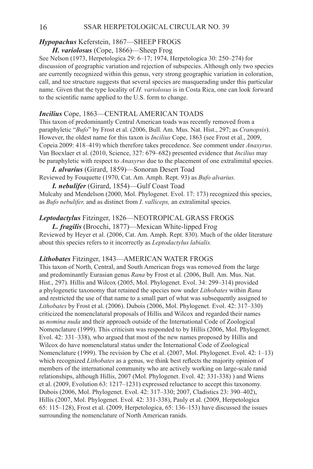16 SSAR HERPETOLOGICAL CIRCULAR NO. 39

# Hypopachus Keferstein, 1867-SHEEP FROGS

# *H. variolosus* (Cope, 1866)—Sheep Frog

See Nelson (1973, Herpetologica 29: 6–17; 1974, Herpetologica 30: 250–274) for discussion of geographic variation and rejection of subspecies. Although only two species are currently recognized within this genus, very strong geographic variation in coloration, call, and toe structure suggests that several species are masquerading under this particular name. Given that the type locality of *H. variolosus* is in Costa Rica, one can look forward to the scientific name applied to the U.S. form to change.

# **Incilius** Cope, 1863—CENTRAL AMERICAN TOADS

This taxon of predominantly Central American toads was recently removed from a paraphyletic "*Bufo*" by Frost et al. (2006, Bull. Am. Mus. Nat. Hist., 297; as *Cranopsis*). However, the oldest name for this taxon is *Incilius* Cope, 1863 (see Frost et al., 2009, Copeia 2009: 418–419) which therefore takes precedence. See comment under *Anaxyrus*. Van Bocxlaer et al. (2010, Science, 327: 679–682) presented evidence that *Incilius* may be paraphyletic with respect to *Anaxyrus* due to the placement of one extralimital species.

*I. alvarius* (Girard, 1859)—Sonoran Desert Toad Reviewed by Fouquette (1970, Cat. Am. Amph. Rept. 93) as *Bufo alvarius.*

*I. nebulifer* (Girard, 1854)—Gulf Coast Toad Mulcahy and Mendelson (2000, Mol. Phylogenet. Evol. 17: 173) recognized this species, as *Bufo nebulifer,* and as distinct from *I. valliceps,* an extralimital species.

# Leptodactylus Fitzinger, 1826-NEOTROPICAL GRASS FROGS

*L. fragilis* (Brocchi, 1877)—Mexican White-lipped Frog Reviewed by Heyer et al. (2006, Cat. Am. Amph. Rept. 830). Much of the older literature about this species refers to it incorrectly as *Leptodactylus labialis.*

# Lithobates Fitzinger, 1843—AMERICAN WATER FROGS

This taxon of North, Central, and South American frogs was removed from the large and predominantly Eurasian genus *Rana* by Frost et al. (2006, Bull. Am. Mus. Nat. Hist., 297). Hillis and Wilcox (2005, Mol. Phylogenet. Evol. 34: 299–314) provided a phylogenetic taxonomy that retained the species now under *Lithobates* within *Rana* and restricted the use of that name to a small part of what was subsequently assigned to *Lithobates* by Frost et al. (2006). Dubois (2006, Mol. Phylogenet. Evol. 42: 317–330) criticized the nomenclatural proposals of Hillis and Wilcox and regarded their names as *nomina nuda* and their approach outside of the International Code of Zoological Nomenclature (1999). This criticism was responded to by Hillis (2006, Mol. Phylogenet. Evol. 42: 331–338), who argued that most of the new names proposed by Hillis and Wilcox do have nomenclatural status under the International Code of Zoological Nomenclature (1999). The revision by Che et al. (2007, Mol. Phylogenet. Evol. 42: 1–13) which recognized *Lithobates* as a genus, we think best reflects the majority opinion of members of the international community who are actively working on large-scale ranid relationships, although Hillis, 2007 (Mol. Phylogenet. Evol. 42: 331-338) ) and Wiens et al. (2009, Evolution 63: 1217–1231) expressed reluctance to accept this taxonomy. Dubois (2006, Mol. Phylogenet. Evol. 42: 317–330; 2007, Cladistics 23: 390–402), Hillis (2007, Mol. Phylogenet. Evol. 42: 331-338), Pauly et al. (2009, Herpetologica 65: 115–128), Frost et al. (2009, Herpetologica, 65: 136–153) have discussed the issues surrounding the nomenclature of North American ranids.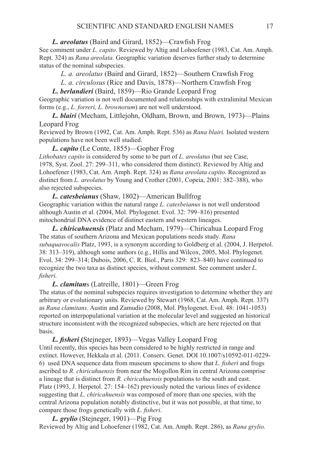#### *L. areolatus* (Baird and Girard, 1852)—Crawfish Frog

See comment under *L. capito*. Reviewed by Altig and Lohoefener (1983, Cat. Am. Amph. Rept. 324) as *Rana areolata.* Geographic variation deserves further study to determine status of the nominal subspecies.

 *L. a. areolatus* (Baird and Girard, 1852)—Southern Crawfish Frog

 *L. a. circulosus* (Rice and Davis, 1878)—Northern Crawfish Frog

#### *L. berlandieri* (Baird, 1859)—Rio Grande Leopard Frog

Geographic variation is not well documented and relationships with extralimital Mexican forms (e.g., *L. forreri, L. brownorum*) are not well understood.

*L. blairi* (Mecham, Littlejohn, Oldham, Brown, and Brown, 1973)—Plains Leopard Frog

Reviewed by Brown (1992, Cat. Am. Amph. Rept. 536) as *Rana blairi.* Isolated western populations have not been well studied.

*L. capito* (Le Conte, 1855)—Gopher Frog

*Lithobates capito* is considered by some to be part of *L. areolatus* (but see Case, 1978, Syst. Zool. 27: 299–311, who considered them distinct). Reviewed by Altig and Lohoefener (1983, Cat. Am. Amph. Rept. 324) as *Rana areolata capito.* Recognized as distinct from *L. areolatus* by Young and Crother (2001, Copeia, 2001: 382–388), who also rejected subspecies.

*L. catesbeianus* (Shaw, 1802)—American Bullfrog Geographic variation within the natural range *L. catesbeianus* is not well understood although Austin et al. (2004, Mol. Phylogenet. Evol. 32: 799–816) presented mitochondrial DNA evidence of distinct eastern and western lineages.

*L. chiricahuensis* (Platz and Mecham, 1979)—Chiricahua Leopard Frog The status of southern Arizona and Mexican populations needs study. *Rana subaquavocalis* Platz, 1993, is a synonym according to Goldberg et al. (2004, J. Herpetol. 38: 313–319), although some authors (e.g., Hillis and Wilcox, 2005, Mol. Phylogenet. Evol. 34: 299–314; Dubois, 2006, C. R. Biol., Paris 329: 823–840) have continued to recognize the two taxa as distinct species, without comment. See comment under *L. fisheri.*

*L. clamitan*s (Latreille, 1801)—Green Frog

The status of the nominal subspecies requires investigation to determine whether they are arbitrary or evolutionary units. Reviewed by Stewart (1968, Cat. Am. Amph. Rept. 337) as *Rana clamitans.* Austin and Zamudio (2008, Mol. Phylogenet. Evol. 48: 1041-1053) reported on interpopulational variation at the molecular level and suggested an historical structure inconsistent with the recognized subspecies, which are here rejected on that basis.

*L. fisheri* **(**Stejneger, 1893)—Vegas Valley Leopard Frog Until recently, this species has been considered to be highly restricted in range and extinct. However, Hekkala et al. (2011. Conserv. Genet. DOI 10.1007/s10592-011-0229- 6) used DNA sequence data from museum specimens to show that *L. fisheri* and frogs ascribed to *R. chiricahuensis* from near the Mogollon Rim in central Arizona comprise a lineage that is distinct from *R. chiricahuensis* populations to the south and east. Platz (1993, J. Herpetol. 27: 154–162) previously noted the various lines of evidence suggesting that *L. chiricahuensis* was composed of more than one species, with the central Arizona population notably distinctive, but it was not possible, at that time, to compare those frogs genetically with *L. fisheri*.

*L. grylio* (Stejneger, 1901)—Pig Frog Reviewed by Altig and Lohoefener (1982, Cat. Am. Amph. Rept. 286), as *Rana grylio.*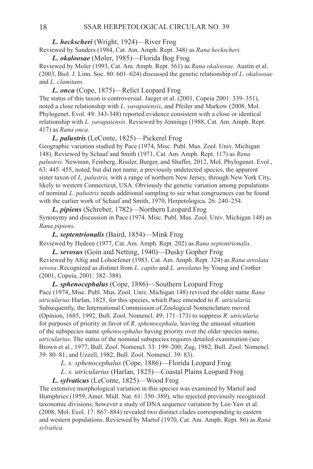*L. heckscheri* (Wright, 1924)—River Frog

Reviewed by Sanders (1984, Cat. Am. Amph. Rept. 348) as *Rana heckscheri.*

*L. okaloosae* (Moler, 1985)—Florida Bog Frog Reviewed by Moler (1993, Cat. Am. Amph. Rept. 561) as *Rana okaloosae.* Austin et al. (2003, Biol. J. Linn. Soc. 80: 601–624) discussed the genetic relationship of *L. okaloosae*  and *L. clamitans.*

*L. onca* (Cope, 1875)—Relict Leopard Frog The status of this taxon is controversial. Jaeger et al. (2001, Copeia 2001: 339–351), noted a close relationship with *L. yavapaiensis*, and Pfeiler and Markow (2008, Mol. Phylogenet. Evol. 49: 343-348) reported evidence consistent with a close or identical relationship with *L. yavapaiensis*. Reviewed by Jennings (1988, Cat. Am. Amph. Rept. 417) as *Rana onca.*

*L. palustris* (LeConte, 1825)—Pickerel Frog Geographic variation studied by Pace (1974, Misc. Publ. Mus. Zool. Univ. Michigan 148). Reviewed by Schaaf and Smith (1971, Cat. Am. Amph. Rept. 117) as *Rana palustris.* Newman, Feinberg, Rissler, Burger, and Shaffer, 2012, Mol. Phylogenet. Evol., 63: 445–455, noted, but did not name, a previously undetected species, the apparent sister taxon of *L. palustris,* with a range of northern New Jersey, through New York City, likely to western Connecticut, USA. Obviously the genetic variation among populations of nominal *L. palustris* needs additional sampling to see what congruences can be found with the earlier work of Schaaf and Smith, 1970, Herpetologica, 26: 240–254.

*L. pipiens* (Schreber, 1782)—Northern Leopard Frog Synonymy and discussion in Pace (1974, Misc. Publ. Mus. Zool. Univ. Michigan 148) as *Rana pipiens.*

*L. septentrionalis* (Baird, 1854)—Mink Frog Reviewed by Hedeen (1977, Cat. Am. Amph. Rept. 202) as *Rana septentrionalis.*

*L. sevosus* (Goin and Netting, 1940)—Dusky Gopher Frog Reviewed by Altig and Lohoefener (1983, Cat. Am. Amph. Rept. 324) as *Rana areolata sevosa*. Recognized as distinct from *L. capito* and *L. areolatus* by Young and Crother (2001, Copeia, 2001: 382–388).

*L. sphenocephalus* (Cope, 1886)—Southern Leopard Frog Pace (1974, Misc. Publ. Mus. Zool. Univ. Michigan 148) revived the older name *Rana utricularius* Harlan, 1825, for this species, which Pace emended to *R. utricularia*. Subsequently, the International Commission of Zoological Nomenclature moved (Opinion, 1685, 1992, Bull. Zool. Nomencl. 49: 171–173) to suppress *R. utricularia*  for purposes of priority in favor of *R. sphenocephala*, leaving the unusual situation of the subspecies name *sphenocephalus* having priority over the older species name, *utricularius*. The status of the nominal subspecies requires detailed examination (see Brown et al., 1977, Bull. Zool. Nomencl. 33: 199–200; Zug, 1982, Bull. Zool. Nomencl. 39: 80–81; and Uzzell, 1982, Bull. Zool. Nomencl. 39: 83).

 *L. s. sphenocephalus* (Cope, 1886)—Florida Leopard Frog

 *L. s. utricularius* (Harlan, 1825)—Coastal Plains Leopard Frog

*L. sylvaticus* (LeConte, 1825)—Wood Frog

The extensive morphological variation in this species was examined by Martof and Humphries (1959, Amer. Midl. Nat. 61: 350–389), who rejected previously recognized taxonomic divisions; however a study of DNA sequence variation by Lee-Yaw et al. (2008, Mol. Ecol. 17: 867–884) revealed two distinct clades corresponding to eastern and western populations. Reviewed by Martof (1970, Cat. Am. Amph. Rept. 86) as *Rana sylvatica.*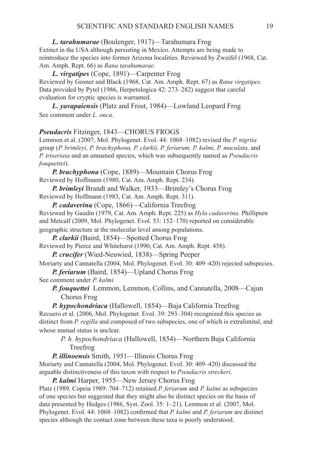*L. tarahumarae* (Boulenger, 1917)—Tarahumara Frog

Extinct in the USA although persisting in Mexico. Attempts are being made to reintroduce the species into former Arizona localities. Reviewed by Zweifel (1968, Cat. Am. Amph. Rept. 66) as *Rana tarahumarae.*

*L. virgatipes* (Cope, 1891)—Carpenter Frog Reviewed by Gosner and Black (1968, Cat. Am. Amph. Rept. 67) as *Rana virgatipes.*  Data provided by Pytel (1986, Herpetologica 42: 273–282) suggest that careful evaluation for cryptic species is warranted.

*L. yavapaiensis* (Platz and Frost, 1984)—Lowland Leopard Frog See comment under *L. onca*.

#### **Pseudacris** Fitzinger, 1843—CHORUS FROGS

Lemmon et al. (2007, Mol. Phylogenet. Evol. 44: 1068–1082) revised the *P. nigrita*  group (*P. brimleyi, P. brachyphona, P. clarkii, P. feriarum, P. kalmi, P. maculata,* and *P. triseriata* and an unnamed species, which was subsequently named as *Pseudacris fouquettei*).

*P. brachyphona* (Cope, 1889)—Mountain Chorus Frog Reviewed by Hoffmann (1980, Cat. Am. Amph. Rept. 234).

*P. brimleyi* Brandt and Walker, 1933—Brimley's Chorus Frog Reviewed by Hoffmann (1983, Cat. Am. Amph. Rept. 311).

*P. cadaverina* (Cope, 1866)—California Treefrog Reviewed by Gaudin (1979, Cat. Am. Amph. Rept. 225) as *Hyla cadaverina.* Phillipsen and Metcalf (2009, Mol. Phylogenet. Evol. 53: 152–170) reported on considerable geographic structure at the molecular level among populations.

*P. clarkii* (Baird, 1854)—Spotted Chorus Frog

Reviewed by Pierce and Whitehurst (1990, Cat. Am. Amph. Rept. 458).

*P. crucifer* (Wied-Neuwied, 1838)—Spring Peeper

Moriarty and Cannatella (2004, Mol. Phylogenet. Evol. 30: 409–420) rejected subspecies. *P. feriarum* (Baird, 1854)—Upland Chorus Frog

See comment under *P. kalmi.*

*P. fouquettei* Lemmon, Lemmon, Collins, and Cannatella, 2008—Cajun Chorus Frog

*P. hypochondriaca* (Hallowell, 1854)—Baja California Treefrog Recuero et al. (2006, Mol. Phylogenet. Evol. 39: 293–304) recognized this species as distinct from *P. regilla* and composed of two subspecies, one of which is extralimital, and whose mutual status is unclear.

 *P. h. hypochondriaca* (Hallowell, 1854)—Northern Baja California Treefrog

*P. illinoensis* Smith, 1951—Illinois Chorus Frog

Moriarty and Cannatella (2004, Mol. Phylogenet. Evol. 30: 409–420) discussed the arguable distinctiveness of this taxon with respect to *Pseudacris streckeri*.

*P. kalmi* Harper, 1955—New Jersey Chorus Frog

Platz (1989, Copeia 1989: 704–712) retained *P. feriarum* and *P. kalmi* as subspecies of one species but suggested that they might also be distinct species on the basis of data presented by Hedges (1986, Syst. Zool. 35: 1–21). Lemmon et al. (2007, Mol. Phylogenet. Evol. 44: 1068–1082) confirmed that *P. kalmi* and *P. feriarum* are distinct species although the contact zone between these taxa is poorly understood.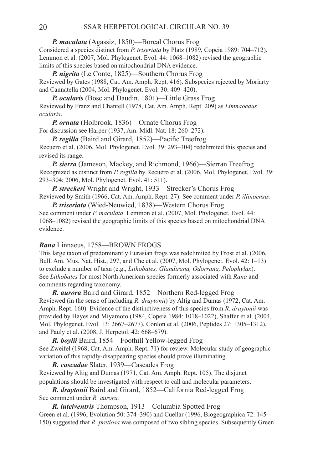*P. maculata* (Agassiz, 1850)—Boreal Chorus Frog Considered a species distinct from *P. triseriata* by Platz (1989, Copeia 1989: 704–712). Lemmon et al. (2007, Mol. Phylogenet. Evol. 44: 1068–1082) revised the geographic limits of this species based on mitochondrial DNA evidence.

*P. nigrita* (Le Conte, 1825)—Southern Chorus Frog Reviewed by Gates (1988, Cat. Am. Amph. Rept. 416). Subspecies rejected by Moriarty and Cannatella (2004, Mol. Phylogenet. Evol. 30: 409–420).

*P. ocularis* (Bosc and Daudin, 1801)—Little Grass Frog Reviewed by Franz and Chantell (1978, Cat. Am. Amph. Rept. 209) as *Limnaoedus ocularis*.

*P. ornata* (Holbrook, 1836)—Ornate Chorus Frog For discussion see Harper (1937, Am. Midl. Nat. 18: 260–272).

*P. regilla* (Baird and Girard, 1852)—Pacific Treefrog Recuero et al. (2006, Mol. Phylogenet. Evol. 39: 293–304) redelimited this species and revised its range.

*P. sierra* (Jameson, Mackey, and Richmond, 1966)—Sierran Treefrog Recognized as distinct from *P. regilla* by Recuero et al. (2006, Mol. Phylogenet. Evol. 39: 293–304; 2006, Mol. Phylogenet. Evol. 41: 511).

*P. streckeri* Wright and Wright, 1933—Strecker's Chorus Frog Reviewed by Smith (1966, Cat. Am. Amph. Rept. 27). See comment under *P. illinoensis*.

*P. triseriata* (Wied-Neuwied, 1838)—Western Chorus Frog See comment under *P. maculata*. Lemmon et al. (2007, Mol. Phylogenet. Evol. 44: 1068–1082) revised the geographic limits of this species based on mitochondrial DNA evidence.

#### *Rana* Linnaeus, 1758—Brown Frogs

This large taxon of predominantly Eurasian frogs was redelimited by Frost et al. (2006, Bull. Am. Mus. Nat. Hist., 297, and Che et al. (2007, Mol. Phylogenet. Evol. 42: 1–13) to exclude a number of taxa (e.g., *Lithobates, Glandirana, Odorrana, Pelophylax*). See *Lithobates* for most North American species formerly associated with *Rana* and comments regarding taxonomy.

*R. aurora* Baird and Girard, 1852—Northern Red-legged Frog Reviewed (in the sense of including *R. draytonii*) by Altig and Dumas (1972, Cat. Am. Amph. Rept. 160). Evidence of the distinctiveness of this species from *R. draytonii* was provided by Hayes and Miyamoto (1984, Copeia 1984: 1018–1022), Shaffer et al. (2004, Mol. Phylogenet. Evol. 13: 2667–2677), Conlon et al. (2006, Peptides 27: 1305–1312), and Pauly et al. (2008, J. Herpetol. 42: 668–679).

*R. boylii* Baird, 1854—Foothill Yellow-legged Frog See Zweifel (1968, Cat. Am. Amph. Rept. 71) for review. Molecular study of geographic variation of this rapidly-disappearing species should prove illuminating.

*R. cascadae* Slater, 1939—Cascades Frog Reviewed by Altig and Dumas (1971, Cat. Am. Amph. Rept. 105). The disjunct populations should be investigated with respect to call and molecular parameters.

*R. draytonii* Baird and Girard, 1852—California Red-legged Frog See comment under *R. aurora.*

*R. luteiventris* Thompson, 1913—Columbia Spotted Frog Green et al. (1996, Evolution 50: 374–390) and Cuellar (1996, Biogeographica 72: 145– 150) suggested that *R. pretiosa* was composed of two sibling species. Subsequently Green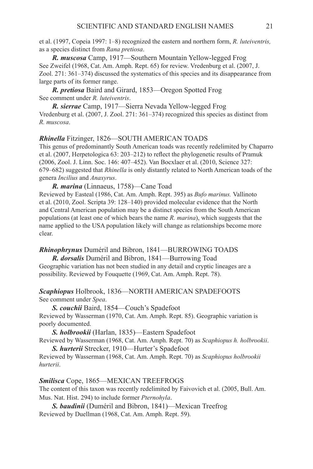et al. (1997, Copeia 1997: 1–8) recognized the eastern and northern form, *R. luteiventris,*  as a species distinct from *Rana pretiosa*.

*R. muscosa* Camp, 1917—Southern Mountain Yellow-legged Frog See Zweifel (1968, Cat. Am. Amph. Rept. 65) for review. Vredenburg et al. (2007, J. Zool. 271: 361–374) discussed the systematics of this species and its disappearance from large parts of its former range.

*R. pretiosa* Baird and Girard, 1853—Oregon Spotted Frog See comment under *R. luteiventris*.

*R. sierrae* Camp, 1917—Sierra Nevada Yellow-legged Frog Vredenburg et al. (2007, J. Zool. 271: 361–374) recognized this species as distinct from *R. muscosa*.

#### *Rhinella* Fitzinger, 1826—SOUTH AMERICAN TOADS

This genus of predominantly South American toads was recently redelimited by Chaparro et al. (2007, Herpetologica 63: 203–212) to reflect the phylogenetic results of Pramuk (2006, Zool. J. Linn. Soc. 146: 407–452). Van Bocxlaer et al. (2010, Science 327: 679–682) suggested that *Rhinella* is only distantly related to North American toads of the genera *Incilius* and *Anaxyrus*.

*R. marina* (Linnaeus, 1758)—Cane Toad

Reviewed by Easteal (1986, Cat. Am. Amph. Rept. 395) as *Bufo marinus.* Vallinoto et al. (2010, Zool. Scripta 39: 128–140) provided molecular evidence that the North and Central American population may be a distinct species from the South American populations (at least one of which bears the name *R. marina*), which suggests that the name applied to the USA population likely will change as relationships become more clear.

#### *Rhinophrynus* Duméril and Bibron, 1841—BURROWING TOADS

*R. dorsalis* Duméril and Bibron, 1841—Burrowing Toad Geographic variation has not been studied in any detail and cryptic lineages are a possibility. Reviewed by Fouquette (1969, Cat. Am. Amph. Rept. 78).

#### Scaphiopus Holbrook, 1836—NORTH AMERICAN SPADEFOOTS See comment under *Spea*.

*S. couchii* Baird, 1854—Couch's Spadefoot Reviewed by Wasserman (1970, Cat. Am. Amph. Rept. 85). Geographic variation is poorly documented.

*S. holbrookii* (Harlan, 1835)—Eastern Spadefoot

Reviewed by Wasserman (1968, Cat. Am. Amph. Rept. 70) as *Scaphiopus h. holbrookii*. *S. hurterii* Strecker, 1910—Hurter's Spadefoot

Reviewed by Wasserman (1968, Cat. Am. Amph. Rept. 70) as *Scaphiopus holbrookii hurterii*.

#### *Smilisca* Cope, 1865—MEXICAN TREEFROGS

The content of this taxon was recently redelimited by Faivovich et al. (2005, Bull. Am. Mus. Nat. Hist. 294) to include former *Pternohyla*.

*S. baudinii* (Duméril and Bibron, 1841)—Mexican Treefrog Reviewed by Duellman (1968, Cat. Am. Amph. Rept. 59).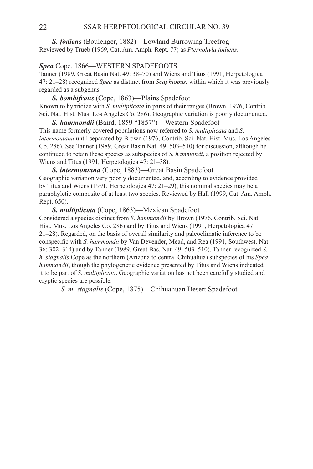*S. fodiens* (Boulenger, 1882)—Lowland Burrowing Treefrog Reviewed by Trueb (1969, Cat. Am. Amph. Rept. 77) as *Pternohyla fodiens*.

#### *Spea* Cope, 1866—WESTERN SPADEFOOTS

Tanner (1989, Great Basin Nat. 49: 38–70) and Wiens and Titus (1991, Herpetologica 47: 21–28) recognized *Spea* as distinct from *Scaphiopus,* within which it was previously regarded as a subgenus*.* 

*S. bombifrons* (Cope, 1863)—Plains Spadefoot Known to hybridize with *S. multiplicata* in parts of their ranges (Brown, 1976, Contrib. Sci. Nat. Hist. Mus. Los Angeles Co. 286). Geographic variation is poorly documented.

*S. hammondii* (Baird, 1859 "1857")—Western Spadefoot This name formerly covered populations now referred to *S. multiplicata* and *S. intermontana* until separated by Brown (1976, Contrib. Sci. Nat. Hist. Mus. Los Angeles Co. 286). See Tanner (1989, Great Basin Nat. 49: 503–510) for discussion, although he continued to retain these species as subspecies of *S. hammondi*, a position rejected by Wiens and Titus (1991, Herpetologica 47: 21–38).

*S. intermontana* (Cope, 1883)—Great Basin Spadefoot Geographic variation very poorly documented, and, according to evidence provided by Titus and Wiens (1991, Herpetologica 47: 21–29), this nominal species may be a paraphyletic composite of at least two species. Reviewed by Hall (1999, Cat. Am. Amph. Rept. 650).

*S. multiplicata* (Cope, 1863)—Mexican Spadefoot Considered a species distinct from *S. hammondii* by Brown (1976, Contrib. Sci. Nat. Hist. Mus. Los Angeles Co. 286) and by Titus and Wiens (1991, Herpetologica 47: 21–28). Regarded, on the basis of overall similarity and paleoclimatic inference to be conspecific with *S. hammondii* by Van Devender, Mead, and Rea (1991, Southwest. Nat. 36: 302–314) and by Tanner (1989, Great Bas. Nat. 49: 503–510). Tanner recognized *S. h. stagnalis* Cope as the northern (Arizona to central Chihuahua) subspecies of his *Spea hammondii*, though the phylogenetic evidence presented by Titus and Wiens indicated it to be part of *S. multiplicata*. Geographic variation has not been carefully studied and cryptic species are possible.

 *S. m. stagnalis* (Cope, 1875)—Chihuahuan Desert Spadefoot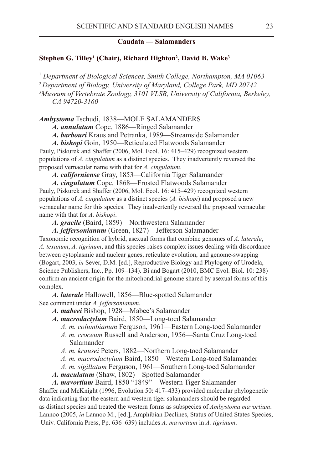#### **Caudata — Salamanders**

#### **Stephen G. Tilley1 (Chair), Richard Highton2 , David B. Wake3**

 *Department of Biological Sciences, Smith College, Northampton, MA 01063 Department of Biology, University of Maryland, College Park, MD 20742 Museum of Vertebrate Zoology, 3101 VLSB, University of California, Berkeley, CA 94720-3160*

#### *Ambystoma* Tschudi, 1838—MOLE SALAMANDERS

*A. annulatum* Cope, 1886—Ringed Salamander

*A. barbouri* Kraus and Petranka, 1989—Streamside Salamander

*A. bishopi* Goin, 1950—Reticulated Flatwoods Salamander

Pauly, Piskurek and Shaffer (2006, Mol. Ecol. 16: 415–429) recognized western populations of *A. cingulatum* as a distinct species. They inadvertently reversed the proposed vernacular name with that for *A. cingulatum*.

*A. californiense* Gray, 1853—California Tiger Salamander

*A. cingulatum* Cope, 1868—Frosted Flatwoods Salamander

Pauly, Piskurek and Shaffer (2006, Mol. Ecol. 16: 415–429) recognized western populations of *A. cingulatum* as a distinct species (*A. bishopi*) and proposed a new vernacular name for this species. They inadvertently reversed the proposed vernacular name with that for *A. bishopi*.

*A. gracile* (Baird, 1859)—Northwestern Salamander

*A. jeffersonianum* (Green, 1827)—Jefferson Salamander

Taxonomic recognition of hybrid, asexual forms that combine genomes of *A. laterale*, *A. texanum*, *A. tigrinum*, and this species raises complex issues dealing with discordance between cytoplasmic and nuclear genes, reticulate evolution, and genome-swapping (Bogart, 2003, *in* Sever, D.M. [ed.], Reproductive Biology and Phylogeny of Urodela, Science Publishers, Inc., Pp. 109–134). Bi and Bogart (2010, BMC Evol. Biol. 10: 238) confirm an ancient origin for the mitochondrial genome shared by asexual forms of this complex.

*A. laterale* Hallowell, 1856—Blue-spotted Salamander See comment under *A. jeffersonianum*.

- *A. mabeei* Bishop, 1928—Mabee's Salamander
- *A. macrodactylum* Baird, 1850—Long-toed Salamander

 *A. m. columbianum* Ferguson, 1961—Eastern Long-toed Salamander

- *A. m. croceum* Russell and Anderson, 1956—Santa Cruz Long-toed Salamander
- *A. m. krausei* Peters, 1882—Northern Long-toed Salamander
- *A. m. macrodactylum* Baird, 1850—Western Long-toed Salamander
- *A. m. sigillatum* Ferguson, 1961—Southern Long-toed Salamander
- *A. maculatum* (Shaw, 1802)—Spotted Salamander

*A. mavortium* Baird, 1850 "1849"—Western Tiger Salamander Shaffer and McKnight (1996, Evolution 50: 417–433) provided molecular phylogenetic data indicating that the eastern and western tiger salamanders should be regarded as distinct species and treated the western forms as subspecies of *Ambystoma mavortium*. Lannoo (2005, *in* Lannoo M., [ed.], Amphibian Declines, Status of United States Species, Univ. California Press, Pp. 636–639) includes *A. mavortium* in *A. tigrinum*.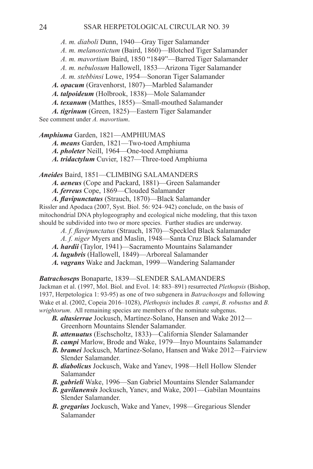*A. m. diaboli* Dunn, 1940—Gray Tiger Salamander

- *A. m. melanostictum* (Baird, 1860)—Blotched Tiger Salamander
- *A. m. mavortium* Baird, 1850 "1849"—Barred Tiger Salamander
- *A. m. nebulosum* Hallowell, 1853—Arizona Tiger Salamander
- *A. m. stebbinsi* Lowe, 1954—Sonoran Tiger Salamander
- *A. opacum* (Gravenhorst, 1807)—Marbled Salamander
- *A. talpoideum* (Holbrook, 1838)—Mole Salamander
- *A. texanum* (Matthes, 1855)—Small-mouthed Salamander
- *A. tigrinum* (Green, 1825)—Eastern Tiger Salamander
- See comment under *A. mavortium*.

## *Amphiuma* Garden, 1821—AMPHIUMAS

- *A. means* Garden, 1821—Two-toed Amphiuma
- *A. pholeter* Neill, 1964—One-toed Amphiuma
- *A. tridactylum* Cuvier, 1827—Three-toed Amphiuma

*Aneides* Baird, 1851—CLIMBING SALAMANDERS

- *A. aeneus* (Cope and Packard, 1881)—Green Salamander
- *A. ferreus* Cope, 1869—Clouded Salamander
- *A. flavipunctatus* (Strauch, 1870)—Black Salamander

Rissler and Apodaca (2007, Syst. Biol. 56: 924–942) conclude, on the basis of mitochondrial DNA phylogeography and ecological niche modeling, that this taxon should be subdivided into two or more species. Further studies are underway.

- *A. f. flavipunctatus* (Strauch, 1870)—Speckled Black Salamander
- *A. f. niger* Myers and Maslin, 1948—Santa Cruz Black Salamander
- *A. hardii* (Taylor, 1941)—Sacramento Mountains Salamander
- *A. lugubris* (Hallowell, 1849)—Arboreal Salamander
- *A. vagrans* Wake and Jackman, 1999—Wandering Salamander

#### *Batrachoseps* Bonaparte, 1839—SLENDER SALAMANDERS

Jackman et al. (1997, Mol. Biol. and Evol. 14: 883–891) resurrected *Plethopsis* (Bishop, 1937, Herpetologica 1: 93-95) as one of two subgenera in *Batrachoseps* and following Wake et al. (2002, Copeia 2016–1028), *Plethopsis* includes *B. campi*, *B. robustus* and *B. wrightorum*. All remaining species are members of the nominate subgenus.

- *B. altasierrae* Jockusch, Martínez-Solano, Hansen and Wake 2012— Greenhorn Mountains Slender Salamander.
- *B. attenuatus* (Eschscholtz, 1833)—California Slender Salamander
- *B. campi* Marlow, Brode and Wake, 1979—Inyo Mountains Salamander
- *B. bramei* Jockusch, Martínez-Solano, Hansen and Wake 2012—Fairview Slender Salamander.
- *B. diabolicus* Jockusch, Wake and Yanev, 1998—Hell Hollow Slender Salamander
- *B. gabrieli* Wake, 1996—San Gabriel Mountains Slender Salamander
- *B. gavilanensis* Jockusch, Yanev, and Wake, 2001—Gabilan Mountains Slender Salamander.
- *B. gregarius* Jockusch, Wake and Yanev, 1998—Gregarious Slender Salamander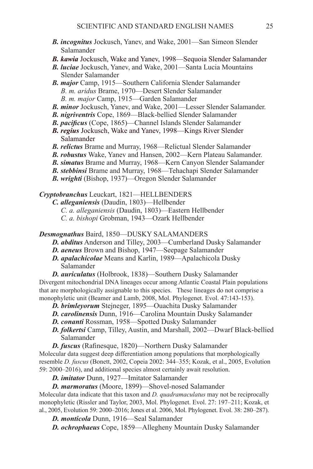- *B. incognitus* Jockusch, Yanev, and Wake, 2001—San Simeon Slender Salamander
- *B. kawia* Jockusch, Wake and Yanev, 1998—Sequoia Slender Salamander
- *B. luciae* Jockusch, Yanev, and Wake, 2001—Santa Lucia Mountains Slender Salamander
- *B. major* Camp, 1915—Southern California Slender Salamander *B. m. aridus* Brame, 1970—Desert Slender Salamander *B. m. major* Camp, 1915—Garden Salamander
- *B. minor* Jockusch, Yanev, and Wake, 2001—Lesser Slender Salamander.
- *B. nigriventris* Cope, 1869—Black-bellied Slender Salamander
- *B. pacificus* (Cope, 1865)—Channel Islands Slender Salamander
- *B. regius* Jockusch, Wake and Yanev, 1998—Kings River Slender Salamander
- *B. relictus* Brame and Murray, 1968—Relictual Slender Salamander
- *B. robustus* Wake, Yanev and Hansen, 2002—Kern Plateau Salamander.
- *B. simatus* Brame and Murray, 1968—Kern Canyon Slender Salamander
- *B. stebbinsi* Brame and Murray, 1968—Tehachapi Slender Salamander
- *B. wrighti* (Bishop, 1937)—Oregon Slender Salamander

*Cryptobranchus* Leuckart, 1821—HELLBENDERS

- *C. alleganiensis* (Daudin, 1803)—Hellbender
	- *C. a. alleganiensis* (Daudin, 1803)—Eastern Hellbender
	- *C. a. bishopi* Grobman, 1943—Ozark Hellbender

*Desmognathus* Baird, 1850—DUSKY SALAMANDERS

- *D. abditus* Anderson and Tilley, 2003—Cumberland Dusky Salamander
- *D. aeneus* Brown and Bishop, 1947—Seepage Salamander
- *D. apalachicolae* Means and Karlin, 1989—Apalachicola Dusky Salamander
- *D. auriculatus* (Holbrook, 1838)—Southern Dusky Salamander

Divergent mitochondrial DNA lineages occur among Atlantic Coastal Plain populations that are morphologically assignable to this species. These lineages do not comprise a monophyletic unit (Beamer and Lamb, 2008, Mol. Phylogenet. Evol. 47:143-153).

- *D. brimleyorum* Stejneger, 1895—Ouachita Dusky Salamander
- *D. carolinensis* Dunn, 1916—Carolina Mountain Dusky Salamander
- *D. conanti* Rossman, 1958—Spotted Dusky Salamander
- *D. folkertsi* Camp, Tilley, Austin, and Marshall, 2002—Dwarf Black-bellied Salamander
- *D. fuscus* (Rafinesque, 1820)—Northern Dusky Salamander

Molecular data suggest deep differentiation among populations that morphologically resemble *D. fuscus* (Bonett, 2002, Copeia 2002: 344–355; Kozak, et al., 2005, Evolution 59: 2000–2016), and additional species almost certainly await resolution.

- *D. imitator* Dunn, 1927—Imitator Salamander
- *D. marmoratus* (Moore, 1899)—Shovel-nosed Salamander

Molecular data indicate that this taxon and *D. quadramaculatus* may not be reciprocally monophyletic (Rissler and Taylor, 2003, Mol. Phylogenet. Evol. 27: 197–211; Kozak, et al., 2005, Evolution 59: 2000–2016; Jones et al. 2006, Mol. Phylogenet. Evol. 38: 280–287).

*D. monticola* Dunn, 1916—Seal Salamander

*D. ochrophaeus* Cope, 1859—Allegheny Mountain Dusky Salamander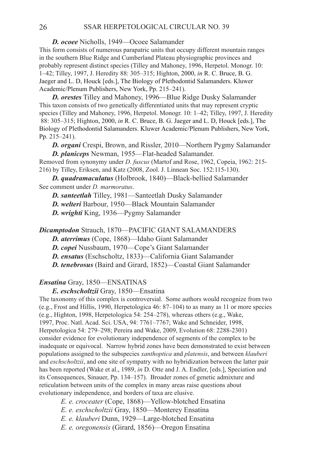*D. ocoee* Nicholls, 1949—Ocoee Salamander

This form consists of numerous parapatric units that occupy different mountain ranges in the southern Blue Ridge and Cumberland Plateau physiographic provinces and probably represent distinct species (Tilley and Mahoney, 1996, Herpetol. Monogr. 10: 1–42; Tilley, 1997, J. Heredity 88: 305–315; Highton, 2000, *in* R. C. Bruce, B. G. Jaeger and L. D, Houck [eds.], The Biology of Plethodontid Salamanders. Kluwer Academic/Plenum Publishers, New York, Pp. 215–241).

*D. orestes* Tilley and Mahoney, 1996—Blue Ridge Dusky Salamander This taxon consists of two genetically differentiated units that may represent cryptic species (Tilley and Mahoney, 1996, Herpetol. Monogr. 10: 1–42; Tilley, 1997, J. Heredity 88: 305–315; Highton, 2000, *in* R. C. Bruce, B. G. Jaeger and L. D, Houck [eds.], The Biology of Plethodontid Salamanders. Kluwer Academic/Plenum Publishers, New York, Pp. 215–241).

*D. organi* Crespi, Brown, and Rissler, 2010—Northern Pygmy Salamander *D. planiceps* Newman, 1955—Flat-headed Salamander.

Removed from synonymy under *D. fuscus* (Martof and Rose, 1962, Copeia, 1962: 215- 216) by Tilley, Eriksen, and Katz (2008, Zool. J. Linnean Soc. 152:115-130).

*D. quadramaculatus* (Holbrook, 1840)—Black-bellied Salamander See comment under *D. marmoratus*.

*D. santeetlah* Tilley, 1981—Santeetlah Dusky Salamander

*D. welteri* Barbour, 1950—Black Mountain Salamander

*D. wrighti* King, 1936—Pygmy Salamander

#### *Dicamptodon* Strauch, 1870—PACIFIC GIANT SALAMANDERS

*D. aterrimus* (Cope, 1868)—Idaho Giant Salamander

*D. copei* Nussbaum, 1970—Cope's Giant Salamander

*D. ensatus* (Eschscholtz, 1833)—California Giant Salamander

*D. tenebrosus* (Baird and Girard, 1852)—Coastal Giant Salamander

# *Ensatina* Gray, 1850—ENSATINAS

*E. eschscholtzii* Gray, 1850—Ensatina

The taxonomy of this complex is controversial. Some authors would recognize from two (e.g., Frost and Hillis, 1990, Herpetologica 46: 87–104) to as many as 11 or more species (e.g., Highton, 1998, Herpetologica 54: 254–278), whereas others (e.g., Wake, 1997, Proc. Natl. Acad. Sci. USA, 94: 7761–7767; Wake and Schneider, 1998, Herpetologica 54: 279–298; Pereira and Wake, 2009, Evolution 68: 2288-2301) consider evidence for evolutionary independence of segments of the complex to be inadequate or equivocal. Narrow hybrid zones have been demonstrated to exist between populations assigned to the subspecies *xanthoptica* and *platensis*, and between *klauberi* and *eschscholtzii*, and one site of sympatry with no hybridization between the latter pair has been reported (Wake et al., 1989, *in* D. Otte and J. A. Endler, [eds.], Speciation and its Consequences, Sinauer, Pp. 134–157). Broader zones of genetic admixture and reticulation between units of the complex in many areas raise questions about evolutionary independence, and borders of taxa are elusive.

 *E. e. croceater* (Cope, 1868)—Yellow-blotched Ensatina

 *E. e. eschscholtzii* Gray, 1850—Monterey Ensatina

 *E. e. klauberi* Dunn, 1929—Large-blotched Ensatina

 *E. e. oregonensis* (Girard, 1856)—Oregon Ensatina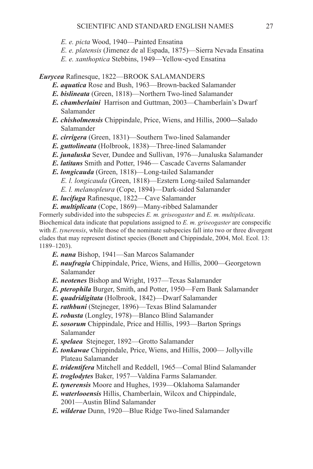*E. e. picta* Wood, 1940—Painted Ensatina

- *E. e. platensis* (Jimenez de al Espada, 1875)—Sierra Nevada Ensatina
- *E. e. xanthoptica* Stebbins, 1949—Yellow-eyed Ensatina

*Eurycea* Rafinesque, 1822—BROOK SALAMANDERS

- *E. aquatica* Rose and Bush, 1963—Brown-backed Salamander
- *E. bislineata* (Green, 1818)—Northern Two-lined Salamander
- *E. chamberlaini* Harrison and Guttman, 2003—Chamberlain's Dwarf Salamander
- *E. chisholmensis* Chippindale, Price, Wiens, and Hillis, 2000**—**Salado Salamander
- *E. cirrigera* (Green, 1831)—Southern Two-lined Salamander
- *E. guttolineata* (Holbrook, 1838)—Three-lined Salamander
- *E. junaluska* Sever, Dundee and Sullivan, 1976—Junaluska Salamander
- *E. latitans* Smith and Potter, 1946— Cascade Caverns Salamander
- *E. longicauda* (Green, 1818)—Long-tailed Salamander
	- *E. l. longicauda* (Green, 1818)—Ezstern Long-tailed Salamander
	- *E. l. melanopleura* (Cope, 1894)—Dark-sided Salamander
- *E. lucifuga* Rafinesque, 1822—Cave Salamander
- *E. multiplicata* (Cope, 1869)—Many-ribbed Salamander

Formerly subdivided into the subspecies *E. m. griseogaster* and *E. m. multiplicata*. Biochemical data indicate that populations assigned to *E. m. griseogaster* are conspecific with *E*. *tynerensis*, while those of the nominate subspecies fall into two or three divergent clades that may represent distinct species (Bonett and Chippindale, 2004, Mol. Ecol. 13: 1189–1203).

- *E. nana* Bishop, 1941—San Marcos Salamander
- *E. naufragia* Chippindale, Price, Wiens, and Hillis, 2000—Georgetown Salamander
- *E. neotenes* Bishop and Wright, 1937—Texas Salamander
- *E. pterophila* Burger, Smith, and Potter, 1950—Fern Bank Salamander
- *E. quadridigitata* (Holbrook, 1842)—Dwarf Salamander
- *E. rathbuni* (Stejneger, 1896)—Texas Blind Salamander
- *E. robusta* (Longley, 1978)—Blanco Blind Salamander
- *E. sosorum* Chippindale, Price and Hillis, 1993—Barton Springs Salamander
- *E. spelaea* Stejneger, 1892—Grotto Salamander
- *E. tonkawae* Chippindale, Price, Wiens, and Hillis, 2000— Jollyville Plateau Salamander
- *E. tridentifera* Mitchell and Reddell, 1965—Comal Blind Salamander
- *E. troglodytes* Baker, 1957—Valdina Farms Salamander.
- *E. tynerensis* Moore and Hughes, 1939—Oklahoma Salamander
- *E. waterlooensis* Hillis, Chamberlain, Wilcox and Chippindale, 2001—Austin Blind Salamander
- *E. wilderae* Dunn, 1920—Blue Ridge Two-lined Salamander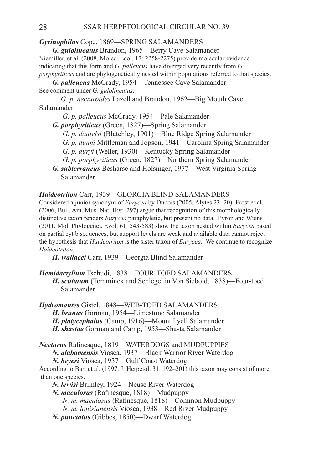#### *Gyrinophilus* Cope, 1869—SPRING SALAMANDERS

*G. gulolineatus* Brandon, 1965—Berry Cave Salamander Niemiller, et al. (2008, Molec. Ecol. 17: 2258-2275) provide molecular evidence indicating that this form and *G. palleucus* have diverged very recently from *G. porphyriticus* and are phylogenetically nested within populations referred to that species.

*G. palleucus* McCrady, 1954—Tennessee Cave Salamander See comment under *G. gulolineatus*.

 *G. p. necturoides* Lazell and Brandon, 1962—Big Mouth Cave Salamander

*G. p. palleucus* McCrady, 1954—Pale Salamander

- *G. porphyriticus* (Green, 1827)—Spring Salamander
	- *G. p. danielsi* (Blatchley, 1901)—Blue Ridge Spring Salamander
	- *G. p. dunni* Mittleman and Jopson, 1941—Carolina Spring Salamander
	- *G. p. duryi* (Weller, 1930)—Kentucky Spring Salamander
	- *G. p. porphyriticus* (Green, 1827)—Northern Spring Salamander
- *G. subterraneus* Besharse and Holsinger, 1977—West Virginia Spring Salamander

#### *Haideotriton* Carr, 1939—GEORGIA BLIND SALAMANDERS

Considered a junior synonym of *Eurycea* by Dubois (2005, Alytes 23: 20). Frost et al. (2006, Bull. Am. Mus. Nat. Hist. 297) argue that recognition of this morphologically distinctive taxon renders *Eurycea* paraphyletic, but present no data. Pyron and Wiens (2011, Mol. Phylogenet. Evol. 61: 543-583) show the taxon nested within *Eurycea* based on partial cyt b sequences, but support levels are weak and available data cannot reject the hypothesis that *Haideotriton* is the sister taxon of *Eurycea*. We continue to recognize *Haideotriton*.

*H. wallacei* Carr, 1939—Georgia Blind Salamander

*Hemidactylium* Tschudi, 1838—FOUR-TOED SALAMANDERS *H. scutatum* (Temminck and Schlegel in Von Siebold, 1838)—Four-toed Salamander

*Hydromantes* Gistel, 1848—WEB-TOED SALAMANDERS *H. brunus* Gorman, 1954—Limestone Salamander

*H. platycephalus* (Camp, 1916)—Mount Lyell Salamander

*H. shastae* Gorman and Camp, 1953—Shasta Salamander

*Necturus* Rafinesque, 1819—WATERDOGS and MUDPUPPIES

*N. alabamensis* Viosca, 1937—Black Warrior River Waterdog

*N. beyeri* Viosca, 1937—Gulf Coast Waterdog

According to Bart et al. (1997, J. Herpetol. 31: 192–201) this taxon may consist of more than one species.

*N. lewisi* Brimley, 1924—Neuse River Waterdog

*N. maculosus* (Rafinesque, 1818)—Mudpuppy

*N. m. maculosus* (Rafinesque, 1818)—Common Mudpuppy

*N. m. louisianensis* Viosca, 1938—Red River Mudpuppy

*N. punctatus* (Gibbes, 1850)—Dwarf Waterdog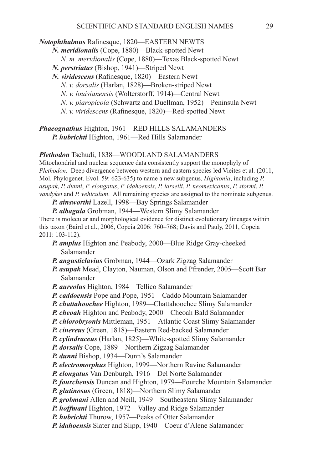*Notophthalmus* Rafinesque, 1820—EASTERN NEWTS

*N. meridionalis* (Cope, 1880)—Black-spotted Newt

 *N. m. meridionalis* (Cope, 1880)—Texas Black-spotted Newt

*N. perstriatus* (Bishop, 1941)—Striped Newt

*N. viridescens* (Rafinesque, 1820)—Eastern Newt

 *N. v. dorsalis* (Harlan, 1828)—Broken-striped Newt

 *N. v. louisianensis* (Wolterstorff, 1914)—Central Newt

 *N. v. piaropicola* (Schwartz and Duellman, 1952)—Peninsula Newt

 *N. v. viridescens* (Rafinesque, 1820)—Red-spotted Newt

*Phaeognathus* Highton, 1961—RED HILLS SALAMANDERS *P. hubrichti* Highton, 1961—Red Hills Salamander

#### *Plethodon* Tschudi, 1838—WOODLAND SALAMANDERS

Mitochondrial and nuclear sequence data consistently support the monophyly of *Plethodon.* Deep divergence between western and eastern species led Vieites et al. (2011, Mol. Phylogenet. Evol. 59: 623-635) to name a new subgenus, *Hightonia*, including *P. asupak*, *P. dunni*, *P. elongatus*, *P. idahoensis*, *P. larselli*, *P. neomexicanus*, *P. stormi*, *P. vandykei* and *P. vehiculum*. All remaining species are assigned to the nominate subgenus.

*P. ainsworthi* Lazell, 1998—Bay Springs Salamander

*P. albagula* Grobman, 1944—Western Slimy Salamander There is molecular and morphological evidence for distinct evolutionary lineages within this taxon (Baird et al., 2006, Copeia 2006: 760–768; Davis and Pauly, 2011, Copeia 2011: 103-112).

- *P. amplus* Highton and Peabody, 2000—Blue Ridge Gray-cheeked Salamander
- *P. angusticlavius* Grobman, 1944—Ozark Zigzag Salamander
- *P. asupak* Mead, Clayton, Nauman, Olson and Pfrender, 2005—Scott Bar Salamander
- *P. aureolus* Highton, 1984—Tellico Salamander
- *P. caddoensis* Pope and Pope, 1951—Caddo Mountain Salamander

*P. chattahoochee* Highton, 1989—Chattahoochee Slimy Salamander

*P. cheoah* Highton and Peabody, 2000—Cheoah Bald Salamander

*P. chlorobryonis* Mittleman, 1951—Atlantic Coast Slimy Salamander

*P. cinereus* (Green, 1818)—Eastern Red-backed Salamander

*P. cylindraceus* (Harlan, 1825)—White-spotted Slimy Salamander

*P. dorsalis* Cope, 1889—Northern Zigzag Salamander

*P. dunni* Bishop, 1934—Dunn's Salamander

*P. electromorphus* Highton, 1999—Northern Ravine Salamander

*P. elongatus* Van Denburgh, 1916—Del Norte Salamander

*P. fourchensis* Duncan and Highton, 1979—Fourche Mountain Salamander

*P. glutinosus* (Green, 1818)—Northern Slimy Salamander

*P. grobmani* Allen and Neill, 1949—Southeastern Slimy Salamander

*P. hoffmani* Highton, 1972—Valley and Ridge Salamander

*P. hubrichti* Thurow, 1957—Peaks of Otter Salamander

*P. idahoensis* Slater and Slipp, 1940—Coeur d'Alene Salamander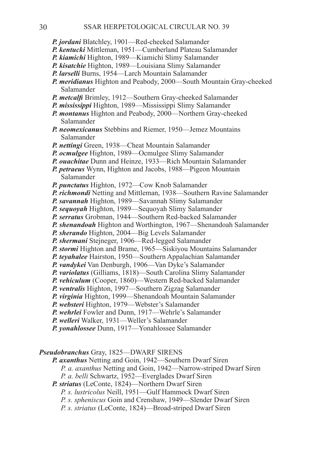- *P. jordani* Blatchley, 1901—Red-cheeked Salamander
- *P. kentucki* Mittleman, 1951—Cumberland Plateau Salamander
- *P. kiamichi* Highton, 1989—Kiamichi Slimy Salamander
- *P. kisatchie* Highton, 1989—Louisiana Slimy Salamander
- *P. larselli* Burns, 1954—Larch Mountain Salamander
- *P. meridianus* Highton and Peabody, 2000—South Mountain Gray-cheeked Salamander
- *P. metcalfi* Brimley, 1912—Southern Gray-cheeked Salamander
- *P. mississippi* Highton, 1989—Mississippi Slimy Salamander
- *P. montanus* Highton and Peabody, 2000—Northern Gray-cheeked Salamander
- *P. neomexicanus* Stebbins and Riemer, 1950—Jemez Mountains Salamander
- *P. nettingi* Green, 1938—Cheat Mountain Salamander
- *P. ocmulgee* Highton, 1989—Ocmulgee Slimy Salamander
- *P. ouachitae* Dunn and Heinze, 1933—Rich Mountain Salamander
- *P. petraeus* Wynn, Highton and Jacobs, 1988—Pigeon Mountain Salamander
- *P. punctatus* Highton, 1972—Cow Knob Salamander
- *P. richmondi* Netting and Mittleman, 1938—Southern Ravine Salamander
- *P. savannah* Highton, 1989—Savannah Slimy Salamander
- *P. sequoyah* Highton, 1989—Sequoyah Slimy Salamander
- *P. serratus* Grobman, 1944—Southern Red-backed Salamander
- *P. shenandoah* Highton and Worthington, 1967—Shenandoah Salamander
- *P. sherando* Highton, 2004—Big Levels Salamander
- *P. shermani* Stejneger, 1906—Red-legged Salamander
- **P. stormi** Highton and Brame, 1965—Siskiyou Mountains Salamander
- *P. teyahalee* Hairston, 1950—Southern Appalachian Salamander
- *P. vandykei* Van Denburgh, 1906—Van Dyke's Salamander
- *P. variolatus* (Gilliams, 1818)—South Carolina Slimy Salamander
- *P. vehiculum* (Cooper, 1860)—Western Red-backed Salamander
- *P. ventralis* Highton, 1997—Southern Zigzag Salamander
- *P. virginia* Highton, 1999—Shenandoah Mountain Salamander
- *P. websteri* Highton, 1979—Webster's Salamander
- *P. wehrlei* Fowler and Dunn, 1917—Wehrle's Salamander
- *P. welleri* Walker, 1931—Weller's Salamander
- *P. yonahlossee* Dunn, 1917—Yonahlossee Salamander

#### *Pseudobranchus* Gray, 1825—DWARF SIRENS

*P. axanthus* Netting and Goin, 1942—Southern Dwarf Siren

- *P. a. axanthus* Netting and Goin, 1942—Narrow-striped Dwarf Siren
- *P. a. belli* Schwartz, 1952—Everglades Dwarf Siren
- *P. striatus* (LeConte, 1824)—Northern Dwarf Siren
	- *P. s. lustricolus* Neill, 1951—Gulf Hammock Dwarf Siren
	- *P. s. spheniscus* Goin and Crenshaw, 1949—Slender Dwarf Siren
	- *P. s. striatus* (LeConte, 1824)—Broad-striped Dwarf Siren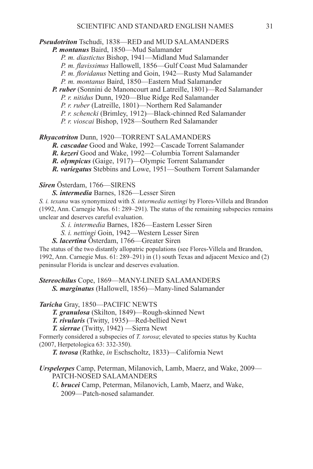#### *Pseudotriton* Tschudi, 1838—RED and MUD SALAMANDERS

*P. montanus* Baird, 1850—Mud Salamander

 *P. m. diastictus* Bishop, 1941—Midland Mud Salamander

*P. m. flavissimus* Hallowell, 1856—Gulf Coast Mud Salamander

*P. m. floridanus* Netting and Goin, 1942—Rusty Mud Salamander

 *P. m. montanus* Baird, 1850—Eastern Mud Salamander

*P. ruber* (Sonnini de Manoncourt and Latreille, 1801)—Red Salamander

 *P. r. nitidus* Dunn, 1920—Blue Ridge Red Salamander

 *P. r. ruber* (Latreille, 1801)—Northern Red Salamander

 *P. r. schencki* (Brimley, 1912)—Black-chinned Red Salamander

 *P. r. vioscai* Bishop, 1928—Southern Red Salamander

*Rhyacotriton* Dunn, 1920—TORRENT SALAMANDERS

*R. cascadae* Good and Wake, 1992—Cascade Torrent Salamander

*R. kezeri* Good and Wake, 1992—Columbia Torrent Salamander

*R. olympicus* (Gaige, 1917)—Olympic Torrent Salamander

*R. variegatus* Stebbins and Lowe, 1951—Southern Torrent Salamander

#### *Siren* Österdam, 1766—SIRENS

*S. intermedia* Barnes, 1826—Lesser Siren

*S. i. texana* was synonymized with *S. intermedia nettingi* by Flores-Villela and Brandon (1992, Ann. Carnegie Mus. 61: 289–291). The status of the remaining subspecies remains unclear and deserves careful evaluation.

 *S. i. intermedia* Barnes, 1826—Eastern Lesser Siren

 *S. i. nettingi* Goin, 1942—Western Lesser Siren

*S. lacertina* Österdam, 1766—Greater Siren

The status of the two distantly allopatric populations (see Flores-Villela and Brandon, 1992, Ann. Carnegie Mus. 61: 289–291) in (1) south Texas and adjacent Mexico and (2) peninsular Florida is unclear and deserves evaluation.

*Stereochilus* Cope, 1869—MANY-LINED SALAMANDERS

*S. marginatus* (Hallowell, 1856)—Many-lined Salamander

# *Taricha* Gray, 1850—PACIFIC NEWTS

*T. granulosa* (Skilton, 1849)—Rough-skinned Newt

*T. rivularis* (Twitty, 1935)—Red-bellied Newt

*T. sierrae* (Twitty, 1942) —Sierra Newt

Formerly considered a subspecies of *T. torosa*; elevated to species status by Kuchta (2007, Herpetologica 63: 332-350).

*T. torosa* (Rathke, *in* Eschscholtz, 1833)—California Newt

### *Urspelerpes* Camp, Peterman, Milanovich, Lamb, Maerz, and Wake, 2009— PATCH-NOSED SALAMANDERS

*U. brucei* Camp, Peterman, Milanovich, Lamb, Maerz, and Wake, 2009—Patch-nosed salamander.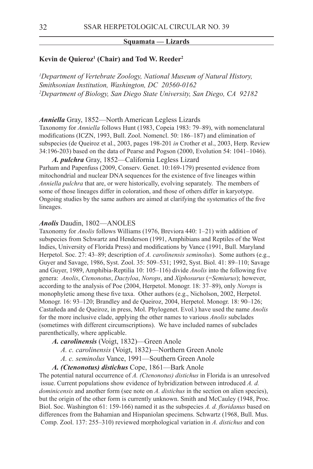#### **Squamata — Lizards**

#### **Kevin de Quieroz1 (Chair) and Tod W. Reeder2**

*1 Department of Vertebrate Zoology, National Museum of Natural History, Smithsonian Institution, Washington, DC 20560-0162 2 Department of Biology, San Diego State University, San Diego, CA 92182*

*Anniella* Gray, 1852—North American Legless Lizards

Taxonomy for *Anniella* follows Hunt (1983, Copeia 1983: 79–89), with nomenclatural modifications (ICZN, 1993, Bull. Zool. Nomencl. 50: 186–187) and elimination of subspecies (de Queiroz et al., 2003, pages 198-201 *in* Crother et al., 2003, Herp. Review 34:196-203) based on the data of Pearse and Pogson (2000, Evolution 54: 1041–1046).

*A. pulchra* Gray, 1852—California Legless Lizard Parham and Papenfuss (2009, Conserv. Genet. 10:169-179) presented evidence from mitochondrial and nuclear DNA sequences for the existence of five lineages within *Anniella pulchra* that are, or were historically, evolving separately. The members of some of those lineages differ in coloration, and those of others differ in karyotype. Ongoing studies by the same authors are aimed at clarifying the systematics of the five lineages.

#### *Anolis* Daudin, 1802—ANOLES

Taxonomy for *Anolis* follows Williams (1976, Breviora 440: 1–21) with addition of subspecies from Schwartz and Henderson (1991, Amphibians and Reptiles of the West Indies, University of Florida Press) and modifications by Vance (1991, Bull. Maryland Herpetol. Soc. 27: 43–89; description of *A. carolinensis seminolus*). Some authors (e.g., Guyer and Savage, 1986, Syst. Zool. 35: 509–531; 1992, Syst. Biol. 41: 89–110; Savage and Guyer, 1989, Amphibia-Reptilia 10: 105–116) divide *Anolis* into the following five genera: *Anolis*, *Ctenonotus*, *Dactyloa*, *Norops*, and *Xiphosurus* (=*Semiurus*); however, according to the analysis of Poe (2004, Herpetol. Monogr. 18: 37–89), only *Norops* is monophyletic among these five taxa. Other authors (e.g., Nicholson, 2002, Herpetol. Monogr. 16: 93–120; Brandley and de Queiroz, 2004, Herpetol. Monogr. 18: 90–126; Castañeda and de Queiroz, in press, Mol. Phylogenet. Evol.) have used the name *Anolis* for the more inclusive clade, applying the other names to various *Anolis* subclades (sometimes with different circumscriptions). We have included names of subclades parenthetically, where applicable.

*A. carolinensis* (Voigt, 1832)—Green Anole

 *A. c. carolinensis* (Voigt, 1832)—Northern Green Anole

 *A. c. seminolus* Vance, 1991—Southern Green Anole

*A. (Ctenonotus) distichus* Cope, 1861—Bark Anole

The potential natural occurrence of *A. (Ctenonotus) distichus* in Florida is an unresolved issue. Current populations show evidence of hybridization between introduced *A. d. dominicensis* and another form (see note on *A. distichus* in the section on alien species), but the origin of the other form is currently unknown. Smith and McCauley (1948, Proc. Biol. Soc. Washington 61: 159-166) named it as the subspecies *A. d. floridanus* based on differences from the Bahamian and Hispaniolan specimens. Schwartz (1968, Bull. Mus. Comp. Zool. 137: 255–310) reviewed morphological variation in *A. distichus* and con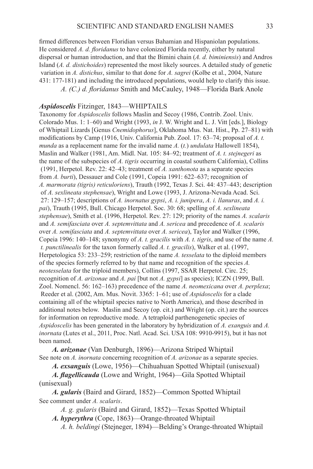firmed differences between Floridian versus Bahamian and Hispaniolan populations. He considered *A. d. floridanus* to have colonized Florida recently, either by natural dispersal or human introduction, and that the Bimini chain (*A. d. biminiensis*) and Andros Island (*A. d. distichoides*) represented the most likely sources. A detailed study of genetic variation in *A. distichus*, similar to that done for *A. sagrei* (Kolbe et al., 2004, Nature 431: 177-181) and including the introduced populations, would help to clarify this issue. *A. (C.) d. floridanus* Smith and McCauley, 1948—Florida Bark Anole

#### *Aspidoscelis* Fitzinger, 1843—WHIPTAILS

Taxonomy for *Aspidoscelis* follows Maslin and Secoy (1986, Contrib. Zool. Univ. Colorado Mus. 1: 1–60) and Wright (1993, *in* J. W. Wright and L. J. Vitt [eds.], Biology of Whiptail Lizards [Genus *Cnemidophorus*], Oklahoma Mus. Nat. Hist., Pp. 27–81) with modifications by Camp (1916, Univ. California Pub. Zool. 17: 63–74; proposal of *A. t. munda* as a replacement name for the invalid name *A.* (*t.*) *undulata* Hallowell 1854), Maslin and Walker (1981, Am. Midl. Nat. 105: 84–92; treatment of *A. t. stejnegeri* as the name of the subspecies of *A. tigris* occurring in coastal southern California), Collins (1991, Herpetol. Rev. 22: 42–43; treatment of *A. xanthonota* as a separate species from *A. burti*), Dessauer and Cole (1991, Copeia 1991: 622–637; recognition of *A. marmorata (tigris) reticuloriens*), Trauth (1992, Texas J. Sci. 44: 437–443; description of *A. sexlineata stephensae*), Wright and Lowe (1993, J. Arizona-Nevada Acad. Sci. 27: 129–157; descriptions of *A. inornatus gypsi*, *A. i. junipera*, *A. i. llanuras*, and *A. i. pai*), Trauth (1995, Bull. Chicago Herpetol. Soc. 30: 68; spelling of *A. sexlineata stephensae*), Smith et al. (1996, Herpetol. Rev. 27: 129; priority of the names *A. scalaris* and *A. semifasciata* over *A. septemvittata* and *A. sericea* and precedence of *A. scalaris* over *A. semifasciata* and *A. septemvittata* over *A. sericea*), Taylor and Walker (1996, Copeia 1996: 140–148; synonymy of *A. t. gracilis* with *A. t. tigris*, and use of the name *A. t. punctilinealis* for the taxon formerly called *A. t. gracilis*), Walker et al. (1997, Herpetologica 53: 233–259; restriction of the name *A. tesselata* to the diploid members of the species formerly referred to by that name and recognition of the species *A. neotesselata* for the triploid members), Collins (1997, SSAR Herpetol. Circ. 25; recognition of *A. arizonae* and *A. pai* [but not *A. gypsi*] as species); ICZN (1999, Bull. Zool. Nomencl. 56: 162–163) precedence of the name *A. neomexicana* over *A. perplexa*; Reeder et al. (2002, Am. Mus. Novit. 3365: 1–61; use of *Aspidoscelis* for a clade containing all of the whiptail species native to North America), and those described in additional notes below. Maslin and Secoy (op. cit.) and Wright (op. cit.) are the sources for information on reproductive mode. A tetraploid parthenogenetic species of *Aspidoscelis* has been generated in the laboratory by hybridization of *A. exanguis* and *A. inornata* (Lutes et al., 2011, Proc. Natl. Acad. Sci. USA 108: 9910-9915), but it has not been named.

*A. arizonae* (Van Denburgh, 1896)—Arizona Striped Whiptail See note on *A. inornata* concerning recognition of *A. arizonae* as a separate species.

*A. exsanguis* (Lowe, 1956)—Chihuahuan Spotted Whiptail (unisexual)

*A. flagellicauda* (Lowe and Wright, 1964)—Gila Spotted Whiptail (unisexual)

*A. gularis* (Baird and Girard, 1852)—Common Spotted Whiptail See comment under *A. scalaris*.

 *A. g. gularis* (Baird and Girard, 1852)—Texas Spotted Whiptail *A. hyperythra* (Cope, 1863)—Orange-throated Whiptail

*A. h. beldingi* (Stejneger, 1894)—Belding's Orange-throated Whiptail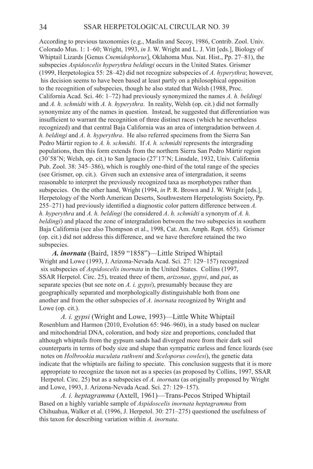According to previous taxonomies (e.g., Maslin and Secoy, 1986, Contrib. Zool. Univ. Colorado Mus. 1: 1–60; Wright, 1993, *in* J. W. Wright and L. J. Vitt [eds.], Biology of Whiptail Lizards [Genus *Cnemidophorus*], Oklahoma Mus. Nat. Hist., Pp. 27–81), the subspecies *Aspidoscelis hyperythra beldingi* occurs in the United States. Grismer (1999, Herpetologica 55: 28–42) did not recognize subspecies of *A. hyperythra*; however, his decision seems to have been based at least partly on a philosophical opposition to the recognition of subspecies, though he also stated that Welsh (1988, Proc. California Acad. Sci. 46: 1–72) had previously synonymized the names *A. h. beldingi* and *A. h. schmidti* with *A. h. hyperythra*. In reality, Welsh (op. cit.) did not formally synonymize any of the names in question. Instead, he suggested that differentiation was insufficient to warrant the recognition of three distinct races (which he nevertheless recognized) and that central Baja California was an area of intergradation between *A. h. beldingi* and *A. h. hyperythra*. He also referred specimens from the Sierra San Pedro Mártir region to *A. h. schmidti*. If *A. h. schmidti* represents the intergrading populations, then this form extends from the northern Sierra San Pedro Mártir region (30˚58˚N; Welsh, op. cit.) to San Ignacio (27˚17˚N; Linsdale, 1932, Univ. California Pub. Zool. 38: 345–386), which is roughly one-third of the total range of the species (see Grismer, op. cit.). Given such an extensive area of intergradation, it seems reasonable to interpret the previously recognized taxa as morphotypes rather than subspecies. On the other hand, Wright (1994, *in* P. R. Brown and J. W. Wright [eds.], Herpetology of the North American Deserts, Southwestern Herpetologists Society, Pp. 255–271) had previously identified a diagnostic color pattern difference between *A. h. hyperythra* and *A. h. beldingi* (he considered *A*. *h. schmidti* a synonym of *A. h. beldingi*) and placed the zone of intergradation between the two subspecies in southern Baja California (see also Thompson et al., 1998, Cat. Am. Amph. Rept. 655). Grismer (op. cit.) did not address this difference, and we have therefore retained the two subspecies.

*A. inornata* (Baird, 1859 "1858")—Little Striped Whiptail Wright and Lowe (1993, J. Arizona-Nevada Acad. Sci. 27: 129–157) recognized six subspecies of *Aspidoscelis inornata* in the United States. Collins (1997, SSAR Herpetol. Circ. 25), treated three of them, *arizonae*, *gypsi*, and *pai*, as separate species (but see note on *A. i. gypsi*), presumably because they are geographically separated and morphologically distinguishable both from one another and from the other subspecies of *A. inornata* recognized by Wright and Lowe (op. cit.).

 *A. i. gypsi* (Wright and Lowe, 1993)—Little White Whiptail Rosenblum and Harmon (2010, Evolution 65: 946–960), in a study based on nuclear and mitochondrial DNA, coloration, and body size and proportions, concluded that although whiptails from the gypsum sands had diverged more from their dark soil counterparts in terms of body size and shape than sympatric earless and fence lizards (see notes on *Holbrookia maculata ruthveni* and *Sceloporus cowlesi*), the genetic data indicate that the whiptails are failing to speciate. This conclusion suggests that it is more appropriate to recognize the taxon not as a species (as proposed by Collins, 1997, SSAR Herpetol. Circ. 25) but as a subspecies of *A. inornata* (as originally proposed by Wright and Lowe, 1993, J. Arizona-Nevada Acad. Sci. 27: 129–157).

 *A. i. heptagramma* (Axtell, 1961)—Trans-Pecos Striped Whiptail Based on a highly variable sample of *Aspidoscelis inornata heptagramma* from Chihuahua, Walker et al. (1996, J. Herpetol. 30: 271–275) questioned the usefulness of this taxon for describing variation within *A. inornata*.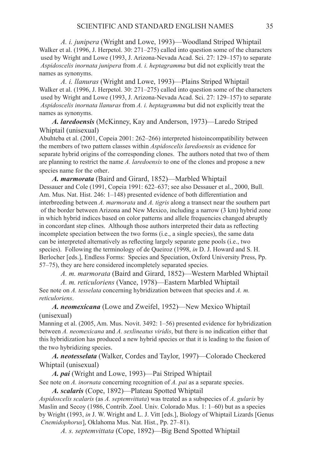*A. i. junipera* (Wright and Lowe, 1993)—Woodland Striped Whiptail Walker et al. (1996, J. Herpetol. 30: 271–275) called into question some of the characters used by Wright and Lowe (1993, J. Arizona-Nevada Acad. Sci. 27: 129–157) to separate *Aspidoscelis inornata junipera* from *A. i. heptagramma* but did not explicitly treat the names as synonyms.

 *A. i. llanuras* (Wright and Lowe, 1993)—Plains Striped Whiptail Walker et al. (1996, J. Herpetol. 30: 271–275) called into question some of the characters used by Wright and Lowe (1993, J. Arizona-Nevada Acad. Sci. 27: 129–157) to separate *Aspidoscelis inornata llanuras* from *A. i. heptagramma* but did not explicitly treat the names as synonyms.

*A. laredoensis* (McKinney, Kay and Anderson, 1973)—Laredo Striped Whiptail (unisexual)

Abuhteba et al. (2001, Copeia 2001: 262–266) interpreted histoincompatibility between the members of two pattern classes within *Aspidoscelis laredoensis* as evidence for separate hybrid origins of the corresponding clones. The authors noted that two of them are planning to restrict the name *A. laredoensis* to one of the clones and propose a new species name for the other.

*A. marmorata* (Baird and Girard, 1852)—Marbled Whiptail Dessauer and Cole (1991, Copeia 1991: 622–637; see also Dessauer et al., 2000, Bull. Am. Mus. Nat. Hist. 246: 1–148) presented evidence of both differentiation and interbreeding between *A. marmorata* and *A. tigris* along a transect near the southern part of the border between Arizona and New Mexico, including a narrow (3 km) hybrid zone in which hybrid indices based on color patterns and allele frequencies changed abruptly in concordant step clines. Although those authors interpreted their data as reflecting incomplete speciation between the two forms (i.e., a single species), the same data can be interpreted alternatively as reflecting largely separate gene pools (i.e., two species). Following the terminology of de Queiroz (1998, *in* D. J. Howard and S. H. Berlocher [eds.], Endless Forms: Species and Speciation, Oxford University Press, Pp. 57–75), they are here considered incompletely separated species.

 *A. m. marmorata* (Baird and Girard, 1852)—Western Marbled Whiptail

 *A. m. reticuloriens* (Vance, 1978)—Eastern Marbled Whiptail See note on *A. tesselata* concerning hybridization between that species and *A. m. reticuloriens*.

*A. neomexicana* (Lowe and Zweifel, 1952)—New Mexico Whiptail (unisexual)

Manning et al. (2005, Am. Mus. Novit. 3492: 1–56) presented evidence for hybridization between *A. neomexicana* and *A. sexlineatus viridis*, but there is no indication either that this hybridization has produced a new hybrid species or that it is leading to the fusion of the two hybridizing species.

*A. neotesselata* (Walker, Cordes and Taylor, 1997)—Colorado Checkered Whiptail (unisexual)

*A. pai* (Wright and Lowe, 1993)—Pai Striped Whiptail See note on *A. inornata* concerning recognition of *A. pai* as a separate species.

*A. scalaris* (Cope, 1892)—Plateau Spotted Whiptail *Aspidoscelis scalaris* (as *A. septemvittata*) was treated as a subspecies of *A. gularis* by Maslin and Secoy (1986, Contrib. Zool. Univ. Colorado Mus. 1: 1–60) but as a species by Wright (1993, *in* J. W. Wright and L. J. Vitt [eds.], Biology of Whiptail Lizards [Genus *Cnemidophorus*], Oklahoma Mus. Nat. Hist., Pp. 27–81).

 *A. s. septemvittata* (Cope, 1892)—Big Bend Spotted Whiptail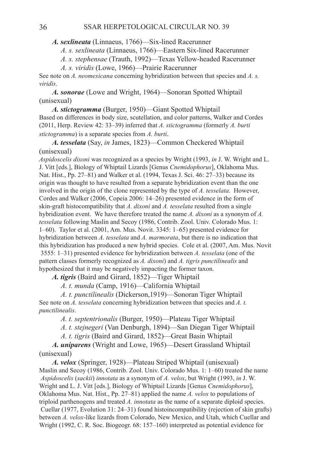*A. sexlineata* (Linnaeus, 1766)—Six-lined Racerunner

 *A. s. sexlineata* (Linnaeus, 1766)—Eastern Six-lined Racerunner

 *A. s. stephensae* (Trauth, 1992)—Texas Yellow-headed Racerunner

 *A. s. viridis* (Lowe, 1966)—Prairie Racerunner

See note on *A. neomexicana* concerning hybridization between that species and *A. s. viridis*.

*A. sonorae* (Lowe and Wright, 1964)—Sonoran Spotted Whiptail (unisexual)

*A. stictogramma* (Burger, 1950)—Giant Spotted Whiptail Based on differences in body size, scutellation, and color patterns, Walker and Cordes (2011, Herp. Review 42: 33–39) inferred that *A. stictogramma* (formerly *A. burti stictogramma*) is a separate species from *A. burti*.

*A. tesselata* (Say, *in* James, 1823)—Common Checkered Whiptail (unisexual)

*Aspidoscelis dixoni* was recognized as a species by Wright (1993, *in* J. W. Wright and L. J. Vitt [eds.], Biology of Whiptail Lizards [Genus *Cnemidophorus*], Oklahoma Mus. Nat. Hist., Pp. 27–81) and Walker et al. (1994, Texas J. Sci. 46: 27–33) because its origin was thought to have resulted from a separate hybridization event than the one involved in the origin of the clone represented by the type of *A. tesselata*. However, Cordes and Walker (2006, Copeia 2006: 14–26) presented evidence in the form of skin-graft histocompatibility that *A. dixoni* and *A. tesselata* resulted from a single hybridization event. We have therefore treated the name *A. dixoni* as a synonym of *A. tesselata* following Maslin and Secoy (1986, Contrib. Zool. Univ. Colorado Mus. 1: 1–60). Taylor et al. (2001, Am. Mus. Novit. 3345: 1–65) presented evidence for hybridization between *A. tesselata* and *A. marmorata*, but there is no indication that this hybridization has produced a new hybrid species. Cole et al. (2007, Am. Mus. Novit 3555: 1–31) presented evidence for hybridization between *A. tesselata* (one of the pattern classes formerly recognized as *A. dixoni*) and *A. tigris punctilinealis* and hypothesized that it may be negatively impacting the former taxon.

*A. tigris* (Baird and Girard, 1852)—Tiger Whiptail

 *A. t. munda* (Camp, 1916)—California Whiptail

 *A. t. punctilinealis* (Dickerson,1919)—Sonoran Tiger Whiptail See note on *A. tesselata* concerning hybridization between that species and *A. t. punctilinealis*.

 *A. t. septentrionalis* (Burger, 1950)—Plateau Tiger Whiptail

 *A. t. stejnegeri* (Van Denburgh, 1894)—San Diegan Tiger Whiptail

 *A. t. tigris* (Baird and Girard, 1852)—Great Basin Whiptail

*A. uniparens* (Wright and Lowe, 1965)—Desert Grassland Whiptail (unisexual)

*A. velox* (Springer, 1928)—Plateau Striped Whiptail (unisexual) Maslin and Secoy (1986, Contrib. Zool. Univ. Colorado Mus. 1: 1–60) treated the name *Aspidoscelis* (*sackii*) *innotata* as a synonym of *A. velox*, but Wright (1993, *in* J. W. Wright and L. J. Vitt [eds.], Biology of Whiptail Lizards [Genus *Cnemidophorus*], Oklahoma Mus. Nat. Hist., Pp. 27–81) applied the name *A. velox* to populations of triploid parthenogens and treated *A. innotata* as the name of a separate diploid species. Cuellar (1977, Evolution 31: 24–31) found histoincompatibility (rejection of skin grafts) between *A. velox*-like lizards from Colorado, New Mexico, and Utah, which Cuellar and Wright (1992, C. R. Soc. Biogeogr. 68: 157–160) interpreted as potential evidence for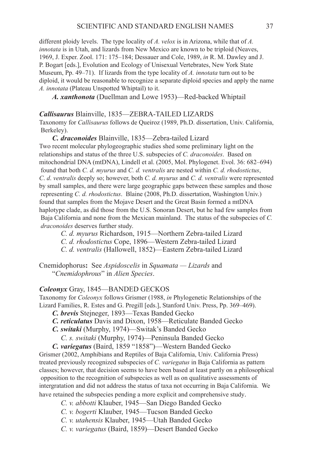different ploidy levels. The type locality of *A. velox* is in Arizona, while that of *A. innotata* is in Utah, and lizards from New Mexico are known to be triploid (Neaves, 1969, J. Exper. Zool. 171: 175–184; Dessauer and Cole, 1989, *in* R. M. Dawley and J. P. Bogart [eds.], Evolution and Ecology of Unisexual Vertebrates, New York State Museum, Pp. 49–71). If lizards from the type locality of *A. innotata* turn out to be diploid, it would be reasonable to recognize a separate diploid species and apply the name *A. innotata* (Plateau Unspotted Whiptail) to it.

*A. xanthonota* (Duellman and Lowe 1953)—Red-backed Whiptail

#### *Callisaurus* Blainville, 1835—Zebra-tailed Lizards

Taxonomy for *Callisaurus* follows de Queiroz (1989, Ph.D. dissertation, Univ. California, Berkeley).

*C. draconoides* Blainville, 1835—Zebra-tailed Lizard Two recent molecular phylogeographic studies shed some preliminary light on the relationships and status of the three U.S. subspecies of *C. draconoides*. Based on mitochondrial DNA (mtDNA), Lindell et al. (2005, Mol. Phylogenet. Evol. 36: 682–694) found that both *C. d. myurus* and *C. d. ventralis* are nested within *C. d. rhodostictus*, *C*. *d*. *ventralis* deeply so; however, both *C. d. myurus* and *C. d. ventralis* were represented by small samples, and there were large geographic gaps between these samples and those representing *C. d. rhodostictus*. Blaine (2008, Ph.D. dissertation, Washington Univ.) found that samples from the Mojave Desert and the Great Basin formed a mtDNA haplotype clade, as did those from the U.S. Sonoran Desert, but he had few samples from Baja California and none from the Mexican mainland. The status of the subspecies of *C. draconoides* deserves further study.

 *C. d. myurus* Richardson, 1915—Northern Zebra-tailed Lizard

- *C. d. rhodostictus* Cope, 1896—Western Zebra-tailed Lizard
- *C. d. ventralis* (Hallowell, 1852)—Eastern Zebra-tailed Lizard

Cnemidophorus**:** See *Aspidoscelis* in *Squamata — Lizards* and "*Cnemidophrous*" in *Alien Species*.

#### **Coleonyx** Gray, 1845—BANDED GECKOS

Taxonomy for *Coleonyx* follows Grismer (1988, *in* Phylogenetic Relationships of the Lizard Families, R. Estes and G. Pregill [eds.], Stanford Univ. Press, Pp. 369–469).

- *C. brevis* Stejneger, 1893—Texas Banded Gecko
- *C. reticulatus* Davis and Dixon, 1958—Reticulate Banded Gecko
- *C. switaki* (Murphy, 1974)—Switak's Banded Gecko

 *C. s. switaki* (Murphy, 1974)—Peninsula Banded Gecko

*C. variegatus* (Baird, 1859 "1858")—Western Banded Gecko Grismer (2002, Amphibians and Reptiles of Baja California, Univ. California Press) treated previously recognized subspecies of *C. variegatus* in Baja California as pattern classes; however, that decision seems to have been based at least partly on a philosophical opposition to the recognition of subspecies as well as on qualitative assessments of intergratation and did not address the status of taxa not occurring in Baja California. We have retained the subspecies pending a more explicit and comprehensive study.

 *C. v. abbotti* Klauber, 1945—San Diego Banded Gecko

- *C. v. bogerti* Klauber, 1945—Tucson Banded Gecko
- *C. v. utahensis* Klauber, 1945—Utah Banded Gecko
- *C. v. variegatus* (Baird, 1859)—Desert Banded Gecko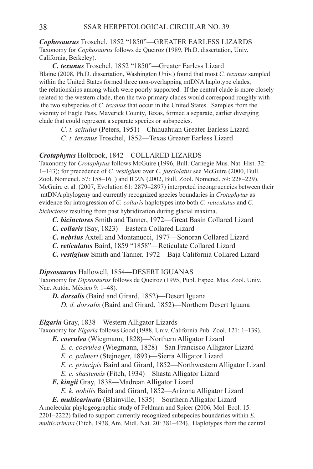*Cophosaurus* Troschel, 1852 "1850"—Greater Earless Lizards Taxonomy for *Cophosaurus* follows de Queiroz (1989, Ph.D. dissertation, Univ. California, Berkeley).

*C. texanus* Troschel, 1852 "1850"—Greater Earless Lizard Blaine (2008, Ph.D. dissertation, Washington Univ.) found that most *C. texanus* sampled within the United States formed three non-overlapping mtDNA haplotype clades, the relationships among which were poorly supported. If the central clade is more closely related to the western clade, then the two primary clades would correspond roughly with the two subspecies of *C. texanus* that occur in the United States. Samples from the vicinity of Eagle Pass, Maverick County, Texas, formed a separate, earlier diverging clade that could represent a separate species or subspecies.

 *C. t. scitulus* (Peters, 1951)—Chihuahuan Greater Earless Lizard  *C. t. texanus* Troschel, 1852—Texas Greater Earless Lizard

## *Crotaphytus* Holbrook, 1842—Collared Lizards

Taxonomy for *Crotaphytus* follows McGuire (1996, Bull. Carnegie Mus. Nat. Hist. 32: 1–143); for precedence of *C. vestigium* over *C. fasciolatus* see McGuire (2000, Bull. Zool. Nomencl. 57: 158–161) and ICZN (2002, Bull. Zool. Nomencl. 59: 228–229). McGuire et al. (2007, Evolution 61: 2879–2897) interpreted incongruencies between their mtDNA phylogeny and currently recognized species boundaries in *Crotaphytus* as evidence for introgression of *C. collaris* haplotypes into both *C. reticulatus* and *C. bicinctores* resulting from past hybridization during glacial maxima.

- *C. bicinctores* Smith and Tanner, 1972—Great Basin Collared Lizard
- *C. collaris* (Say, 1823)—Eastern Collared Lizard
- *C. nebrius* Axtell and Montanucci, 1977—Sonoran Collared Lizard
- *C. reticulatus* Baird, 1859 "1858"—Reticulate Collared Lizard
- *C. vestigium* Smith and Tanner, 1972—Baja California Collared Lizard

**Dipsosaurus** Hallowell, 1854—DESERT IGUANAS

Taxonomy for *Dipsosaurus* follows de Queiroz (1995, Publ. Espec. Mus. Zool. Univ. Nac. Autón. México 9: 1–48).

*D. dorsalis* (Baird and Girard, 1852)—Desert Iguana  *D. d. dorsalis* (Baird and Girard, 1852)—Northern Desert Iguana

*Elgaria* Gray, 1838—Western Alligator Lizards

Taxonomy for *Elgaria* follows Good (1988, Univ. California Pub. Zool. 121: 1–139).

*E. coerulea* (Wiegmann, 1828)—Northern Alligator Lizard

- *E. c. coerulea* (Wiegmann, 1828)—San Francisco Alligator Lizard
- *E. c. palmeri* (Stejneger, 1893)—Sierra Alligator Lizard
- *E. c. principis* Baird and Girard, 1852—Northwestern Alligator Lizard
- *E. c. shastensis* (Fitch, 1934)—Shasta Alligator Lizard
- *E. kingii* Gray, 1838—Madrean Alligator Lizard
	- *E. k. nobilis* Baird and Girard, 1852—Arizona Alligator Lizard

*E. multicarinata* (Blainville, 1835)—Southern Alligator Lizard

A molecular phylogeographic study of Feldman and Spicer (2006, Mol. Ecol. 15: 2201–2222) failed to support currently recognized subspecies boundaries within *E. multicarinata* (Fitch, 1938, Am. Midl. Nat. 20: 381–424). Haplotypes from the central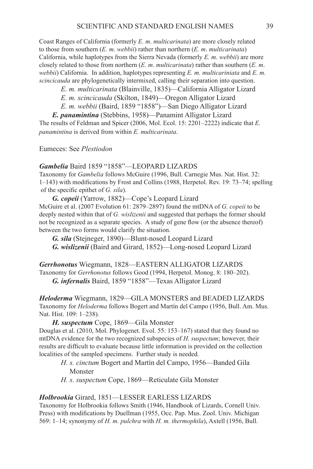Coast Ranges of California (formerly *E. m*. *multicarinata*) are more closely related to those from southern (*E. m*. *webbii*) rather than northern (*E. m*. *multicarinata*) California, while haplotypes from the Sierra Nevada (formerly *E. m*. *webbii*) are more closely related to those from northern (*E. m*. *multicarinata*) rather than southern (*E. m*. *webbii*) California. In addition, haplotypes representing *E. m. multicariniata* and *E. m. scincicauda* are phylogenetically intermixed, calling their separation into question.

 *E. m. multicarinata* (Blainville, 1835)—California Alligator Lizard

 *E. m. scincicauda* (Skilton, 1849)—Oregon Alligator Lizard

 *E. m. webbii* (Baird, 1859 "1858")—San Diego Alligator Lizard

*E. panamintina* (Stebbins, 1958)—Panamint Alligator Lizard

The results of Feldman and Spicer (2006, Mol. Ecol. 15: 2201–2222) indicate that *E. panamintina* is derived from within *E. multicarinata*.

Eumeces: See *Plestiodon*

# Gambelia Baird 1859 "1858"-LEOPARD LIZARDS

Taxonomy for *Gambelia* follows McGuire (1996, Bull. Carnegie Mus. Nat. Hist. 32: 1–143) with modifications by Frost and Collins (1988, Herpetol. Rev. 19: 73–74; spelling of the specific epithet of *G. sila*).

*G. copeii* (Yarrow, 1882)—Cope's Leopard Lizard McGuire et al. (2007 Evolution 61: 2879–2897) found the mtDNA of *G. copeii* to be deeply nested within that of *G. wislizenii* and suggested that perhaps the former should not be recognized as a separate species. A study of gene flow (or the absence thereof) between the two forms would clarify the situation.

*G. sila* (Stejneger, 1890)—Blunt-nosed Leopard Lizard

*G. wislizenii* (Baird and Girard, 1852)—Long-nosed Leopard Lizard

Gerrhonotus Wiegmann, 1828—EASTERN ALLIGATOR LIZARDS Taxonomy for *Gerrhonotus* follows Good (1994, Herpetol. Monog. 8: 180–202). *G. infernalis* Baird, 1859 "1858"—Texas Alligator Lizard

*Heloderma* Wiegmann, 1829—GILA MONSTERS and BEADED LIZARDS Taxonomy for *Heloderma* follows Bogert and Martín del Campo (1956, Bull. Am. Mus. Nat. Hist. 109: 1–238).

*H. suspectum* Cope, 1869—Gila Monster

Douglas et al. (2010, Mol. Phylogenet. Evol. 55: 153–167) stated that they found no mtDNA evidence for the two recognized subspecies of *H. suspectum*; however, their results are difficult to evaluate because little information is provided on the collection localities of the sampled specimens. Further study is needed.

- *H. s. cinctum* Bogert and Martín del Campo, 1956—Banded Gila Monster
- *H. s. suspectum* Cope, 1869—Reticulate Gila Monster

#### *Holbrookia* Girard, 1851—Lesser Earless Lizards

Taxonomy for Holbrookia follows Smith (1946, Handbook of Lizards, Cornell Univ. Press) with modifications by Duellman (1955, Occ. Pap. Mus. Zool. Univ. Michigan 569: 1–14; synonymy of *H. m. pulchra* with *H. m. thermophila*), Axtell (1956, Bull.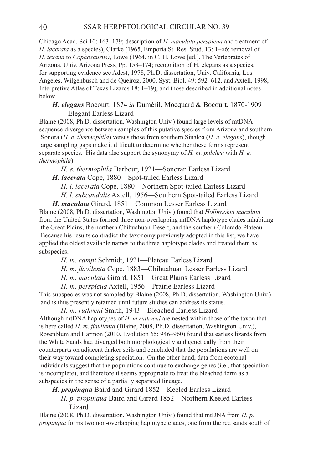Chicago Acad. Sci 10: 163–179; description of *H. maculata perspicua* and treatment of *H. lacerata* as a species), Clarke (1965, Emporia St. Res. Stud. 13: 1–66; removal of *H. texana* to *Cophosaurus)*, Lowe (1964, in C. H. Lowe [ed.], The Vertebrates of Arizona, Univ. Arizona Press, Pp. 153–174; recognition of H. elegans as a species; for supporting evidence see Adest, 1978, Ph.D. dissertation, Univ. California, Los Angeles, Wilgenbusch and de Queiroz, 2000, Syst. Biol. 49: 592–612, and Axtell, 1998, Interpretive Atlas of Texas Lizards 18: 1–19), and those described in additional notes below.

### *H. elegans* Bocourt, 1874 *in* Duméril, Mocquard & Bocourt, 1870-1909 —Elegant Earless Lizard

Blaine (2008, Ph.D. dissertation, Washington Univ.) found large levels of mtDNA sequence divergence between samples of this putative species from Arizona and southern Sonora (*H. e. thermophila*) versus those from southern Sinaloa (*H. e. elegans*), though large sampling gaps make it difficult to determine whether these forms represent separate species. His data also support the synonymy of *H. m. pulchra* with *H. e. thermophila*).

*H. e. thermophila* Barbour, 1921—Sonoran Earless Lizard

*H. lacerata* Cope, 1880—Spot-tailed Earless Lizard

 *H. l. lacerata* Cope, 1880—Northern Spot-tailed Earless Lizard

 *H. l. subcaudalis* Axtell, 1956—Southern Spot-tailed Earless Lizard

*H. maculata* Girard, 1851—Common Lesser Earless Lizard Blaine (2008, Ph.D. dissertation, Washington Univ.) found that *Holbrookia maculata* from the United States formed three non-overlapping mtDNA haplotype clades inhabiting the Great Plains, the northern Chihuahuan Desert, and the southern Colorado Plateau. Because his results contradict the taxonomy previously adopted in this list, we have applied the oldest available names to the three haplotype clades and treated them as subspecies.

 *H. m. campi* Schmidt, 1921—Plateau Earless Lizard

*H. m. flavilenta* Cope, 1883—Chihuahuan Lesser Earless Lizard

 *H. m. maculata* Girard, 1851—Great Plains Earless Lizard

 *H. m. perspicua* Axtell, 1956—Prairie Earless Lizard

This subspecies was not sampled by Blaine (2008, Ph.D. dissertation, Washington Univ.) and is thus presently retained until future studies can address its status.

 *H. m. ruthveni* Smith, 1943—Bleached Earless Lizard Although mtDNA haplotypes of *H. m ruthveni* are nested within those of the taxon that is here called *H. m. flavilenta* (Blaine, 2008, Ph.D. dissertation, Washington Univ.), Rosenblum and Harmon (2010, Evolution 65: 946–960) found that earless lizards from the White Sands had diverged both morphologically and genetically from their counterparts on adjacent darker soils and concluded that the populations are well on their way toward completing speciation. On the other hand, data from ecotonal individuals suggest that the populations continue to exchange genes (i.e., that speciation is incomplete), and therefore it seems appropriate to treat the bleached form as a subspecies in the sense of a partially separated lineage.

*H. propinqua* Baird and Girard 1852—Keeled Earless Lizard

 *H. p. propinqua* Baird and Girard 1852—Northern Keeled Earless Lizard

Blaine (2008, Ph.D. dissertation, Washington Univ.) found that mtDNA from *H. p. propinqua* forms two non-overlapping haplotype clades, one from the red sands south of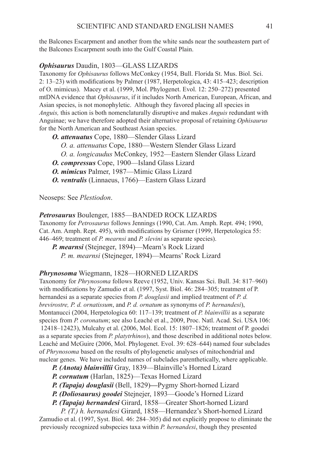the Balcones Escarpment and another from the white sands near the southeastern part of the Balcones Escarpment south into the Gulf Coastal Plain.

### **Ophisaurus** Daudin, 1803-GLASS LIZARDS

Taxonomy for *Ophisaurus* follows McConkey (1954, Bull. Florida St. Mus. Biol. Sci. 2: 13–23) with modifications by Palmer (1987, Herpetologica, 43: 415–423; description of O. mimicus). Macey et al. (1999, Mol. Phylogenet. Evol. 12: 250–272) presented mtDNA evidence that *Ophisaurus*, if it includes North American, European, African, and Asian species, is not monophyletic. Although they favored placing all species in *Anguis,* this action is both nomenclaturally disruptive and makes *Anguis* redundant with Anguinae; we have therefore adopted their alternative proposal of retaining *Ophisaurus* for the North American and Southeast Asian species.

- *O. attenuatus* Cope, 1880—Slender Glass Lizard
	- *O. a. attenuatus* Cope, 1880—Western Slender Glass Lizard
	- *O. a. longicaudus* McConkey, 1952—Eastern Slender Glass Lizard
- *O. compressus* Cope, 1900—Island Glass Lizard
- *O. mimicus* Palmer, 1987—Mimic Glass Lizard
- *O. ventralis* (Linnaeus, 1766)—Eastern Glass Lizard

Neoseps: See *Plestiodon*.

Petrosaurus Boulenger, 1885—BANDED ROCK LIZARDS Taxonomy for *Petrosaurus* follows Jennings (1990, Cat. Am. Amph. Rept. 494; 1990, Cat. Am. Amph. Rept. 495), with modifications by Grismer (1999, Herpetologica 55: 446–469; treatment of *P. mearnsi* and *P. slevini* as separate species). *P. mearnsi* (Stejneger, 1894)—Mearn's Rock Lizard

 *P. m. mearnsi* (Stejneger, 1894)—Mearns' Rock Lizard

# Phrynosoma Wiegmann, 1828-HORNED LIZARDS

Taxonomy for *Phrynosoma* follows Reeve (1952, Univ. Kansas Sci. Bull. 34: 817–960) with modifications by Zamudio et al. (1997, Syst. Biol. 46: 284–305; treatment of P. hernandesi as a separate species from *P. douglasii* and implied treatment of *P. d. brevirostre, P. d. ornatissum*, and *P. d. ornatum* as synonyms of *P. hernandesi*), Montanucci (2004, Herpetologica 60: 117–139; treatment of *P. blainvillii* as a separate species from *P. coronatum*; see also Leaché et al., 2009, Proc. Natl. Acad. Sci. USA 106: 12418–12423), Mulcahy et al. (2006, Mol. Ecol. 15: 1807–1826; treatment of P. goodei as a separate species from *P. platytrhinos*), and those described in additional notes below. Leaché and McGuire (2006, Mol. Phylogenet. Evol. 39: 628–644) named four subclades of *Phrynosoma* based on the results of phylogenetic analyses of mitochondrial and nuclear genes. We have included names of subclades parenthetically, where applicable.

*P. (Anota) blainvillii* Gray, 1839—Blainville's Horned Lizard

- *P. cornutum* (Harlan, 1825)—Texas Horned Lizard
- *P. (Tapaja) douglasii* (Bell, 1829)**—**Pygmy Short-horned Lizard
- *P. (Doliosaurus) goodei* Stejnejer, 1893—Goode's Horned Lizard

*P. (Tapaja) hernandesi* Girard, 1858—Greater Short-horned Lizard

 *P. (T.) h. hernandesi* Girard, 1858—Hernandez's Short-horned Lizard Zamudio et al. (1997, Syst. Biol. 46: 284–305) did not explicitly propose to eliminate the previously recognized subspecies taxa within *P. hernandesi*, though they presented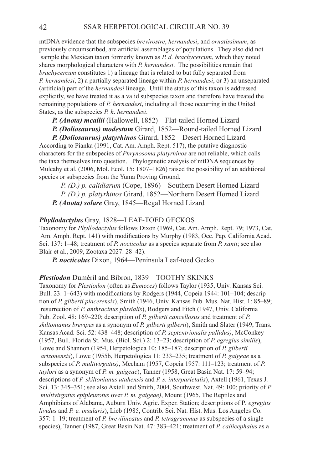mtDNA evidence that the subspecies *brevirostre*, *hernandesi*, and *ornatissimum*, as previously circumscribed, are artificial assemblages of populations. They also did not sample the Mexican taxon formerly known as *P. d. brachycercum*, which they noted shares morphological characters with *P. hernandesi*. The possibilities remain that *brachycercum* constitutes 1) a lineage that is related to but fully separated from *P. hernandesi*, 2) a partially separated lineage within *P. hernandesi*, or 3) an unseparated (artificial) part of the *hernandesi* lineage. Until the status of this taxon is addressed explicitly, we have treated it as a valid subspecies taxon and therefore have treated the remaining populations of *P. hernandesi*, including all those occurring in the United States, as the subspecies *P. h*. *hernandesi*.

*P. (Anota) mcallii* (Hallowell, 1852)—Flat-tailed Horned Lizard

*P. (Doliosaurus) modestum* Girard, 1852—Round-tailed Horned Lizard

*P. (Doliosaurus) platyrhinos* Girard, 1852—Desert Horned Lizard According to Pianka (1991, Cat. Am. Amph. Rept. 517), the putative diagnostic characters for the subspecies of *Phrynosoma platyrhinos* are not reliable, which calls the taxa themselves into question. Phylogenetic analysis of mtDNA sequences by Mulcahy et al. (2006, Mol. Ecol. 15: 1807–1826) raised the possibility of an additional species or subspecies from the Yuma Proving Ground.

 *P. (D.) p. calidiarum* (Cope, 1896)—Southern Desert Horned Lizard  *P. (D.) p. platyrhinos* Girard, 1852—Northern Desert Horned Lizard *P. (Anota) solare* Gray, 1845—Regal Horned Lizard

#### **Phyllodactylus Gray, 1828—LEAF-TOED GECKOS**

Taxonomy for *Phyllodactylus* follows Dixon (1969, Cat. Am. Amph. Rept. 79; 1973, Cat. Am. Amph. Rept. 141) with modifications by Murphy (1983, Occ. Pap. California Acad. Sci. 137: 1–48; treatment of *P. nocticolus* as a species separate from *P. xanti*; see also Blair et al., 2009, Zootaxa 2027: 28–42).

*P. nocticolus* Dixon, 1964—Peninsula Leaf-toed Gecko

#### *Plestiodon Duméril and Bibron, 1839—TOOTHY SKINKS*

Taxonomy for *Plestiodon* (often as *Eumeces*) follows Taylor (1935, Univ. Kansas Sci. Bull. 23: 1–643) with modifications by Rodgers (1944, Copeia 1944: 101–104; descrip tion of *P. gilberti placerensis*), Smith (1946, Univ. Kansas Pub. Mus. Nat. Hist. 1: 85–89; resurrection of *P. anthracinus pluvialis*), Rodgers and Fitch (1947, Univ. California Pub. Zool. 48: 169–220; description of *P. gilberti cancellosus* and treatment of *P. skiltonianus brevipes* as a synonym of *P. gilberti gilberti*), Smith and Slater (1949, Trans. Kansas Acad. Sci. 52: 438–448; description of *P. septentrionalis pallidus)*, McConkey (1957, Bull. Florida St. Mus. (Biol. Sci.) 2: 13–23; description of *P. egregius similis*), Lowe and Shannon (1954, Herpetologica 10: 185–187; description of *P. gilberti arizonensis*), Lowe (1955b, Herpetologica 11: 233–235; treatment of *P. gaigeae* as a subspecies of *P. multivirgatus)*, Mecham (1957, Copeia 1957: 111–123; treatment of *P. taylori* as a synonym of *P. m. gaigeae*), Tanner (1958, Great Basin Nat. 17: 59–94; descriptions of *P. skiltonianus utahensis* and *P. s. interparietalis*), Axtell (1961, Texas J. Sci. 13: 345–351; see also Axtell and Smith, 2004, Southwest. Nat. 49: 100; priority of *P. multivirgatus epipleurotus* over *P. m. gaigeae)*, Mount (1965, The Reptiles and Amphibians of Alabama, Auburn Univ. Agric. Exper. Station; descriptions of P*. egregius lividus* and *P. e. insularis*), Lieb (1985, Contrib. Sci. Nat. Hist. Mus. Los Angeles Co. 357: 1–19; treatment of *P. brevilineatus* and *P. tetragrammus* as subspecies of a single species), Tanner (1987, Great Basin Nat. 47: 383–421; treatment of *P. callicephalus* as a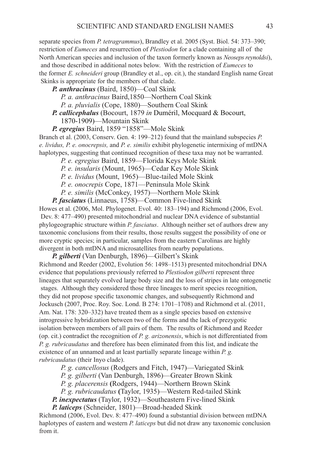separate species from *P. tetragrammus*), Brandley et al. 2005 (Syst. Biol. 54: 373–390; restriction of *Eumeces* and resurrection of *Plestiodon* for a clade containing all of the North American species and inclusion of the taxon formerly known as *Neoseps reynoldsi*), and those described in additional notes below. With the restriction of *Eumeces* to the former *E. schneideri* group (Brandley et al., op. cit.), the standard English name Great Skinks is appropriate for the members of that clade.

*P. anthracinus* (Baird, 1850)—Coal Skink

 *P. a. anthracinus* Baird,1850—Northern Coal Skink

 *P. a. pluvialis* (Cope, 1880)—Southern Coal Skink

*P. callicephalus* (Bocourt, 1879 *in* Duméril, Mocquard & Bocourt, 1870-1909)—Mountain Skink

*P. egregius* Baird, 1859 "1858"—Mole Skink

Branch et al. (2003, Conserv. Gen. 4: 199–212) found that the mainland subspecies *P. e. lividus, P. e. onocrepsis,* and *P. e. similis* exhibit phylogenetic intermixing of mtDNA haplotypes, suggesting that continued recognition of these taxa may not be warranted.

 *P. e. egregius* Baird, 1859—Florida Keys Mole Skink

 *P. e. insularis* (Mount, 1965)—Cedar Key Mole Skink

 *P. e. lividus* (Mount, 1965)—Blue-tailed Mole Skink

 *P. e. onocrepis* Cope, 1871—Peninsula Mole Skink

 *P. e. similis* (McConkey, 1957)—Northern Mole Skink

*P. fasciatus* (Linnaeus, 1758)—Common Five-lined Skink

Howes et al. (2006, Mol. Phylogenet. Evol. 40: 183–194) and Richmond (2006, Evol. Dev. 8: 477–490) presented mitochondrial and nuclear DNA evidence of substantial phylogeographic structure within *P. fasciatus*. Although neither set of authors drew any taxonomic conclusions from their results, those results suggest the possibility of one or more cryptic species; in particular, samples from the eastern Carolinas are highly divergent in both mtDNA and microsatellites from nearby populations.

*P. gilberti* (Van Denburgh, 1896)—Gilbert's Skink Richmond and Reeder (2002, Evolution 56: 1498–1513) presented mitochondrial DNA evidence that populations previously referred to *Plestiodon gilberti* represent three lineages that separately evolved large body size and the loss of stripes in late ontogenetic stages. Although they considered those three lineages to merit species recognition, they did not propose specific taxonomic changes, and subsequently Richmond and Jockusch (2007, Proc. Roy. Soc. Lond. B 274: 1701–1708) and Richmond et al. (2011, Am. Nat. 178: 320–332) have treated them as a single species based on extensive introgressive hybridization between two of the forms and the lack of prezygotic isolation between members of all pairs of them. The results of Richmond and Reeder (op. cit.) contradict the recognition of *P. g. arizonensis*, which is not differentiated from *P. g. rubricaudatus* and therefore has been eliminated from this list, and indicate the existence of an unnamed and at least partially separate lineage within *P. g. rubricaudatus* (their Inyo clade).

*P. g. cancellosus* (Rodgers and Fitch, 1947)—Variegated Skink

 *P. g. gilberti* (Van Denburgh, 1896)—Greater Brown Skink

 *P. g. placerensis* **(**Rodgers, 1944)—Northern Brown Skink

 *P. g. rubricaudatus* **(**Taylor, 1935)—Western Red-tailed Skink

*P. inexpectatus* (Taylor, 1932)—Southeastern Five-lined Skink

*P. laticeps* (Schneider, 1801)—Broad-headed Skink

Richmond (2006, Evol. Dev. 8: 477–490) found a substantial division between mtDNA haplotypes of eastern and western *P. laticeps* but did not draw any taxonomic conclusion from it.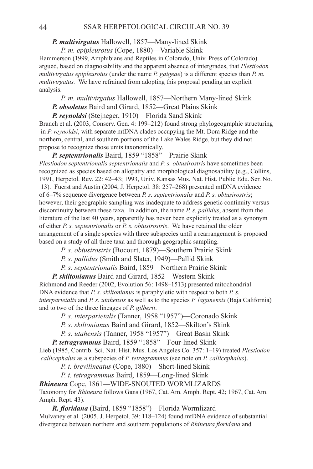## *P. multivirgatus* Hallowell, 1857—Many-lined Skink

 *P. m. epipleurotus* (Cope, 1880)—Variable Skink

Hammerson (1999, Amphibians and Reptiles in Colorado, Univ. Press of Colorado) argued, based on diagnosability and the apparent absence of intergrades, that *Plestiodon multivirgatus epipleurotus* (under the name *P. gaigeae*) is a different species than *P. m. multivirgatus.* We have refrained from adopting this proposal pending an explicit analysis.

*P. m. multivirgatus* Hallowell, 1857—Northern Many-lined Skink

*P. obsoletus* Baird and Girard, 1852—Great Plains Skink

*P. reynoldsi* (Stejneger, 1910)—Florida Sand Skink

Branch et al. (2003, Conserv. Gen. 4: 199–212) found strong phylogeographic structuring in *P. reynoldsi*, with separate mtDNA clades occupying the Mt. Dora Ridge and the northern, central, and southern portions of the Lake Wales Ridge, but they did not propose to recognize those units taxonomically.

*P. septentrionalis* Baird, 1859 "1858"—Prairie Skink *Plestiodon septentrionalis septentrionalis* and *P. s. obtusirostris* have sometimes been recognized as species based on allopatry and morphological diagnosability (e.g., Collins, 1991, Herpetol. Rev. 22: 42–43; 1993, Univ. Kansas Mus. Nat. Hist. Public Edu. Ser. No. 13). Fuerst and Austin (2004, J. Herpetol. 38: 257–268) presented mtDNA evidence of 6–7% sequence divergence between *P. s. septentrionalis* and *P. s. obtusirostris*; however, their geographic sampling was inadequate to address genetic continuity versus discontinuity between these taxa. In addition, the name *P. s. pallidus*, absent from the literature of the last 40 years, apparently has never been explicitly treated as a synonym of either *P. s. septentrionalis* or *P. s. obtusirostris*. We have retained the older arrangement of a single species with three subspecies until a rearrangement is proposed based on a study of all three taxa and thorough geographic sampling.

 *P. s. obtusirostris* (Bocourt, 1879)—Southern Prairie Skink

 *P. s. pallidus* (Smith and Slater, 1949)—Pallid Skink

 *P. s. septentrionalis* Baird, 1859—Northern Prairie Skink

*P. skiltonianus* Baird and Girard, 1852—Western Skink

Richmond and Reeder (2002, Evolution 56: 1498–1513) presented mitochondrial DNA evidence that *P. s. skiltonianus* is paraphyletic with respect to both *P. s. interparietalis* and *P. s. utahensis* as well as to the species *P. lagunensis* (Baja California) and to two of the three lineages of *P. gilberti*.

 *P. s. interparietalis* (Tanner, 1958 "1957")—Coronado Skink

 *P. s. skiltonianus* Baird and Girard, 1852—Skilton's Skink

 *P. s. utahensis* (Tanner, 1958 "1957")—Great Basin Skink

*P. tetragrammus* Baird, 1859 "1858"—Four-lined Skink

Lieb (1985, Contrib. Sci. Nat. Hist. Mus. Los Angeles Co. 357: 1–19) treated *Plestiodon callicephalus* as a subspecies of *P. tetragrammus* (see note on *P. callicephalus*).

 *P. t. brevilineatus* (Cope, 1880)—Short-lined Skink

 *P. t. tetragrammus* Baird, 1859—Long-lined Skink

*Rhineura* Cope, 1861—WIDE-SNOUTED WORMLIZARDS Taxonomy for *Rhineura* follows Gans (1967, Cat. Am. Amph. Rept. 42; 1967, Cat. Am. Amph. Rept. 43).

*R. floridana* (Baird, 1859 "1858")—Florida Wormlizard Mulvaney et al. (2005, J. Herpetol. 39: 118–124) found mtDNA evidence of substantial divergence between northern and southern populations of *Rhineura floridana* and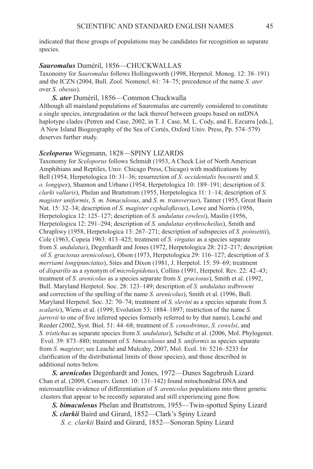indicated that these groups of populations may be candidates for recognition as separate species.

# Sauromalus Duméril, 1856-CHUCKWALLAS

Taxonomy for *Sauromalus* follows Hollingsworth (1998, Herpetol. Monog. 12: 38–191) and the ICZN (2004, Bull. Zool. Nomencl. 61: 74–75; precedence of the name *S. ater* over *S. obesus*).

*S. ater* Duméril, 1856—Common Chuckwalla

Although all mainland populations of Sauromalus are currently considered to constitute a single species, intergradation or the lack thereof between groups based on mtDNA haplotype clades (Petren and Case, 2002, in T. J. Case, M. L. Cody, and E. Ezcurra [eds.], A New Island Biogeography of the Sea of Cortés, Oxford Univ. Press, Pp. 574–579) deserves further study.

#### *Sceloporus* Wiegmann, 1828—Spiny Lizards

Taxonomy for *Sceloporus* follows Schmidt (1953, A Check List of North American Amphibians and Reptiles, Univ. Chicago Press, Chicago) with modifications by Bell (1954, Herpetologica 10: 31–36; resurrection of *S. occidentalis bocourtii* and *S. o. longipes*), Shannon and Urbano (1954, Herpetologica 10: 189–191; description of *S. clarki vallaris*), Phelan and Brattstrom (1955, Herpetologica 11: 1–14; description of *S. magister uniformis*, *S. m. bimaculosus*, and *S. m. transversus*), Tanner (1955, Great Basin Nat. 15: 32–34; description of *S. magister cephaloflavus*), Lowe and Norris (1956, Herpetologica 12: 125–127; description of *S. undulatus cowlesi*), Maslin (1956, Herpetologica 12: 291–294; description of *S. undulatus erythrocheilus*), Smith and Chrapliwy (1958, Herpetologica 13: 267–271; description of subspecies of *S. poinsettii*), Cole (1963, Copeia 1963: 413–425; treatment of *S. virgatus* as a species separate from *S. undulatus*), Degenhardt and Jones (1972, Herpetologica 28: 212–217; description of *S. graciosus arenicolous*), Olson (1973, Herpetologica 29: 116–127; description of *S. merriami longipunctatus*), Sites and Dixon (1981, J. Herpetol. 15: 59–69; treatment of *disparilis* as a synonym of *microlepidotus*), Collins (1991, Herpetol. Rev. 22: 42–43; treatment of *S. arenicolus* as a species separate from *S. graciosus*), Smith et al. (1992, Bull. Maryland Herpetol. Soc. 28: 123–149; description of *S. undulatus tedbrowni* and correction of the spelling of the name *S. arenicolus*), Smith et al. (1996, Bull. Maryland Herpetol. Soc. 32: 70–74; treatment of *S. slevini* as a species separate from *S. scalaris*), Wiens et al. (1999, Evolution 53: 1884–1897; restriction of the name *S. jarrovii* to one of five inferred species formerly referred to by that name), Leaché and Reeder (2002, Syst. Biol. 51: 44–68; treatment of *S. consobrinus*, *S. cowelsi*, and *S. tristichus* as separate species from *S. undulatus*), Schulte et al. (2006, Mol. Phylogenet. Evol. 39: 873–880; treatment of *S. bimaculosus* and *S. uniformis* as species separate from *S. magister*; see Leaché and Mulcahy, 2007, Mol. Ecol. 16: 5216–5233 for clarification of the distributional limits of those species), and those described in additional notes below.

*S. arenicolus* Degenhardt and Jones, 1972—Dunes Sagebrush Lizard Chan et al. (2009, Conserv. Genet. 10: 131–142) found mitochondrial DNA and microsatellite evidence of differentiation of *S. arenicolus* populations into three genetic clusters that appear to be recently separated and still experiencing gene flow.

*S. bimaculosus* Phelan and Brattstrom, 1955—Twin-spotted Spiny Lizard

*S. clarkii* Baird and Girard, 1852—Clark's Spiny Lizard

 *S. c. clarkii* Baird and Girard, 1852—Sonoran Spiny Lizard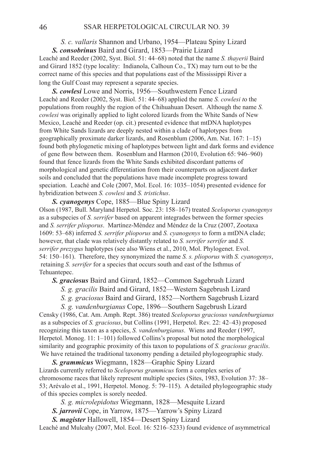# *S. c. vallaris* Shannon and Urbano, 1954—Plateau Spiny Lizard *S. consobrinus* Baird and Girard, 1853—Prairie Lizard

Leaché and Reeder (2002, Syst. Biol. 51: 44–68) noted that the name *S. thayerii* Baird and Girard 1852 (type locality: Indianola, Calhoun Co., TX) may turn out to be the correct name of this species and that populations east of the Mississippi River a long the Gulf Coast may represent a separate species.

*S. cowlesi* Lowe and Norris, 1956—Southwestern Fence Lizard Leaché and Reeder (2002, Syst. Biol. 51: 44–68) applied the name *S. cowlesi t*o the populations from roughly the region of the Chihuahuan Desert. Although the name *S. cowlesi* was originally applied to light colored lizards from the White Sands of New Mexico, Leaché and Reeder (op. cit.) presented evidence that mtDNA haplotypes from White Sands lizards are deeply nested within a clade of haplotypes from geographically proximate darker lizards, and Rosenblum (2006, Am. Nat. 167: 1–15) found both phylogenetic mixing of haplotypes between light and dark forms and evidence of gene flow between them. Rosenblum and Harmon (2010, Evolution 65: 946–960) found that fence lizards from the White Sands exhibited discordant patterns of morphological and genetic dfferentiation from their counterparts on adjacent darker soils and concluded that the populations have made incomplete progress toward speciation. Leaché and Cole (2007, Mol. Ecol. 16: 1035–1054) presented evidence for hybridization between *S. cowlesi* and *S. tristichus*.

*S. cyanogenys* Cope, 1885—Blue Spiny Lizard Olson (1987, Bull. Maryland Herpetol. Soc. 23: 158–167) treated *Sceloporus cyanogenys* as a subspecies of *S. serrifer* based on apparent integrades between the former species and *S. serrifer plioporus*. Martínez-Méndez and Méndez de la Cruz (2007, Zootaxa 1609: 53–68) inferred *S. serrifer plioporus* and *S. cyanogenys* to form a mtDNA clade; however, that clade was relatively distantly related to *S. serrifer serrifer* and *S. serrifer prezygus* haplotypes (see also Wiens et al., 2010, Mol. Phylogenet. Evol. 54: 150–161). Therefore, they synonymized the name *S. s. plioporus* with *S. cyanogenys*, retaining *S. serrifer* for a species that occurs south and east of the Isthmus of Tehuantepec.

*S. graciosus* Baird and Girard, 1852—Common Sagebrush Lizard

 *S. g. gracilis* Baird and Girard, 1852—Western Sagebrush Lizard

 *S. g. graciosus* Baird and Girard, 1852—Northern Sagebrush Lizard

 *S. g. vandenburgianus* Cope, 1896—Southern Sagebrush Lizard

Censky (1986, Cat. Am. Amph. Rept. 386) treated *Sceloporus graciosus vandenburgianus* as a subspecies of *S. graciosus*, but Collins (1991, Herpetol. Rev. 22: 42–43) proposed recognizing this taxon as a species, *S. vandenburgianus*. Wiens and Reeder (1997, Herpetol. Monog. 11: 1–101) followed Collins's proposal but noted the morphological similarity and geographic proximity of this taxon to populations of *S. graciosus gracilis*. We have retained the traditional taxonomy pending a detailed phylogeographic study.

*S. grammicus* Wiegmann, 1828—Graphic Spiny Lizard Lizards currently referred to *Sceloporus grammicus* form a complex series of chromosome races that likely represent multiple species (Sites, 1983, Evolution 37: 38– 53; Arévalo et al., 1991, Herpetol. Monog. 5: 79–115). A detailed phylogeographic study of this species complex is sorely needed.

 *S. g. microlepidotus* Wiegmann, 1828—Mesquite Lizard

*S. jarrovii* Cope, in Yarrow, 1875—Yarrow's Spiny Lizard

*S. magister* Hallowell, 1854—Desert Spiny Lizard

Leaché and Mulcahy (2007, Mol. Ecol. 16: 5216–5233) found evidence of asymmetrical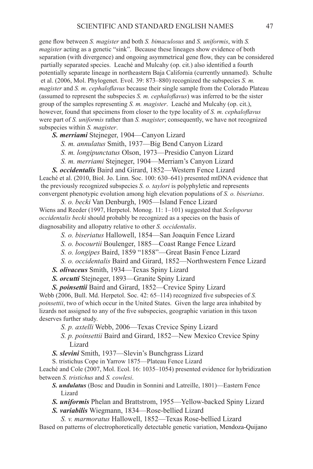gene flow between *S. magister* and both *S. bimaculosus* and *S. uniformis*, with *S. magister* acting as a genetic "sink". Because these lineages show evidence of both separation (with divergence) and ongoing asymmetrical gene flow, they can be considered partially separated species. Leaché and Mulcahy (op. cit.) also identified a fourth potentially separate lineage in northeastern Baja California (currently unnamed). Schulte et al. (2006, Mol. Phylogenet. Evol. 39: 873–880) recognized the subspecies *S. m. magister* and *S. m. cephaloflavus* because their single sample from the Colorado Plateau (assumed to represent the subspecies *S. m. cephaloflavus*) was inferred to be the sister group of the samples representing *S. m. magister*. Leaché and Mulcahy (op. cit.), however, found that specimens from closer to the type locality of *S. m. cephaloflavus*  were part of *S. uniformis* rather than *S. magister*; consequently, we have not recognized subspecies within *S. magister*.

*S. merriami* Stejneger, 1904—Canyon Lizard

 *S. m. annulatus* Smith, 1937—Big Bend Canyon Lizard

 *S. m. longipunctatus* Olson, 1973—Presidio Canyon Lizard

 *S. m. merriami* Stejneger, 1904—Merriam's Canyon Lizard

*S. occidentalis* Baird and Girard, 1852—Western Fence Lizard Leaché et al. (2010, Biol. Jo. Linn. Soc. 100: 630–641) presented mtDNA evidence that the previously recognized subspecies *S. o. taylori* is polyphyletic and represents convergent phenotypic evolution among high elevation populations of *S. o. biseriatus*.

 *S. o. becki* Van Denburgh, 1905—Island Fence Lizard Wiens and Reeder (1997, Herpetol. Monog. 11: 1–101) suggested that *Sceloporus occidentalis becki* should probably be recognized as a species on the basis of diagnosability and allopatry relative to other *S. occidentalis*.

- *S. o. biseriatus* Hallowell, 1854—San Joaquin Fence Lizard
- *S. o. bocourtii* Boulenger, 1885—Coast Range Fence Lizard
- *S. o. longipes* Baird, 1859 "1858"—Great Basin Fence Lizard
- *S. o. occidentalis* Baird and Girard, 1852—Northwestern Fence Lizard
- *S. olivaceus* Smith, 1934—Texas Spiny Lizard
- *S. orcutti* Stejneger, 1893—Granite Spiny Lizard

*S. poinsettii* Baird and Girard, 1852—Crevice Spiny Lizard Webb (2006, Bull. Md. Herpetol. Soc. 42: 65–114) recognized five subspecies of *S. poinsettii*, two of which occur in the United States. Given the large area inhabited by lizards not assigned to any of the five subspecies, geographic variation in this taxon deserves further study.

- *S. p. axtelli* Webb, 2006—Texas Crevice Spiny Lizard
- *S. p. poinsettii* Baird and Girard, 1852—New Mexico Crevice Spiny Lizard
- *S. slevini* Smith, 1937—Slevin's Bunchgrass Lizard
- S. tristichus Cope in Yarrow 1875—Plateau Fence Lizard

Leaché and Cole (2007, Mol. Ecol. 16: 1035–1054) presented evidence for hybridization between *S. tristichus* and *S. cowlesi*.

- *S. undulatus* (Bosc and Daudin in Sonnini and Latreille, 1801)—Eastern Fence Lizard
- *S. uniformis* Phelan and Brattstrom, 1955—Yellow-backed Spiny Lizard
- *S. variabilis* Wiegmann, 1834—Rose-bellied Lizard

 *S. v. marmoratus* Hallowell, 1852—Texas Rose-bellied Lizard Based on patterns of electrophoretically detectable genetic variation, Mendoza-Quijano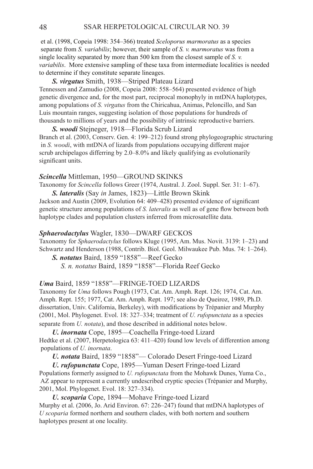et al. (1998, Copeia 1998: 354–366) treated *Sceloporus marmoratus* as a species separate from *S. variabilis*; however, their sample of *S. v. marmoratus* was from a single locality separated by more than 500 km from the closest sample of *S. v. variabilis*. More extensive sampling of these taxa from intermediate localities is needed to determine if they constitute separate lineages.

*S. virgatus* Smith, 1938—Striped Plateau Lizard Tennessen and Zamudio (2008, Copeia 2008: 558–564) presented evidence of high genetic divergence and, for the most part, reciprocal monophyly in mtDNA haplotypes, among populations of *S. virgatus* from the Chiricahua, Animas, Peloncillo, and San Luis mountain ranges, suggesting isolation of those populations for hundreds of thousands to millions of years and the possibility of intrinsic reproductive barriers.

*S. woodi* Stejneger, 1918—Florida Scrub Lizard Branch et al. (2003, Conserv. Gen. 4: 199–212) found strong phylogeographic structuring in *S. woodi*, with mtDNA of lizards from populations occupying different major scrub archipelagos differring by 2.0–8.0% and likely qualifying as evolutionarily significant units.

#### **Scincella** Mittleman, 1950—GROUND SKINKS

Taxonomy for *Scincella* follows Greer (1974, Austral. J. Zool. Suppl. Ser. 31: 1–67). *S. lateralis* (Say *in* James, 1823)—Little Brown Skink

Jackson and Austin (2009, Evolution 64: 409–428) presented evidence of significant genetic structure among populations of *S. lateralis* as well as of gene flow between both haplotype clades and population clusters inferred from microsatellite data.

#### **Sphaerodactylus** Wagler, 1830—DWARF GECKOS

Taxonomy for *Sphaerodactylus* follows Kluge (1995, Am. Mus. Novit. 3139: 1–23) and Schwartz and Henderson (1988, Contrib. Biol. Geol. Milwaukee Pub. Mus. 74: 1–264).

*S. notatus* Baird, 1859 "1858"—Reef Gecko  *S. n. notatus* Baird, 1859 "1858"—Florida Reef Gecko

# Uma Baird, 1859 "1858"-FRINGE-TOED LIZARDS

Taxonomy for *Uma* follows Pough (1973, Cat. Am. Amph. Rept. 126; 1974, Cat. Am. Amph. Rept. 155; 1977, Cat. Am. Amph. Rept. 197; see also de Queiroz, 1989, Ph.D. dissertation, Univ. California, Berkeley), with modifications by Trépanier and Murphy (2001, Mol. Phylogenet. Evol. 18: 327–334; treatment of *U. rufopunctata* as a species separate from *U. notata*), and those described in additional notes below.

*U. inornata* Cope, 1895—Coachella Fringe-toed Lizard Hedtke et al. (2007, Herpetologica 63: 411–420) found low levels of differention among populations of *U. inornata*.

*U. notata* Baird, 1859 "1858"— Colorado Desert Fringe-toed Lizard

*U. rufopunctata* Cope, 1895—Yuman Desert Fringe-toed Lizard Populations formerly assigned to *U. rufopunctata* from the Mohawk Dunes, Yuma Co., AZ appear to represent a currently undescribed cryptic species (Trépanier and Murphy, 2001, Mol. Phylogenet. Evol. 18: 327–334).

*U. scoparia* Cope, 1894—Mohave Fringe-toed Lizard Murphy et al. (2006, Jo. Arid Environ. 67: 226–247) found that mtDNA haplotypes of *U scoparia* formed northern and southern clades, with both nortern and southern haplotypes present at one locality.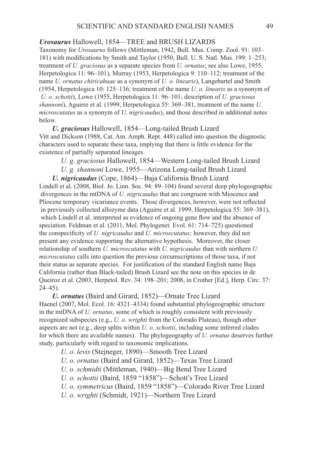### *Urosaurus* Hallowell, 1854—TREE and BRUSH LIZARDS

Taxonomy for *Urosaurus* follows (Mittleman, 1942, Bull. Mus. Comp. Zool. 91: 103– 181) with modifications by Smith and Taylor (1950, Bull. U. S. Natl. Mus. 199: 1–253; treatment of *U. graciosus* as a separate species from *U. ornatus*; see also Lowe, 1955, Herpetologica 11: 96–101), Murray (1953, Herpetologica 9: 110–112; treatment of the name *U. ornatus chiricahuae* as a synonym of *U. o. linearis*), Langebartel and Smith (1954, Herpetologica 10: 125–136; treatment of the name *U. o*. *linearis* as a synonym of *U. o*. *schotti*), Lowe (1955, Herpetologica 11: 96–101; description of *U. graciosus shannoni*), Aguirre et al. (1999, Herpetologica 55: 369–381, treatment of the name *U. microscutatus* as a synonym of *U. nigricaudus*), and those described in additional notes below.

*U. graciosus* Hallowell, 1854—Long-tailed Brush Lizard Vitt and Dickson (1988, Cat. Am. Amph. Rept. 448) called into question the diagnostic characters used to separate these taxa, implying that there is little evidence for the existence of partially separated lineages.

 *U. g. graciosus* Hallowell, 1854—Western Long-tailed Brush Lizard

 *U. g. shannoni* Lowe, 1955—Arizona Long-tailed Brush Lizard

*U. nigricaudus* (Cope, 1864)—Baja California Brush Lizard Lindell et al. (2008, Biol. Jo. Linn. Soc. 94: 89–104) found several deep phylogeographic divergences in the mtDNA of *U. nigricaudus* that are congruent with Miocence and Pliocene temporary vicariance events. Those divergences, however, were not reflected in previously collected allozyme data (Aguirre et al. 1999, Herpetologica 55: 369–381), which Lindell et al. interpreted as evidence of ongoing gene flow and the absence of speciation. Feldman et al. (2011, Mol. Phylogenet. Evol. 61: 714–725) questioned the conspecificity of *U. nigricaudus* and *U. microscutatus;* however, they did not present any evidence supporting the alternative hypothesis. Moreover, the closer relationship of southern *U. microscutatus* with *U. nigricaudus* than with northern *U. microscutatus* calls into question the previous circumscriptions of those taxa, if not their status as separate species. For justification of the standard English name Baja California (rather than Black-tailed) Brush Lizard see the note on this species in de Queiroz et al. (2003, Herpetol. Rev. 34: 198–201; 2008, in Crother [Ed.], Herp. Circ. 37:  $24-45$ ).

*U. ornatus* (Baird and Girard, 1852)—Ornate Tree Lizard Haenel (2007, Mol. Ecol. 16: 4321–4334) found substantial phylogeographic structure in the mtDNA of *U. ornatus*, some of which is roughly consistent with previously recognized subspecies (e.g., *U. o. wrighti* from the Colorado Plateau), though other aspects are not (e.g., deep splits within *U. o. schottii*, including some inferred clades for which there are available names). The phylogeography of *U. ornatus* deserves further study, particularly with regard to taxonomic implications.

 *U. o. levis* (Stejneger, 1890)—Smooth Tree Lizard

 *U. o. ornatus* (Baird and Girard, 1852)—Texas Tree Lizard

- *U. o. schmidti* (Mittleman, 1940)—Big Bend Tree Lizard
- *U. o. schottii* (Baird, 1859 "1858")—Schott's Tree Lizard
- *U. o. symmetricus* (Baird, 1859 "1858")—Colorado River Tree Lizard

 *U. o. wrighti* (Schmidt, 1921)—Northern Tree Lizard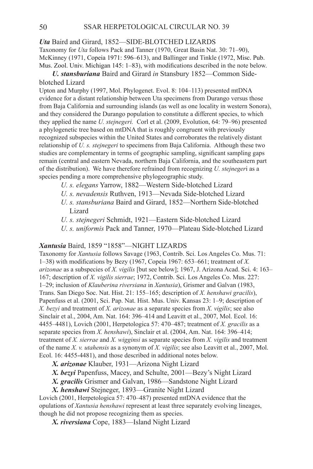# *Uta* Baird and Girard, 1852—SIDE-BLOTCHED LIZ

Taxonomy for *Uta* follows Pack and Tanner (1970, Great Basin Nat. 30: 71–90), McKinney (1971, Copeia 1971: 596–613), and Ballinger and Tinkle (1972, Misc. Pub. Mus. Zool. Univ. Michigan 145: 1–83), with modifications described in the note below.

# *U. stansburiana* Baird and Girard *in* Stansbury 1852—Common Sideblotched Lizard

Upton and Murphy (1997, Mol. Phylogenet. Evol. 8: 104–113) presented mtDNA evidence for a distant relationship between Uta specimens from Durango versus those from Baja California and surrounding islands (as well as one locality in western Sonora), and they considered the Durango population to constitute a different species, to which they applied the name *U. stejnegeri.* Corl et al. (2009, Evolution, 64: 79–96) presented a phylogenetic tree based on mtDNA that is roughly congruent with previously recognized subspecies within the United States and corroborates the relatively distant relationship of *U. s. stejnegeri* to specimens from Baja California. Although these two studies are complementary in terms of geographic sampling, significant sampling gaps remain (central and eastern Nevada, northern Baja California, and the southeastern part of the distribution). We have therefore refrained from recognizing *U. stejneger*i as a species pending a more comprehensive phylogeographic study.

- *U. s. elegans* Yarrow, 1882—Western Side-blotched Lizard
- *U. s. nevadensis* Ruthven, 1913—Nevada Side-blotched Lizard
- *U. s. stansburiana* Baird and Girard, 1852—Northern Side-blotched Lizard
- *U. s. stejnegeri* Schmidt, 1921—Eastern Side-blotched Lizard
- *U. s. uniformis* Pack and Tanner, 1970—Plateau Side-blotched Lizard

## Xantusia Baird, 1859 "1858"-NIGHT LIZARDS

Taxonomy for *Xantusia* follows Savage (1963, Contrib. Sci. Los Angeles Co. Mus. 71: 1–38) with modifications by Bezy (1967, Copeia 1967: 653–661; treatment of *X. arizonae* as a subspecies of *X. vigilis* [but see below]; 1967, J. Arizona Acad. Sci. 4: 163– 167; description of *X. vigilis sierrae*; 1972, Contrib. Sci. Los Angeles Co. Mus. 227: 1–29; inclusion of *Klauberina riversiana* in *Xantusia*), Grismer and Galvan (1983, Trans. San Diego Soc. Nat. Hist. 21: 155–165; description of *X. henshawi gracilis*), Papenfuss et al. (2001, Sci. Pap. Nat. Hist. Mus. Univ. Kansas 23: 1–9; description of *X. bezyi* and treatment of *X. arizonae* as a separate species from *X. vigilis*; see also Sinclair et al., 2004, Am. Nat. 164: 396–414 and Leavitt et al., 2007, Mol. Ecol. 16: 4455–4481), Lovich (2001, Herpetologica 57: 470–487; treatment of *X. gracilis* as a separate species from *X. henshawi*), Sinclair et al. (2004, Am. Nat. 164: 396–414; treatment of *X. sierrae* and *X. wigginsi* as separate species from *X. vigilis* and treatment of the name *X. v. utahensis* as a synonym of *X. vigilis*; see also Leavitt et al., 2007, Mol. Ecol. 16: 4455-4481), and those described in additional notes below.

*X. arizonae* Klauber, 1931—Arizona Night Lizard

*X. bezyi* Papenfuss, Macey, and Schulte, 2001—Bezy's Night Lizard

*X. gracilis* Grismer and Galvan, 1986—Sandstone Night Lizard

*X. henshawi* Stejneger, 1893—Granite Night Lizard

Lovich (2001, Herpetologica 57: 470–487) presented mtDNA evidence that the opulations of *Xantusia henshawi* represent at least three separately evolving lineages, though he did not propose recognizing them as species.

*X. riversiana* Cope, 1883—Island Night Lizard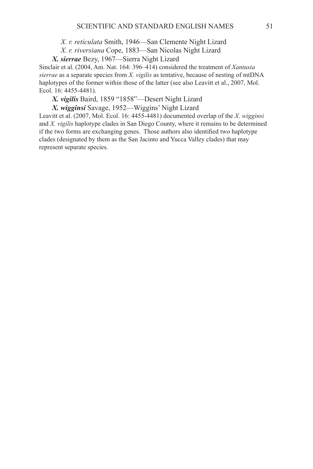*X. r. reticulata* Smith, 1946—San Clemente Night Lizard

 *X. r. riversiana* Cope, 1883—San Nicolas Night Lizard

*X. sierrae* Bezy, 1967—Sierra Night Lizard

Sinclair et al. (2004, Am. Nat. 164: 396–414) considered the treatment of *Xantusia sierrae* as a separate species from *X. vigilis* as tentative, because of nesting of mtDNA haplotypes of the former within those of the latter (see also Leavitt et al., 2007, Mol. Ecol. 16: 4455-4481).

*X. vigilis* Baird, 1859 "1858"—Desert Night Lizard

*X. wigginsi* Savage, 1952—Wiggins' Night Lizard

Leavitt et al. (2007, Mol. Ecol. 16: 4455-4481) documented overlap of the *X. wigginsi* and *X. vigilis* haplotype clades in San Diego County, where it remains to be determined if the two forms are exchanging genes. Those authors also identified two haplotype clades (designated by them as the San Jacinto and Yucca Valley clades) that may represent separate species.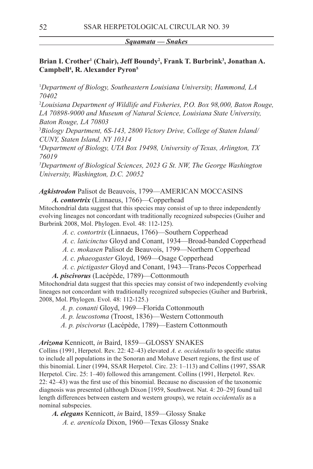#### *Squamata — Snakes*

# Brian I. Crother<sup>1</sup> (Chair), Jeff Boundy<sup>2</sup>, Frank T. Burbrink<sup>3</sup>, Jonathan A. **Campbell4 , R. Alexander Pyron5**

1 *Department of Biology, Southeastern Louisiana University, Hammond, LA 70402*

2 *Louisiana Department of Wildlife and Fisheries, P.O. Box 98,000, Baton Rouge, LA 70898-9000 and Museum of Natural Science, Louisiana State University, Baton Rouge, LA 70803*

3 *Biology Department, 6S-143, 2800 Victory Drive, College of Staten Island/ CUNY, Staten Island, NY 10314*

4 *Department of Biology, UTA Box 19498, University of Texas, Arlington, TX 76019*

*5 Department of Biological Sciences, 2023 G St. NW, The George Washington University, Washington, D.C. 20052*

### Agkistrodon Palisot de Beauvois, 1799—AMERICAN MOCCASINS *A. contortrix* (Linnaeus, 1766)—Copperhead

Mitochondrial data suggest that this species may consist of up to three independently evolving lineages not concordant with traditionally recognized subspecies (Guiher and Burbrink 2008, Mol. Phylogen. Evol. 48: 112-125).

- *A. c. contortrix* (Linnaeus, 1766)—Southern Copperhead
- *A. c. laticinctus* Gloyd and Conant, 1934—Broad-banded Copperhead
- *A. c. mokasen* Palisot de Beauvois, 1799—Northern Copperhead
- *A. c. phaeogaster* Gloyd, 1969—Osage Copperhead
- *A. c. pictigaster* Gloyd and Conant, 1943—Trans-Pecos Copperhead

*A. piscivorus* (Lacépède, 1789)—Cottonmouth

Mitochondrial data suggest that this species may consist of two independently evolving lineages not concordant with traditionally recognized subspecies (Guiher and Burbrink, 2008, Mol. Phylogen. Evol. 48: 112-125.)

 *A. p. conanti* Gloyd, 1969—Florida Cottonmouth

- *A. p. leucostoma* (Troost, 1836)—Western Cottonmouth
- *A. p. piscivorus* (Lacépède, 1789)—Eastern Cottonmouth

### *Arizona* Kennicott, *in* Baird, 1859—Glossy Snakes

Collins (1991, Herpetol. Rev. 22: 42–43) elevated *A. e. occidentalis* to specific status to include all populations in the Sonoran and Mohave Desert regions, the first use of this binomial. Liner (1994, SSAR Herpetol. Circ. 23: 1–113) and Collins (1997, SSAR Herpetol. Circ. 25: 1–40) followed this arrangement. Collins (1991, Herpetol. Rev. 22: 42–43) was the first use of this binomial. Because no discussion of the taxonomic diagnosis was presented (although Dixon [1959, Southwest. Nat. 4: 20–29] found tail length differences between eastern and western groups), we retain *occidentalis* as a nominal subspecies.

*A. elegans* Kennicott, *in* Baird, 1859—Glossy Snake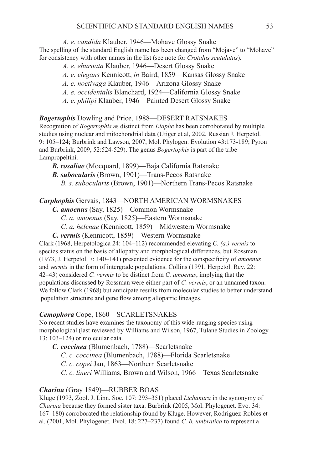*A. e. candida* Klauber, 1946—Mohave Glossy Snake

The spelling of the standard English name has been changed from "Mojave" to "Mohave" for consistency with other names in the list (see note for *Crotalus scutulatus*).

- *A. e. eburnata* Klauber, 1946—Desert Glossy Snake
- *A. e. elegans* Kennicott, *in* Baird, 1859—Kansas Glossy Snake
- *A. e. noctivaga* Klauber, 1946—Arizona Glossy Snake
- *A. e. occidentalis* Blanchard, 1924—California Glossy Snake
- *A. e. philipi* Klauber, 1946—Painted Desert Glossy Snake

*Bogertophis* Dowling and Price, 1988—DESERT RATSNAKES Recognition of *Bogertophis* as distinct from *Elaphe* has been corroborated by multiple studies using nuclear and mitochondrial data (Utiger et al, 2002, Russian J. Herpetol. 9: 105–124; Burbrink and Lawson, 2007, Mol. Phylogen. Evolution 43:173-189; Pyron and Burbrink, 2009, 52:524-529). The genus *Bogertophis* is part of the tribe Lampropeltini.

*B. rosaliae* (Mocquard, 1899)—Baja California Ratsnake

*B. subocularis* (Brown, 1901)—Trans-Pecos Ratsnake

 *B. s. subocularis* (Brown, 1901)—Northern Trans-Pecos Ratsnake

# *Carphophis* Gervais, 1843—NORTH AMERICAN Wormsnakes

*C. amoenus* (Say, 1825)—Common Wormsnake

 *C. a. amoenus* (Say, 1825)—Eastern Wormsnake

 *C. a. helenae* (Kennicott, 1859)—Midwestern Wormsnake

*C. vermis* (Kennicott, 1859)—Western Wormsnake

Clark (1968, Herpetologica 24: 104–112) recommended elevating *C. (a.) vermis* to species status on the basis of allopatry and morphological differences, but Rossman (1973, J. Herpetol. 7: 140–141) presented evidence for the conspecificity of *amoenus* and *vermis* in the form of intergrade populations. Collins (1991, Herpetol. Rev. 22: 42–43) considered *C. vermis* to be distinct from *C. amoenus*, implying that the populations discussed by Rossman were either part of *C. vermis*, or an unnamed taxon. We follow Clark (1968) but anticipate results from molecular studies to better understand population structure and gene flow among allopatric lineages.

## *Cemophora* Cope, 1860—Scarletsnakes

No recent studies have examines the taxonomy of this wide-ranging species using morphological (last reviewed by Williams and Wilson, 1967, Tulane Studies in Zoology 13: 103–124) or molecular data.

*C. coccinea* (Blumenbach, 1788)—Scarletsnake

 *C. c. coccinea* (Blumenbach, 1788)—Florida Scarletsnake

 *C. c. copei* Jan, 1863—Northern Scarletsnake

 *C. c. lineri* Williams, Brown and Wilson, 1966—Texas Scarletsnake

## *Charina* (Gray 1849)—RUBBER BOAS

Kluge (1993, Zool. J. Linn. Soc. 107: 293–351) placed *Lichanura* in the synonymy of *Charina* because they formed sister taxa. Burbrink (2005, Mol. Phylogenet. Evo. 34: 167–180) corroborated the relationship found by Kluge. However, Rodríguez-Robles et al. (2001, Mol. Phylogenet. Evol. 18: 227–237) found *C. b. umbratica* to represent a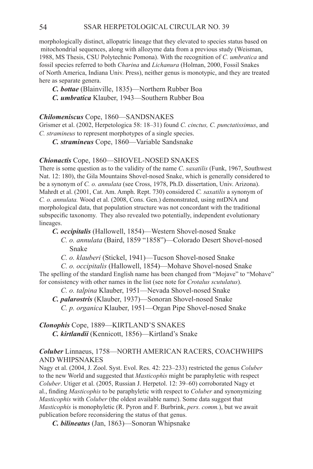morphologically distinct, allopatric lineage that they elevated to species status based on mitochondrial sequences, along with allozyme data from a previous study (Weisman, 1988, MS Thesis, CSU Polytechnic Pomona). With the recognition of *C. umbratica* and fossil species referred to both *Charina* and *Lichanura* (Holman, 2000, Fossil Snakes of North America, Indiana Univ. Press), neither genus is monotypic, and they are treated here as separate genera.

*C. bottae* (Blainville, 1835)—Northern Rubber Boa *C. umbratica* Klauber, 1943—Southern Rubber Boa

### *Chilomeniscus* Cope, 1860—SANDSNAKES

Grismer et al. (2002, Herpetologica 58: 18–31) found *C. cinctus, C. punctatissimus*, and *C. stramineus* to represent morphotypes of a single species.

*C. stramineus* Cope, 1860—Variable Sandsnake

### *Chionactis* Cope, 1860—SHOVEL-NOSED SNAKES

There is some question as to the validity of the name *C*. *saxatilis* (Funk, 1967, Southwest Nat. 12: 180), the Gila Mountains Shovel-nosed Snake, which is generally considered to be a synonym of *C. o. annulata* (see Cross, 1978, Ph.D. dissertation, Univ. Arizona). Mahrdt et al. (2001, Cat. Am. Amph. Rept. 730) considered *C. saxatilis* a synonym of *C. o. annulata.* Wood et al. (2008, Cons. Gen.) demonstrated, using mtDNA and morphological data, that population structure was not concordant with the traditional subspecific taxonomy. They also revealed two potentially, independent evolutionary lineages.

*C. occipitalis* (Hallowell, 1854)—Western Shovel-nosed Snake

- *C. o. annulata* (Baird, 1859 "1858")—Colorado Desert Shovel-nosed Snake
- *C. o. klauberi* (Stickel, 1941)—Tucson Shovel-nosed Snake

 *C. o. occipitalis* (Hallowell, 1854)—Mohave Shovel-nosed Snake The spelling of the standard English name has been changed from "Mojave" to "Mohave" for consistency with other names in the list (see note for *Crotalus scutulatus*).

 *C. o. talpina* Klauber, 1951—Nevada Shovel-nosed Snake

*C. palarostris* (Klauber, 1937)—Sonoran Shovel-nosed Snake  *C. p. organica* Klauber, 1951—Organ Pipe Shovel-nosed Snake

*Clonophis* Cope, 1889—Kirtland's Snakes *C. kirtlandii* (Kennicott, 1856)—Kirtland's Snake

# *Coluber* Linnaeus, 1758—NORTH AMERICAN RACERS, COACHWHIPS AND WHIPSNAKES

Nagy et al. (2004, J. Zool. Syst. Evol. Res. 42: 223–233) restricted the genus *Coluber* to the new World and suggested that *Masticophis* might be paraphyletic with respect *Coluber*. Utiger et al. (2005, Russian J. Herpetol. 12: 39–60) corroborated Nagy et al., finding *Masticophis* to be paraphyletic with respect to *Coluber* and synonymizing *Masticophis* with *Coluber* (the oldest available name). Some data suggest that *Masticophis* is monophyletic (R. Pyron and F. Burbrink, *pers. comm.*), but we await publication before reconsidering the status of that genus.

*C. bilineatus* (Jan, 1863)—Sonoran Whipsnake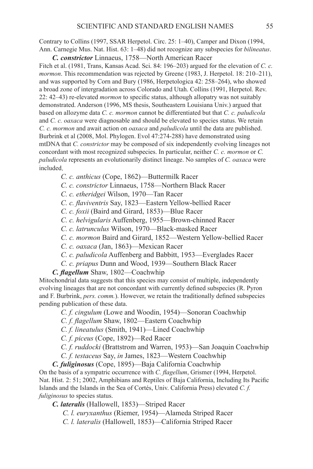Contrary to Collins (1997, SSAR Herpetol. Circ. 25: 1–40), Camper and Dixon (1994, Ann. Carnegie Mus. Nat. Hist. 63: 1–48) did not recognize any subspecies for *bilineatus*.

*C. constrictor* Linnaeus, 1758—North American Racer Fitch et al. (1981, Trans, Kansas Acad. Sci. 84: 196–203) argued for the elevation of *C. c. mormon*. This recommendation was rejected by Greene (1983, J. Herpetol. 18: 210–211), and was supported by Corn and Bury (1986, Herpetologica 42: 258–264), who showed a broad zone of intergradation across Colorado and Utah. Collins (1991, Herpetol. Rev. 22: 42–43) re-elevated *mormon* to specific status, although allopatry was not suitably demonstrated. Anderson (1996, MS thesis, Southeastern Louisiana Univ.) argued that based on allozyme data *C. c. mormon* cannot be differentiated but that *C. c. paludicola* and *C. c. oaxaca* were diagnosable and should be elevated to species status. We retain *C. c. mormon* and await action on *oaxaca* and *paludicola* until the data are published. Burbrink et al (2008, Mol. Phylogen. Evol 47:274-288) have demonstrated using mtDNA that *C. constrictor* may be composed of six independently evolving lineages not concordant with most recognized subspecies. In particular, neither *C. c. mormon* or *C. paludicola* represents an evolutionarily distinct lineage. No samples of *C. oaxaca* were included.

 *C. c. anthicus* (Cope, 1862)—Buttermilk Racer

 *C. c. constrictor* Linnaeus, 1758—Northern Black Racer

 *C. c. etheridgei* Wilson, 1970—Tan Racer

*C. c. flaviventris* Say, 1823—Eastern Yellow-bellied Racer

 *C. c. foxii* (Baird and Girard, 1853)—Blue Racer

 *C. c. helvigularis* Auffenberg, 1955—Brown-chinned Racer

- *C. c. latrunculus* Wilson, 1970—Black-masked Racer
- *C. c. mormon* Baird and Girard, 1852—Western Yellow-bellied Racer

 *C. c. oaxaca* (Jan, 1863)—Mexican Racer

- *C. c. paludicola* Auffenberg and Babbitt, 1953—Everglades Racer
- *C. c. priapus* Dunn and Wood, 1939—Southern Black Racer

*C. flagellum* Shaw, 1802—Coachwhip

Mitochondrial data suggests that this species may consist of multiple, independently evolving lineages that are not concordant with currently defined subspecies (R. Pyron and F. Burbrink, *pers. comm.*). However, we retain the traditionally defined subspecies pending publication of these data.

 *C. f. cingulum* (Lowe and Woodin, 1954)—Sonoran Coachwhip

*C. f. flagellum* Shaw, 1802—Eastern Coachwhip

 *C. f. lineatulus* (Smith, 1941)—Lined Coachwhip

 *C. f. piceus* (Cope, 1892)—Red Racer

 *C. f. ruddocki* (Brattstrom and Warren, 1953)—San Joaquin Coachwhip

*C. f. testaceus* Say, *in* James, 1823—Western Coachwhip

*C. fuliginosus* (Cope, 1895)—Baja California Coachwhip On the basis of a sympatric occurrence with *C. flagellum*, Grismer (1994, Herpetol. Nat. Hist. 2: 51; 2002, Amphibians and Reptiles of Baja California, Including Its Pacific Islands and the Islands in the Sea of Cortés, Univ. California Press) elevated *C. f. fuliginosus* to species status.

*C. lateralis* (Hallowell, 1853)—Striped Racer

*C. l. euryxanthus* (Riemer, 1954)—Alameda Striped Racer

*C. l. lateralis* (Hallowell, 1853)—California Striped Racer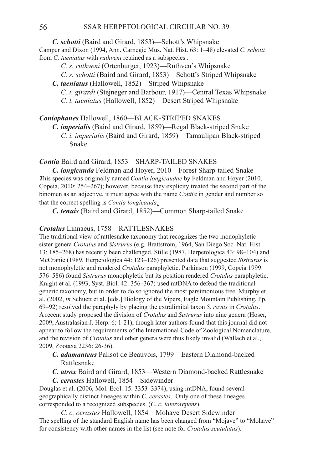*C. schotti* (Baird and Girard, 1853)—Schott's Whipsnake Camper and Dixon (1994, Ann. Carnegie Mus. Nat. Hist. 63: 1–48) elevated *C. schotti* from *C. taeniatus* with *ruthveni* retained as a subspecies .

- *C. s. ruthveni* (Ortenburger, 1923)—Ruthven's Whipsnake
- *C. s. schotti* (Baird and Girard, 1853)—Schott's Striped Whipsnake
- *C. taeniatus* (Hallowell, 1852)—Striped Whipsnake
	- *C. t. girardi* (Stejneger and Barbour, 1917)—Central Texas Whipsnake  *C. t. taeniatus* (Hallowell, 1852)—Desert Striped Whipsnake

# **Coniophanes** Hallowell, 1860—BLACK-STRIPED SNAKES

*C. imperialis* (Baird and Girard, 1859)—Regal Black-striped Snake

 *C. i. imperialis* (Baird and Girard, 1859)—Tamaulipan Black-striped Snake

# *Contia* Baird and Girard, 1853-SHARP-TAILED SNAKES

*C. longicauda* Feldman and Hoyer, 2010—Forest Sharp-tailed Snake *T*his species was originally named *Contia longicaudae* by Feldman and Hoyer (2010, Copeia, 2010: 254–267); however, because they explicity treated the second part of the binomen as an adjective, it must agree with the name *Contia* in gender and number so that the correct spelling is *Contia longicauda*.

*C. tenuis* (Baird and Girard, 1852)—Common Sharp-tailed Snake

# **Crotalus** Linnaeus, 1758—RATTLESNAKES

The traditional view of rattlesnake taxonomy that recognizes the two monophyletic sister genera *Crotalus* and *Sistrurus* (e.g. Brattstrom, 1964, San Diego Soc. Nat. Hist. 13: 185–268) has recently been challenged. Stille (1987, Herpetologica 43: 98–104) and McCranie (1989, Herpetologica 44: 123–126) presented data that suggested *Sistrurus* is not monophyletic and rendered *Crotalus* paraphyletic. Parkinson (1999, Copeia 1999: 576–586) found *Sistrurus* monophyletic but its position rendered *Crotalus* paraphyletic. Knight et al. (1993, Syst. Biol. 42: 356–367) used mtDNA to defend the traditional generic taxonomy, but in order to do so ignored the most parsimonious tree. Murphy et al. (2002, *in* Schuett et al. [eds.] Biology of the Vipers, Eagle Mountain Publishing, Pp. 69–92) resolved the paraphyly by placing the extralimital taxon *S*. *ravus* in *Crotalus*. A recent study proposed the division of *Crotalus* and *Sistrurus* into nine genera (Hoser, 2009, Australasian J. Herp. 6: 1-21), though later authors found that this journal did not appear to follow the requirements of the International Code of Zoological Nomenclature, and the revision of *Crotalus* and other genera were thus likely invalid (Wallach et al., 2009, Zootaxa 2236: 26-36).

- *C. adamanteus* Palisot de Beauvois, 1799—Eastern Diamond-backed Rattlesnake
- *C. atrox* Baird and Girard, 1853—Western Diamond-backed Rattlesnake *C. cerastes* Hallowell, 1854—Sidewinder

Douglas et al. (2006, Mol. Ecol. 15: 3353–3374), using mtDNA, found several geographically distinct lineages within *C*. *cerastes*. Only one of these lineages corresponded to a recognized subspecies. (*C. c. laterorepens*).

 *C. c. cerastes* Hallowell, 1854—Mohave Desert Sidewinder The spelling of the standard English name has been changed from "Mojave" to "Mohave" for consistency with other names in the list (see note for *Crotalus scutulatus*).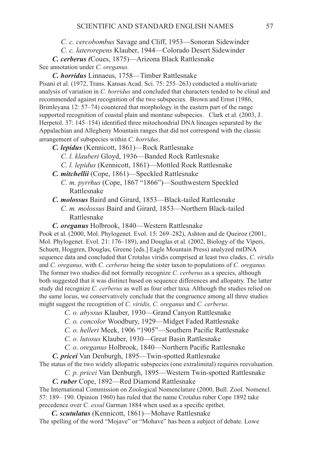*C. c. cercobombus* Savage and Cliff, 1953—Sonoran Sidewinder

 *C. c. laterorepens* Klauber, 1944—Colorado Desert Sidewinder

*C. cerberus (*Coues, 1875)—Arizona Black Rattlesnake See annotation under *C. oreganus.*

*C. horridus* Linnaeus, 1758—Timber Rattlesnake

Pisani et al. (1972, Trans. Kansas Acad. Sci. 75: 255–263) conducted a multivariate analysis of variation in *C. horridus* and concluded that characters tended to be clinal and recommended against recognition of the two subspecies. Brown and Ernst (1986, Brimleyana 12: 57–74) countered that morphology in the eastern part of the range supported recognition of coastal plain and montane subspecies. Clark et al. (2003, J. Herpetol. 37: 145–154) identified three mitochondrial DNA lineages separated by the Appalachian and Allegheny Mountain ranges that did not correspond with the classic arrangement of subspecies within *C. horridus*.

*C. lepidus* (Kennicott, 1861)—Rock Rattlesnake

- *C. l. klauberi* Gloyd, 1936—Banded Rock Rattlesnake
- *C. l. lepidus* (Kennicott, 1861)—Mottled Rock Rattlesnake
- *C. mitchellii* (Cope, 1861)—Speckled Rattlesnake
	- *C. m. pyrrhus* (Cope, 1867 "1866")—Southwestern Speckled Rattlesnake
- *C. molossus* Baird and Girard, 1853—Black-tailed Rattlesnake  *C. m. molossus* Baird and Girard, 1853—Northern Black-tailed
	- Rattlesnake

*C. oreganus* Holbrook, 1840—Western Rattlesnake

Pook et al. (2000, Mol. Phylogenet. Evol. 15: 269–282), Ashton and de Queiroz (2001, Mol. Phylogenet. Evol. 21: 176–189), and Douglas et al. (2002, Biology of the Vipers, Schuett, Hoggren, Douglas, Greene [eds.] Eagle Mountain Press) analyzed mtDNA sequence data and concluded that Crotalus viridis comprised at least two clades, *C. viridis*  and *C. oreganus,* with *C. cerberus* being the sister taxon to populations of *C. oreganus.*  The former two studies did not formally recognize *C. cerberus* as a species, although both suggested that it was distinct based on sequence differences and allopatry. The latter study did recognize *C. cerberus* as well as four other taxa. Although the studies relied on the same locus, we conservatively conclude that the congruence among all three studies might suggest the recognition of *C. viridis, C. oreganus* and *C. cerberus*.

- *C. o. abyssus* Klauber, 1930—Grand Canyon Rattlesnake
- *C. o. concolor* Woodbury, 1929—Midget Faded Rattlesnake
- *C. o. helleri* Meek, 1906 "1905"—Southern Pacific Rattlesnake
- *C. o. lutosus* Klauber, 1930—Great Basin Rattlesnake
- *C. o. oreganus* Holbrook, 1840—Northern Pacific Rattlesnake

*C. pricei* Van Denburgh, 1895—Twin-spotted Rattlesnake

The status of the two widely allopatric subspecies (one extralimital) requires reevaluation.

*C. p. pricei* Van Denburgh, 1895—Western Twin-spotted Rattlesnake

*C. ruber* Cope, 1892—Red Diamond Rattlesnake

The International Commission on Zoological Nomenclature (2000, Bull. Zool. Nomencl. 57: 189– 190. Opinion 1960) has ruled that the name Crotalus ruber Cope 1892 take precedence over *C. exsul* Garman 1884 when used as a specific epithet.

 *C. scutulatus* (Kennicott, 1861)—Mohave Rattlesnake The spelling of the word "Mojave" or "Mohave" has been a subject of debate. Lowe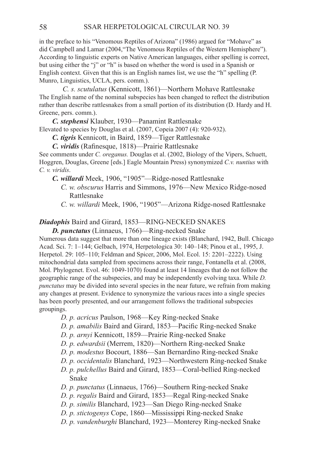in the preface to his "Venomous Reptiles of Arizona" (1986) argued for "Mohave" as did Campbell and Lamar (2004,"The Venomous Reptiles of the Western Hemisphere"). According to linguistic experts on Native American languages, either spelling is correct, but using either the "j" or "h" is based on whether the word is used in a Spanish or English context. Given that this is an English names list, we use the "h" spelling (P. Munro, Linguistics, UCLA, pers. comm.).

*C. s. scutulatus* (Kennicott, 1861)—Northern Mohave Rattlesnake The English name of the nominal subspecies has been changed to reflect the distribution rather than describe rattlesnakes from a small portion of its distribution (D. Hardy and H. Greene, pers. comm.).

*C. stephensi* Klauber, 1930—Panamint Rattlesnake

Elevated to species by Douglas et al. (2007, Copeia 2007 (4): 920-932).

*C. tigris* Kennicott, in Baird, 1859—Tiger Rattlesnake

*C. viridis* (Rafinesque, 1818)—Prairie Rattlesnake

See comments under *C. oreganus.* Douglas et al. (2002, Biology of the Vipers, Schuett, Hoggren, Douglas, Greene [eds.] Eagle Mountain Press) synonymized *C.v. nuntius* with *C. v. viridis*.

- *C. willardi* Meek, 1906, "1905"—Ridge-nosed Rattlesnake
	- *C. w. obscurus* Harris and Simmons, 1976—New Mexico Ridge-nosed Rattlesnake

 *C. w. willardi* Meek, 1906, "1905"—Arizona Ridge-nosed Rattlesnake

# **Diadophis** Baird and Girard, 1853-RING-NECKED SNAKES

*D. punctatus* (Linnaeus, 1766)—Ring-necked Snake

Numerous data suggest that more than one lineage exists (Blanchard, 1942, Bull. Chicago Acad. Sci. 7: 1–144; Gelbach, 1974, Herpetologica 30: 140–148; Pinou et al., 1995, J. Herpetol. 29: 105–110; Feldman and Spicer, 2006, Mol. Ecol. 15: 2201–2222). Using mitochondrial data sampled from specimens across their range, Fontanella et al. (2008, Mol. Phylogenet. Evol. 46: 1049-1070) found at least 14 lineages that do not follow the geographic range of the subspecies, and may be independently evolving taxa. While *D. punctatus* may be divided into several species in the near future, we refrain from making any changes at present. Evidence to synonymize the various races into a single species has been poorly presented, and our arrangement follows the traditional subspecies groupings.

- *D. p. acricus* Paulson, 1968—Key Ring-necked Snake
- *D. p. amabilis* Baird and Girard, 1853—Pacific Ring-necked Snake
- *D. p. arnyi* Kennicott, 1859—Prairie Ring-necked Snake
- *D. p. edwardsii* (Merrem, 1820)—Northern Ring-necked Snake
- *D. p. modestus* Bocourt, 1886—San Bernardino Ring-necked Snake
- *D. p. occidentalis* Blanchard, 1923—Northwestern Ring-necked Snake
- *D. p. pulchellus* Baird and Girard, 1853—Coral-bellied Ring-necked Snake
- *D. p. punctatus* (Linnaeus, 1766)—Southern Ring-necked Snake
- *D. p. regalis* Baird and Girard, 1853—Regal Ring-necked Snake
- *D. p. similis* Blanchard, 1923—San Diego Ring-necked Snake
- *D. p. stictogenys* Cope, 1860—Mississippi Ring-necked Snake
- *D. p. vandenburghi* Blanchard, 1923—Monterey Ring-necked Snake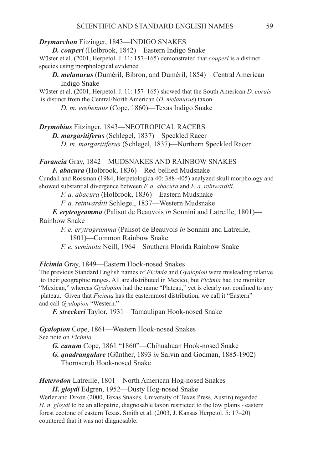### *Drymarchon Fitzinger, 1843—INDIGO SNAKES*

*D. couperi* (Holbrook, 1842)—Eastern Indigo Snake Wüster et al. (2001, Herpetol. J. 11: 157–165) demonstrated that *couperi* is a distinct species using morphological evidence.

*D. melanurus* (Duméril, Bibron, and Duméril, 1854)—Central American Indigo Snake

Wüster et al. (2001, Herpetol. J. 11: 157–165) showed that the South American *D. corais* is distinct from the Central/North American (*D. melanurus*) taxon.

 *D. m. erebennus* (Cope, 1860)—Texas Indigo Snake

*Drymobius* Fitzinger, 1843—NEOTROPICAL Racers

*D. margaritiferus* (Schlegel, 1837)—Speckled Racer

 *D. m. margaritiferus* (Schlegel, 1837)—Northern Speckled Racer

## *Farancia* Gray, 1842—MUDSNAKES AND RAINBOW SNAKES

*F. abacura* (Holbrook, 1836)—Red-bellied Mudsnake

Cundall and Rossman (1984, Herpetologica 40: 388–405) analyzed skull morphology and showed substantial divergence between *F. a. abacura* and *F. a. reinwardtii*.

 *F. a. abacura* (Holbrook, 1836)—Eastern Mudsnake

 *F. a. reinwardtii* Schlegel, 1837—Western Mudsnake

*F. erytrogramma* (Palisot de Beauvois *in* Sonnini and Latreille, 1801)— Rainbow Snake

 *F. e. erytrogramma* (Palisot de Beauvois *in* Sonnini and Latreille,

1801)—Common Rainbow Snake

 *F. e. seminola* Neill, 1964—Southern Florida Rainbow Snake

*Ficimia* Gray, 1849—Eastern Hook-nosed Snakes

The previous Standard English names of *Ficimia* and *Gyalopion* were misleading relative to their geographic ranges. All are distributed in Mexico, but *Ficimia* had the moniker "Mexican," whereas *Gyalopion* had the name "Plateau," yet is clearly not confined to any plateau. Given that *Ficimia* has the easternmost distribution, we call it "Eastern" and call *Gyalopion* "Western."

*F. streckeri* Taylor, 1931—Tamaulipan Hook-nosed Snake

*Gyalopion* Cope, 1861—Western Hook-nosed Snakes See note on *Ficimia*.

*G. canum* Cope, 1861 "1860"—Chihuahuan Hook-nosed Snake

*G. quadrangulare* (Günther, 1893 *in* Salvin and Godman, 1885-1902)— Thornscrub Hook-nosed Snake

*Heterodon* Latreille, 1801—North American Hog-nosed Snakes

*H. gloydi* Edgren, 1952—Dusty Hog-nosed Snake

Werler and Dixon (2000, Texas Snakes, University of Texas Press, Austin) regarded *H. n. gloydi* to be an allopatric, diagnosable taxon restricted to the low plains - eastern forest ecotone of eastern Texas. Smith et al. (2003, J. Kansas Herpetol. 5: 17–20) countered that it was not diagnosable.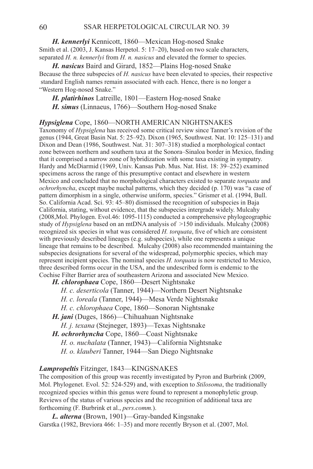*H. kennerlyi* Kennicott, 1860—Mexican Hog-nosed Snake Smith et al. (2003, J. Kansas Herpetol. 5: 17–20), based on two scale characters, separated *H. n. kennerlyi* from *H. n. nasicus* and elevated the former to species.

*H. nasicus* Baird and Girard, 1852—Plains Hog-nosed Snake Because the three subspecies of *H. nasicus* have been elevated to species, their respective standard English names remain associated with each. Hence, there is no longer a "Western Hog-nosed Snake."

*H. platirhinos* Latreille, 1801—Eastern Hog-nosed Snake *H. simus* (Linnaeus, 1766)—Southern Hog-nosed Snake

#### *Hypsiglena* Cope, 1860—NORTH AMERICAN NIGHTSNAKES

Taxonomy of *Hypsiglena* has received some critical review since Tanner's revision of the genus (1944, Great Basin Nat. 5: 25–92). Dixon (1965, Southwest. Nat. 10: 125–131) and Dixon and Dean (1986, Southwest. Nat. 31: 307–318) studied a morphological contact zone between northern and southern taxa at the Sonora–Sinaloa border in Mexico, finding that it comprised a narrow zone of hybridization with some taxa existing in sympatry. Hardy and McDiarmid (1969, Univ. Kansas Pub. Mus. Nat. Hist. 18: 39–252) examined specimens across the range of this presumptive contact and elsewhere in western Mexico and concluded that no morphological characters existed to separate *torquata* and *ochrorhyncha*, except maybe nuchal patterns, which they decided (p. 170) was "a case of pattern dimorphism in a single, otherwise uniform, species." Grismer et al. (1994, Bull. So. California Acad. Sci. 93: 45–80) dismissed the recognition of subspecies in Baja California, stating, without evidence, that the subspecies intergrade widely. Mulcahy (2008,Mol. Phylogen. Evol.46: 1095-1115) conducted a comprehensive phylogeographic study of *Hypsiglena* based on an mtDNA analysis of >150 individuals. Mulcahy (2008) recognized six species in what was considered *H. torquata*, five of which are consistent with previously described lineages (e.g. subspecies), while one represents a unique lineage that remains to be described. Mulcahy (2008) also recommended maintaining the subspecies designations for several of the widespread, polymorphic species, which may represent incipient species. The nominal species *H. torquata* is now restricted to Mexico, three described forms occur in the USA, and the undescribed form is endemic to the Cochise Filter Barrier area of southeastern Arizona and associated New Mexico.

- *H. chlorophaea* Cope, 1860—Desert Nightsnake
	- *H. c. deserticola* (Tanner, 1944)—Northern Desert Nightsnake
	- *H. c. loreala* (Tanner, 1944)—Mesa Verde Nightsnake
	- *H. c. chlorophaea* Cope, 1860—Sonoran Nightsnake
- *H. jani* (Duges, 1866)—Chihuahuan Nightsnake
	- *H. j. texana* (Stejneger, 1893)—Texas Nightsnake
- *H. ochrorhyncha* Cope, 1860—Coast Nightsnake
	- *H. o. nuchalata* (Tanner, 1943)—California Nightsnake
	- *H. o. klauberi* Tanner, 1944—San Diego Nightsnake

#### *Lampropeltis* Fitzinger, 1843—Kingsnakes

The composition of this group was recently investigated by Pyron and Burbrink (2009, Mol. Phylogenet. Evol. 52: 524-529) and, with exception to *Stilosoma*, the traditionally recognized species within this genus were found to represent a monophyletic group. Reviews of the status of various species and the recognition of additional taxa are forthcoming (F. Burbrink et al., *pers.comm.*).

*L. alterna* (Brown, 1901)—Gray-banded Kingsnake Garstka (1982, Breviora 466: 1–35) and more recently Bryson et al. (2007, Mol.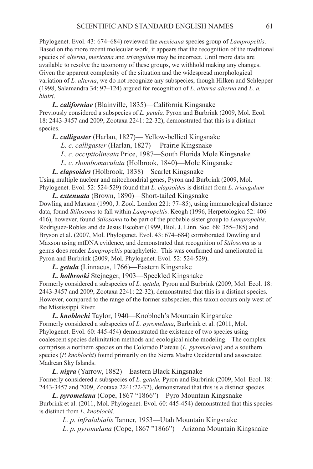Phylogenet. Evol. 43: 674–684) reviewed the *mexicana* species group of *Lampropeltis*. Based on the more recent molecular work, it appears that the recognition of the traditional species of *alterna*, *mexicana* and *triangulum* may be incorrect. Until more data are available to resolve the taxonomy of these groups, we withhold making any changes. Given the apparent complexity of the situation and the widespread morphological variation of *L. alterna*, we do not recognize any subspecies, though Hilken and Schlepper (1998, Salamandra 34: 97–124) argued for recognition of *L. alterna alterna* and *L. a. blairi*.

*L. californiae* (Blainville, 1835)—California Kingsnake Previously considered a subspecies of *L. getula,* Pyron and Burbrink (2009, Mol. Ecol. 18: 2443-3457 and 2009, Zootaxa 2241: 22-32), demonstrated that this is a distinct species.

*L. calligaster* (Harlan, 1827)— Yellow-bellied Kingsnake

 *L. c. calligaster* (Harlan, 1827)— Prairie Kingsnake

 *L. c. occipitolineata* Price, 1987—South Florida Mole Kingsnake

 *L. c. rhombomaculata* (Holbrook, 1840)—Mole Kingsnake

*L. elapsoides* (Holbrook, 1838)—Scarlet Kingsnake

Using multiple nuclear and mitochondrial genes, Pyron and Burbrink (2009, Mol. Phylogenet. Evol. 52: 524-529) found that *L. elapsoides* is distinct from *L. triangulum*

*L. extenuata* (Brown, 1890)—Short-tailed Kingsnake Dowling and Maxson (1990, J. Zool. London 221: 77–85), using immunological distance data, found *Stilosoma* to fall within *Lampropeltis*. Keogh (1996, Herpetologica 52: 406– 416), however, found *Stilosoma* to be part of the probable sister group to *Lampropeltis*. Rodriguez-Robles and de Jesus Escobar (1999, Biol. J. Linn. Soc. 68: 355–385) and Bryson et al. (2007, Mol. Phylogenet. Evol. 43: 674–684) corroborated Dowling and Maxson using mtDNA evidence, and demonstrated that recognition of *Stilosoma* as a genus does render *Lampropeltis* paraphyletic. This was confirmed and ameliorated in Pyron and Burbrink (2009, Mol. Phylogenet. Evol. 52: 524-529).

*L. getula* (Linnaeus, 1766)—Eastern Kingsnake

*L. holbrooki* Stejneger, 1903—Speckled Kingsnake

Formerly considered a subspecies of *L. getula,* Pyron and Burbrink (2009, Mol. Ecol. 18: 2443-3457 and 2009, Zootaxa 2241: 22-32), demonstrated that this is a distinct species. However, compared to the range of the former subspecies, this taxon occurs only west of the Mississippi River.

*L. knoblochi* Taylor, 1940—Knobloch's Mountain Kingsnake Formerly considered a subspecies of *L. pyromelana*, Burbrink et al. (2011, Mol. Phylogenet. Evol. 60: 445-454) demonstrated the existence of two species using coalescent species delimitation methods and ecological niche modeling. The complex comprises a northern species on the Colorado Plateau (*L. pyromelana*) and a southern species (*P. knoblochi*) found primarily on the Sierra Madre Occidental and associated Madrean Sky Islands.

*L. nigra* (Yarrow, 1882)—Eastern Black Kingsnake Formerly considered a subspecies of *L. getula,* Pyron and Burbrink (2009, Mol. Ecol. 18: 2443-3457 and 2009, Zootaxa 2241:22-32), demonstrated that this is a distinct species.

*L. pyromelana* (Cope, 1867 "1866")—Pyro Mountain Kingsnake Burbrink et al. (2011, Mol. Phylogenet. Evol. 60: 445-454) demonstrated that this species is distinct from *L. knoblochi*.

*L. p. infralabialis* Tanner, 1953—Utah Mountain Kingsnake *L. p. pyromelana* (Cope, 1867 "1866")—Arizona Mountain Kingsnake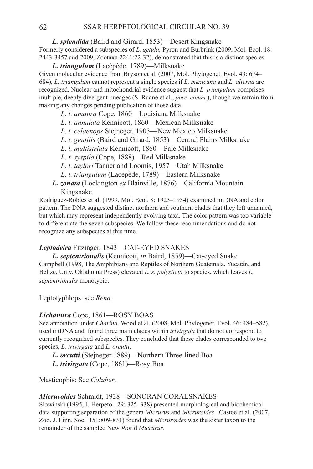*L. splendida* (Baird and Girard, 1853)—Desert Kingsnake

Formerly considered a subspecies of *L. getula,* Pyron and Burbrink (2009, Mol. Ecol. 18: 2443-3457 and 2009, Zootaxa 2241:22-32), demonstrated that this is a distinct species.

*L. triangulum* (Lacépède, 1789)—Milksnake Given molecular evidence from Bryson et al. (2007, Mol. Phylogenet. Evol. 43: 674– 684), *L. triangulum* cannot represent a single species if *L. mexicana* and *L. alterna* are recognized. Nuclear and mitochondrial evidence suggest that *L. triangulum* comprises multiple, deeply divergent lineages (S. Ruane et al., *pers. comm.*), though we refrain from making any changes pending publication of those data.

- *L. t. amaura* Cope, 1860—Louisiana Milksnake
- *L. t. annulata* Kennicott, 1860—Mexican Milksnake
- *L. t. celaenops* Stejneger, 1903—New Mexico Milksnake
- *L. t. gentilis* (Baird and Girard, 1853)—Central Plains Milksnake
- *L. t. multistriata* Kennicott, 1860—Pale Milksnake
- *L. t. syspila* (Cope, 1888)—Red Milksnake
- *L. t. taylori* Tanner and Loomis, 1957—Utah Milksnake
- *L. t. triangulum* (Lacépède, 1789)—Eastern Milksnake
- *L. zonata* (Lockington *ex* Blainville, 1876)—California Mountain Kingsnake

Rodríguez-Robles et al. (1999, Mol. Ecol. 8: 1923–1934) examined mtDNA and color pattern. The DNA suggested distinct northern and southern clades that they left unnamed, but which may represent independently evolving taxa. The color pattern was too variable to differentiate the seven subspecies. We follow these recommendations and do not recognize any subspecies at this time.

# Leptodeira Fitzinger, 1843-CAT-EYED SNAKES

*L. septentrionalis* (Kennicott, *in* Baird, 1859)—Cat-eyed Snake Campbell (1998, The Amphibians and Reptiles of Northern Guatemala, Yucatán, and Belize, Univ. Oklahoma Press) elevated *L. s. polysticta* to species, which leaves *L. septentrionalis* monotypic.

Leptotyphlops see *Rena.*

## *Lichanura* Cope, 1861—ROSY BOAS

See annotation under *Charina*. Wood et al. (2008, Mol. Phylogenet. Evol. 46: 484–582), used mtDNA and found three main clades within *trivirgata* that do not correspond to currently recognized subspecies. They concluded that these clades corresponded to two species, *L. trivirgata* and *L. orcutti*.

*L. orcutti* (Stejneger 1889)—Northern Three-lined Boa

*L. trivirgata* (Cope, 1861)—Rosy Boa

Masticophis: See *Coluber*.

## *Micruroides* Schmidt, 1928—Sonoran Coralsnakes

Slowinski (1995, J. Herpetol. 29: 325–338) presented morphological and biochemical data supporting separation of the genera *Micrurus* and *Micruroides*. Castoe et al. (2007, Zoo. J. Linn. Soc. 151:809-831) found that *Micruroides* was the sister taxon to the remainder of the sampled New World *Micrurus*.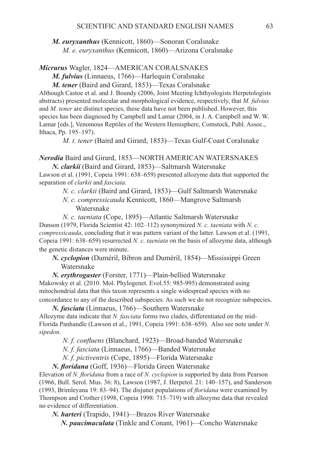*M. euryxanthus* (Kennicott, 1860)—Sonoran Coralsnake *M. e. euryxanthus* (Kennicott, 1860)—Arizona Coralsnake

# *Micrurus* Wagler, 1824—AMERICAN Coralsnakes

*M. fulvius* (Linnaeus, 1766)—Harlequin Coralsnake

*M. tener* (Baird and Girard, 1853)—Texas Coralsnake Although Castoe et al. and J. Boundy (2006, Joint Meeting Ichthyologists Herpetologists abstracts) presented molecular and morphological evidence, respectively, that *M. fulvius* and *M. tener* are distinct species, these data have not been published. However, this species has been diagnosed by Campbell and Lamar (2004, in J. A. Campbell and W. W. Lamar [eds.], Venomous Reptiles of the Western Hemisphere, Comstock, Publ. Assoc., Ithaca, Pp. 195–197).

*M. t. tener* (Baird and Girard, 1853)—Texas Gulf-Coast Coralsnake

# *Nerodia* Baird and Girard, 1853-NORTH AMERICAN WATERSNAKES *N. clarkii* (Baird and Girard, 1853)—Saltmarsh Watersnake

Lawson et al. (1991, Copeia 1991: 638–659) presented allozyme data that supported the separation of *clarkii* and *fasciata*.

*N. c. clarkii* (Baird and Girard, 1853)—Gulf Saltmarsh Watersnake

*N. c. compressicauda* Kennicott, 1860—Mangrove Saltmarsh Watersnake

*N. c. taeniata* (Cope, 1895)—Atlantic Saltmarsh Watersnake Dunson (1979, Florida Scientist 42: 102–112) synonymized *N. c. taeniata* with *N. c. compressicauda*, concluding that it was pattern variant of the latter. Lawson et al. (1991, Copeia 1991: 638–659) resurrected *N. c. taeniata* on the basis of allozyme data, although the genetic distances were minute.

*N. cyclopion* (Duméril, Bibron and Duméril, 1854)—Mississippi Green Watersnake

*N. erythrogaster* (Forster, 1771)—Plain-bellied Watersnake

Makowsky et al. (2010. Mol. Phylogenet. Evol.55: 985-995) demonstrated using mitochondrial data that this taxon represents a single widespread species with no concordance to any of the described subspecies. As such we do not recognize subspecies.

*N. fasciata* (Linnaeus, 1766)—Southern Watersnake Allozyme data indicate that *N. fasciata* forms two clades, differentiated on the mid-Florida Panhandle (Lawson et al., 1991, Copeia 1991: 638–659). Also see note under *N. sipedon*.

*N. f. confluens* (Blanchard, 1923)—Broad-banded Watersnake

*N. f. fasciata* (Linnaeus, 1766)—Banded Watersnake

*N. f. pictiventris* (Cope, 1895)—Florida Watersnake

*N. floridana* (Goff, 1936)—Florida Green Watersnake

Elevation of *N. floridana* from a race of *N. cyclopion* is supported by data from Pearson (1966, Bull. Serol. Mus. 36: 8), Lawson (1987, J. Herpetol. 21: 140–157), and Sanderson (1993, Brimleyana 19: 83–94). The disjunct populations of *floridana* were examined by Thompson and Crother (1998, Copeia 1998: 715–719) with allozyme data that revealed no evidence of differentiation.

*N. harteri* (Trapido, 1941)—Brazos River Watersnake

 *N. paucimaculata* (Tinkle and Conant, 1961)—Concho Watersnake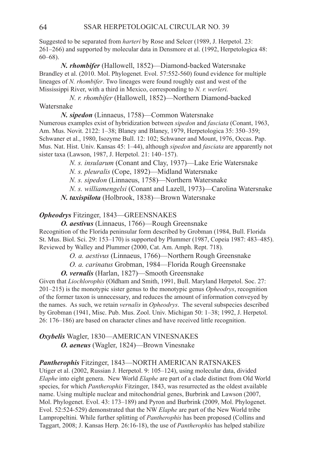Suggested to be separated from *harteri* by Rose and Selcer (1989, J. Herpetol. 23: 261–266) and supported by molecular data in Densmore et al. (1992, Herpetologica 48: 60–68).

 *N. rhombifer* (Hallowell, 1852)—Diamond-backed Watersnake Brandley et al. (2010. Mol. Phylogenet. Evol. 57:552-560) found evidence for multiple lineages of *N. rhombifer*. Two lineages were found roughly east and west of the Mississippi River, with a third in Mexico, corresponding to *N. r. werleri.* 

*N. r. rhombifer* (Hallowell, 1852)—Northern Diamond-backed Watersnake

 *N. sipedon* (Linnaeus, 1758)—Common Watersnake Numerous examples exist of hybridization between *sipedon* and *fasciata* (Conant, 1963, Am. Mus. Novit. 2122: 1–38; Blaney and Blaney, 1979, Herpetologica 35: 350–359; Schwaner et al., 1980, Isozyme Bull. 12: 102; Schwaner and Mount, 1976, Occas. Pap. Mus. Nat. Hist. Univ. Kansas 45: 1–44), although *sipedon* and *fasciata* are apparently not sister taxa (Lawson, 1987, J. Herpetol. 21: 140–157).

 *N. s. insularum* (Conant and Clay, 1937)—Lake Erie Watersnake

 *N. s. pleuralis* (Cope, 1892)—Midland Watersnake

 *N. s. sipedon* (Linnaeus, 1758)—Northern Watersnake

 *N. s. williamengelsi* (Conant and Lazell, 1973)—Carolina Watersnake

 *N. taxispilota* (Holbrook, 1838)—Brown Watersnake

## **Opheodrys** Fitzinger, 1843—GREENSNAKES

 *O. aestivus* (Linnaeus, 1766)—Rough Greensnake

Recognition of the Florida peninsular form described by Grobman (1984, Bull. Florida St. Mus. Biol. Sci. 29: 153–170) is supported by Plummer (1987, Copeia 1987: 483–485). Reviewed by Walley and Plummer (2000, Cat. Am. Amph. Rept. 718).

*O. a. aestivus* (Linnaeus, 1766)—Northern Rough Greensnake

*O. a. carinatus* Grobman, 1984—Florida Rough Greensnake

 *O. vernalis* (Harlan, 1827)—Smooth Greensnake

Given that *Liochlorophis* (Oldham and Smith, 1991, Bull. Maryland Herpetol. Soc. 27: 201–215) is the monotypic sister genus to the monotypic genus *Opheodrys*, recognition of the former taxon is unnecessary, and reduces the amount of information conveyed by the names. As such, we retain *vernalis* in *Opheodrys*. The several subspecies described by Grobman (1941, Misc. Pub. Mus. Zool. Univ. Michigan 50: 1–38; 1992, J. Herpetol. 26: 176–186) are based on character clines and have received little recognition.

*Oxybelis* Wagler, 1830—American Vinesnakes  *O. aeneus* (Wagler, 1824)—Brown Vinesnake

## *Pantherophis* Fitzinger, 1843—NORTH AMERICAN RATSNAKES

Utiger et al. (2002, Russian J. Herpetol. 9: 105–124), using molecular data, divided *Elaphe* into eight genera. New World *Elaphe* are part of a clade distinct from Old World species, for which *Pantherophis* Fitzinger, 1843, was resurrected as the oldest available name. Using multiple nuclear and mitochondrial genes, Burbrink and Lawson (2007, Mol. Phylogenet. Evol. 43: 173–189) and Pyron and Burbrink (2009, Mol. Phylogenet. Evol. 52:524-529) demonstrated that the NW *Elaphe* are part of the New World tribe Lampropeltini*.* While further splitting of *Pantherophis* has been proposed (Collins and Taggart, 2008; J. Kansas Herp. 26:16-18), the use of *Pantherophis* has helped stabilize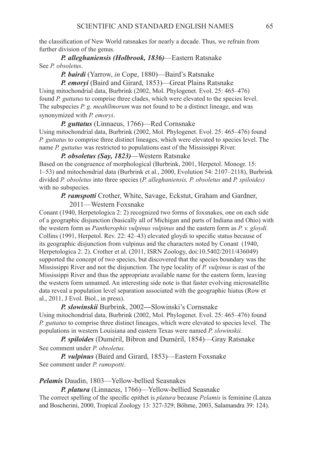the classification of New World ratsnakes for nearly a decade. Thus, we refrain from further division of the genus.

# *P. alleghaniensis (Holbrook, 1836)*—Eastern Ratsnake See *P. obsoletus*.

 *P. bairdi* (Yarrow, *in* Cope, 1880)—Baird's Ratsnake

 *P. emoryi* (Baird and Girard, 1853)—Great Plains Ratsnake Using mitochondrial data, Burbrink (2002, Mol. Phylogenet. Evol. 25: 465–476)

found *P. guttatus* to comprise three clades, which were elevated to the species level. The subspecies *P. g. meahllmorum* was not found to be a distinct lineage, and was synonymized with *P. emoryi*.

### *P. guttatus* (Linnaeus, 1766)—Red Cornsnake

Using mitochondrial data, Burbrink (2002, Mol. Phylogenet. Evol. 25: 465–476) found *P. guttatus* to comprise three distinct lineages, which were elevated to species level. The name *P. guttatus* was restricted to populations east of the Mississippi River.

 *P. obsoletus (Say, 1823)*—Western Ratsnake

Based on the congruence of morphological (Burbrink, 2001, Herpetol. Monogr. 15: 1–53) and mitochondrial data (Burbrink et al., 2000, Evolution 54: 2107–2118), Burbrink divided *P. obsoletus* into three species (*P. alleghaniensis, P. obsoletus* and *P. spiloides)* with no subspecies.

 *P. ramspotti* Crother, White, Savage, Eckstut, Graham and Gardner,

2011—Western Foxsnake

Conant (1940, Herpetologica 2: 2) recognized two forms of foxsnakes, one on each side of a geographic disjunction (basically all of Michigan and parts of Indiana and Ohio) with the western form as *Pantherophis vulpinus vulpinus* and the eastern form as *P. v. gloydi.* Collins (1991, Herpetol. Rev. 22: 42–43) elevated gloydi to specific status because of its geographic disjunction from vulpinus and the characters noted by Conant (1940, Herpetologica 2: 2). Crother et al. (2011, ISRN Zoology, doi:10.5402/2011/436049) supported the concept of two species, but discovered that the species boundary was the Mississippi River and not the disjunction. The type locality of *P. vulpinus* is east of the Mississippi River and thus the appropriate available name for the eastern form, leaving the western form unnamed. An interesting side note is that faster evolving microsatellite data reveal a population level separation associated with the geographic hiatus (Row et al., 2011, J Evol. Biol., in press).

 *P. slowinskii* Burbrink, 2002*—*Slowinski's Cornsnake Using mitochondrial data, Burbrink (2002, Mol. Phylogenet. Evol. 25: 465–476) found *P. guttatus* to comprise three distinct lineages, which were elevated to species level. The populations in western Louisiana and eastern Texas were named *P. slowinskii.*

 *P. spiloides* (Duméril, Bibron and Duméril, 1854)—Gray Ratsnake See comment under *P. obsoletus.*

 *P. vulpinus* (Baird and Girard, 1853)—Eastern Foxsnake See comment under *P. ramspotti*.

*Pelamis* Daudin, 1803—Yellow-bellied Seasnakes

 *P. platura* (Linnaeus, 1766)—Yellow-bellied Seasnake

The correct spelling of the specific epithet is *platura* because *Pelamis* is feminine (Lanza and Boscherini, 2000, Tropical Zoology 13: 327-329; Böhme, 2003, Salamandra 39: 124).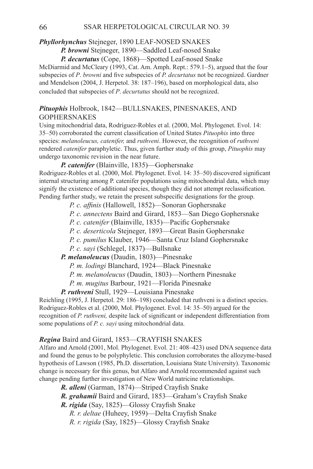# **Phyllorhynchus** Stejneger, 1890 LEAF-NOSED SNAKES

 *P. browni* Stejneger, 1890—Saddled Leaf-nosed Snake  *P. decurtatus* (Cope, 1868)—Spotted Leaf-nosed Snake

McDiarmid and McCleary (1993, Cat. Am. Amph. Rept.: 579.1–5), argued that the four subspecies of *P*. *browni* and five subspecies of *P. decurtatus* not be recognized. Gardner and Mendelson (2004, J. Herpetol. 38: 187–196), based on morphological data, also concluded that subspecies of *P*. *decurtatus* should not be recognized.

# *Pituophis* Holbrook, 1842—BULLSNAKES, PINESNAKES, AND GOPHERSNAKES

Using mitochondrial data, Rodríguez-Robles et al. (2000, Mol. Phylogenet. Evol. 14: 35–50) corroborated the current classification of United States *Pituophis* into three species: *melanoleucus, catenifer,* and *ruthveni*. However, the recognition of *ruthveni*  rendered *catenifer* paraphyletic. Thus, given further study of this group, *Pituophis* may undergo taxonomic revision in the near future.

# *P. catenifer* (Blainville, 1835)—Gophersnake

Rodriguez-Robles et al. (2000, Mol. Phylogenet. Evol. 14: 35–50) discovered significant internal structuring among P. catenifer populations using mitochondrial data, which may signify the existence of additional species, though they did not attempt reclassification. Pending further study, we retain the present subspecific designations for the group.

- *P. c. affinis* (Hallowell, 1852)—Sonoran Gophersnake
- *P. c. annectens* Baird and Girard, 1853—San Diego Gophersnake
- *P. c. catenifer* (Blainville, 1835)—Pacific Gophersnake
- *P. c. deserticola* Stejneger, 1893—Great Basin Gophersnake
- *P. c. pumilus* Klauber, 1946—Santa Cruz Island Gophersnake
- *P. c. sayi* (Schlegel, 1837)—Bullsnake

 *P. melanoleucus* (Daudin, 1803)—Pinesnake

- *P. m. lodingi* Blanchard, 1924—Black Pinesnake
- *P. m. melanoleucus* (Daudin, 1803)—Northern Pinesnake
- *P. m. mugitus* Barbour, 1921—Florida Pinesnake

 *P. ruthveni* Stull, 1929—Louisiana Pinesnake

Reichling (1995, J. Herpetol. 29: 186–198) concluded that ruthveni is a distinct species. Rodriguez-Robles et al. (2000, Mol. Phylogenet. Evol. 14: 35–50) argued for the recognition of *P. ruthveni,* despite lack of significant or independent differentiation from some populations of *P. c. sayi* using mitochondrial data.

# **Regina** Baird and Girard, 1853—CRAYFISH SNAKES

Alfaro and Arnold (2001, Mol. Phylogenet. Evol. 21: 408–423) used DNA sequence data and found the genus to be polyphyletic. This conclusion corroborates the allozyme-based hypothesis of Lawson (1985, Ph.D. dissertation, Louisiana State University). Taxonomic change is necessary for this genus, but Alfaro and Arnold recommended against such change pending further investigation of New World natricine relationships.

- *R. alleni* (Garman, 1874)—Striped Crayfish Snake
- *R. grahamii* Baird and Girard, 1853—Graham's Crayfish Snake
- *R. rigida* (Say, 1825)—Glossy Crayfish Snake
	- *R. r. deltae* (Huheey, 1959)—Delta Crayfish Snake
	- *R. r. rigida* (Say, 1825)—Glossy Crayfish Snake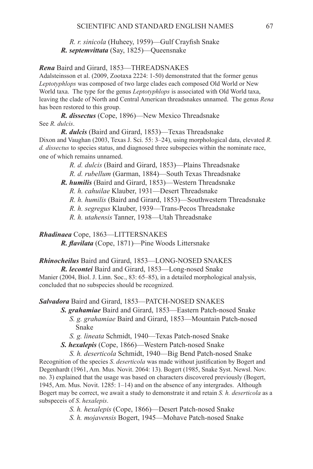*R. r. sinicola* (Huheey, 1959)—Gulf Crayfish Snake  *R. septemvittata* (Say, 1825)—Queensnake

### **Rena** Baird and Girard, 1853—THREADSNAKES

Adalsteinsson et al. (2009, Zootaxa 2224: 1-50) demonstrated that the former genus *Leptotyphlops* was composed of two large clades each composed Old World or New World taxa. The type for the genus *Leptotyphlops* is associated with Old World taxa, leaving the clade of North and Central American threadsnakes unnamed. The genus *Rena* has been restored to this group.

 *R. dissectus* (Cope, 1896)—New Mexico Threadsnake See *R. dulcis*.

 *R. dulcis* (Baird and Girard, 1853)—Texas Threadsnake Dixon and Vaughan (2003, Texas J. Sci. 55: 3–24), using morphological data, elevated *R. d. dissectus* to species status, and diagnosed three subspecies within the nominate race, one of which remains unnamed.

 *R. d. dulcis* (Baird and Girard, 1853)—Plains Threadsnake

 *R. d. rubellum* (Garman, 1884)—South Texas Threadsnake

 *R. humilis* (Baird and Girard, 1853)—Western Threadsnake

*R. h. cahuilae* Klauber, 1931—Desert Threadsnake

*R. h. humilis* (Baird and Girard, 1853)—Southwestern Threadsnake

*R. h. segregus* Klauber, 1939—Trans-Pecos Threadsnake

*R. h. utahensis* Tanner, 1938—Utah Threadsnake

*Rhadinaea* Cope, 1863-LITTERSNAKES

*R. flavilata* (Cope, 1871)—Pine Woods Littersnake

# *Rhinocheilus* Baird and Girard, 1853—LONG-NOSED SNAKES

 *R. lecontei* Baird and Girard, 1853—Long-nosed Snake Manier (2004, Biol. J. Linn. Soc., 83: 65–85), in a detailed morphological analysis, concluded that no subspecies should be recognized.

# **Salvadora** Baird and Girard, 1853—PATCH-NOSED SNAKES

 *S. grahamiae* Baird and Girard, 1853—Eastern Patch-nosed Snake *S. g. grahamiae* Baird and Girard, 1853—Mountain Patch-nosed Snake

*S. g. lineata* Schmidt, 1940—Texas Patch-nosed Snake

 *S. hexalepis* (Cope, 1866)—Western Patch-nosed Snake

*S. h. deserticola* Schmidt, 1940—Big Bend Patch-nosed Snake Recognition of the species *S*. *deserticola* was made without justification by Bogert and Degenhardt (1961, Am. Mus. Novit. 2064: 13). Bogert (1985, Snake Syst. Newsl. Nov. no. 3) explained that the usage was based on characters discovered previously (Bogert, 1945, Am. Mus. Novit. 1285: 1–14) and on the absence of any intergrades. Although Bogert may be correct, we await a study to demonstrate it and retain *S. h. deserticola* as a subspeceis of *S*. *hexalepis*.

> *S. h. hexalepis* (Cope, 1866)—Desert Patch-nosed Snake *S. h. mojavensis* Bogert, 1945—Mohave Patch-nosed Snake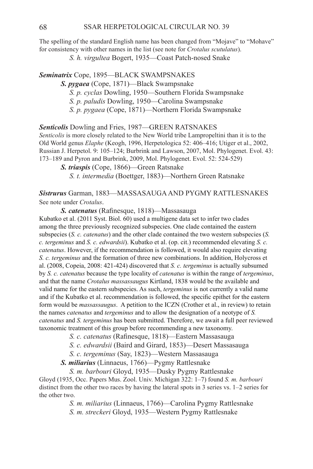The spelling of the standard English name has been changed from "Mojave" to "Mohave" for consistency with other names in the list (see note for *Crotalus scutulatus*).

 *S. h. virgultea* Bogert, 1935—Coast Patch-nosed Snake

*Seminatrix* Cope, 1895—Black Swampsnakes

 *S. pygaea* (Cope, 1871)—Black Swampsnake

*S. p. cyclas* Dowling, 1950—Southern Florida Swampsnake

*S. p. paludis* Dowling, 1950—Carolina Swampsnake

*S. p. pygaea* (Cope, 1871)—Northern Florida Swampsnake

**Senticolis** Dowling and Fries, 1987—GREEN RATSNAKES

*Senticolis* is more closely related to the New World tribe Lampropeltini than it is to the Old World genus *Elaphe* (Keogh, 1996, Herpetologica 52: 406–416; Utiger et al., 2002, Russian J. Herpetol. 9: 105–124; Burbrink and Lawson, 2007, Mol. Phylogenet. Evol. 43: 173–189 and Pyron and Burbrink, 2009, Mol. Phylogenet. Evol. 52: 524-529)

 *S. triaspis* (Cope, 1866)—Green Ratsnake

*S. t. intermedia* (Boettger, 1883)—Northern Green Ratsnake

*Sistrurus* Garman, 1883—MASSASAUGA AND Pygmy Rattlesnakes See note under *Crotalus*.

 *S. catenatus* (Rafinesque, 1818)—Massasauga

Kubatko et al. (2011 Syst. Biol. 60) used a multigene data set to infer two clades among the three previously recognized subspecies. One clade contained the eastern subspecies (*S. c. catenatus*) and the other clade contained the two western subspecies (*S. c. tergeminus* and *S. c. edwardsii*). Kubatko et al. (op. cit.) recommended elevating *S. c. catenatus*. However, if the recommendation is followed, it would also require elevating *S. c. tergeminus* and the formation of three new combinations. In addition, Holycross et al. (2008, Copeia, 2008: 421-424) discovered that *S. c. tergeminus* is actually subsumed by *S. c. catenatus* because the type locality of *catenatus* is within the range of *tergeminus*, and that the name *Crotalus massassaugus* Kirtland, 1838 would be the available and valid name for the eastern subspecies. As such, *tergeminus* is not currently a valid name and if the Kubatko et al. recommendation is followed, the specific epithet for the eastern form would be *massassaugus*. A petition to the ICZN (Crother et al., in review) to retain the names *catenatus* and *tergeminus* and to allow the designation of a neotype of *S. catenatus* and *S. tergeminus* has been submitted. Therefore, we await a full peer reviewed taxonomic treatment of this group before recommending a new taxonomy.

*S. c. catenatus* (Rafinesque, 1818)—Eastern Massasauga

*S. c. edwardsii* (Baird and Girard, 1853)—Desert Massasauga

*S. c. tergeminus* (Say, 1823)—Western Massasauga

 *S. miliarius* (Linnaeus, 1766)—Pygmy Rattlesnake

*S. m. barbouri* Gloyd, 1935—Dusky Pygmy Rattlesnake Gloyd (1935, Occ. Papers Mus. Zool. Univ. Michigan 322: 1–7) found *S. m. barbouri* distinct from the other two races by having the lateral spots in 3 series vs. 1–2 series for the other two.

> *S. m. miliarius* (Linnaeus, 1766)—Carolina Pygmy Rattlesnake *S. m. streckeri* Gloyd, 1935—Western Pygmy Rattlesnake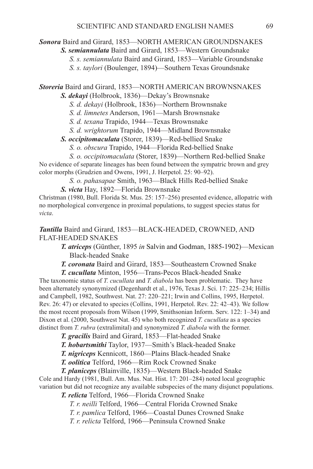# **Sonora** Baird and Girard, 1853-NORTH AMERICAN GROUNDSNAKES

 *S. semiannulata* Baird and Girard, 1853—Western Groundsnake

*S. s. semiannulata* Baird and Girard, 1853—Variable Groundsnake

*S. s. taylori* (Boulenger, 1894)—Southern Texas Groundsnake

*Storeria* Baird and Girard, 1853—NORTH AMERICAN Brownsnakes

*S. dekayi* (Holbrook, 1836)—Dekay's Brownsnake

*S. d. dekayi* (Holbrook, 1836)—Northern Brownsnake

*S. d. limnetes* Anderson, 1961—Marsh Brownsnake

*S. d. texana* Trapido, 1944—Texas Brownsnake

*S. d. wrightorum* Trapido, 1944—Midland Brownsnake

 *S. occipitomaculata* (Storer, 1839)—Red-bellied Snake

*S. o. obscura* Trapido, 1944—Florida Red-bellied Snake

*S. o. occipitomaculata* (Storer, 1839)—Northern Red-bellied Snake No evidence of separate lineages has been found between the sympatric brown and grey color morphs (Grudzien and Owens, 1991, J. Herpetol. 25: 90–92).

*S. o. pahasapae* Smith, 1963—Black Hills Red-bellied Snake

 *S. victa* Hay, 1892—Florida Brownsnake

Christman (1980, Bull. Florida St. Mus. 25: 157–256) presented evidence, allopatric with no morphological convergence in proximal populations, to suggest species status for *victa*.

*Tantilla* Baird and Girard, 1853—BLACK-HEADED, CROWNED, AND FLAT-HEADED SNAKES

> *T. atriceps* (Günther, 1895 *in* Salvin and Godman, 1885-1902)—Mexican Black-headed Snake

 *T. coronata* Baird and Girard, 1853—Southeastern Crowned Snake

 *T. cucullata* Minton, 1956—Trans-Pecos Black-headed Snake The taxonomic status of *T. cucullata* and *T. diabola* has been problematic. They have been alternately synonymized (Degenhardt et al., 1976, Texas J. Sci. 17: 225–234; Hillis and Campbell, 1982, Southwest. Nat. 27: 220–221; Irwin and Collins, 1995, Herpetol. Rev. 26: 47) or elevated to species (Collins, 1991, Herpetol. Rev. 22: 42–43). We follow the most recent proposals from Wilson (1999, Smithsonian Inform. Serv. 122: 1–34) and Dixon et al. (2000, Southwest Nat. 45) who both recognized *T. cucullata* as a species distinct from *T. rubra* (extralimital) and synonymized *T. diabola* with the former.

 *T. gracilis* Baird and Girard, 1853—Flat-headed Snake

 *T. hobartsmithi* Taylor, 1937—Smith's Black-headed Snake

 *T. nigriceps* Kennicott, 1860—Plains Black-headed Snake

 *T. oolitica* Telford, 1966—Rim Rock Crowned Snake

 *T. planiceps* (Blainville, 1835)—Western Black-headed Snake

Cole and Hardy (1981, Bull. Am. Mus. Nat. Hist. 17: 201–284) noted local geographic variation but did not recognize any available subspecies of the many disjunct populations.

 *T. relicta* Telford, 1966—Florida Crowned Snake

*T. r. neilli* Telford, 1966—Central Florida Crowned Snake

*T. r. pamlica* Telford, 1966—Coastal Dunes Crowned Snake

*T. r. relicta* Telford, 1966—Peninsula Crowned Snake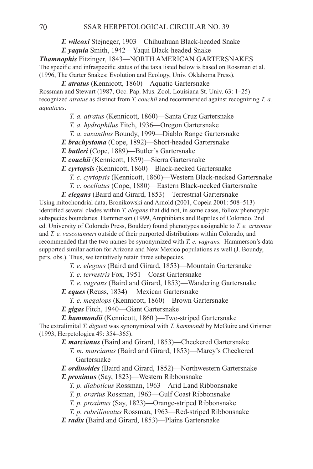*T. wilcoxi* Stejneger, 1903—Chihuahuan Black-headed Snake

 *T. yaquia* Smith, 1942—Yaqui Black-headed Snake

*Thamnophis* Fitzinger, 1843—NORTH AMERICAN GARTERSNAKES The specific and infraspecific status of the taxa listed below is based on Rossman et al. (1996, The Garter Snakes: Evolution and Ecology, Univ. Oklahoma Press).

 *T. atratus* (Kennicott, 1860)—Aquatic Gartersnake

Rossman and Stewart (1987, Occ. Pap. Mus. Zool. Louisiana St. Univ. 63: 1–25) recognized *atratus* as distinct from *T. couchii* and recommended against recognizing *T. a. aquaticus*.

- *T. a. atratus* (Kennicott, 1860)—Santa Cruz Gartersnake
- *T. a. hydrophilus* Fitch, 1936—Oregon Gartersnake
- *T. a. zaxanthus* Boundy, 1999—Diablo Range Gartersnake
- *T. brachystoma* (Cope, 1892)—Short-headed Gartersnake
- *T. butleri* (Cope, 1889)—Butler's Gartersnake
- *T. couchii* (Kennicott, 1859)—Sierra Gartersnake

 *T. cyrtopsis* (Kennicott, 1860)—Black-necked Gartersnake

- *T. c. cyrtopsis* (Kennicott, 1860)—Western Black-necked Gartersnake
- *T. c. ocellatus* (Cope, 1880)—Eastern Black-necked Gartersnake

 *T. elegans* (Baird and Girard, 1853)—Terrestrial Gartersnake Using mitochondrial data, Bronikowski and Arnold (2001, Copeia 2001: 508–513) identified several clades within *T. elegans* that did not, in some cases, follow phenotypic subspecies boundaries. Hammerson (1999, Amphibians and Reptiles of Colorado. 2nd ed. University of Colorado Press, Boulder) found phenotypes assignable to *T. e. arizonae*  and *T. e. vascotanneri* outside of their purported distributions within Colorado, and recommended that the two names be synonymized with *T. e. vagrans.* Hammerson's data supported similar action for Arizona and New Mexico populations as well (J. Boundy, pers. obs.). Thus, we tentatively retain three subspecies.

*T. e. elegans* (Baird and Girard, 1853)—Mountain Gartersnake

*T. e. terrestris* Fox, 1951—Coast Gartersnake

*T. e. vagrans* (Baird and Girard, 1853)—Wandering Gartersnake

 *T. eques* (Reuss, 1834)— Mexican Gartersnake

*T. e. megalops* (Kennicott, 1860)—Brown Gartersnake

 *T. gigas* Fitch, 1940—Giant Gartersnake

 *T. hammondii* (Kennicott, 1860 )—Two-striped Gartersnake The extralimital *T. digueti* was synonymized with *T. hammondi* by McGuire and Grismer (1993, Herpetologica 49: 354–365).

 *T. marcianus* (Baird and Girard, 1853)—Checkered Gartersnake *T. m. marcianus* (Baird and Girard, 1853)—Marcy's Checkered Gartersnake

 *T. ordinoides* (Baird and Girard, 1852)—Northwestern Gartersnake  *T. proximus* (Say, 1823)—Western Ribbonsnake

*T. p. diabolicus* Rossman, 1963—Arid Land Ribbonsnake

*T. p. orarius* Rossman, 1963—Gulf Coast Ribbonsnake

*T. p. proximus* (Say, 1823)—Orange-striped Ribbonsnake

*T. p. rubrilineatus* Rossman, 1963—Red-striped Ribbonsnake

 *T. radix* (Baird and Girard, 1853)—Plains Gartersnake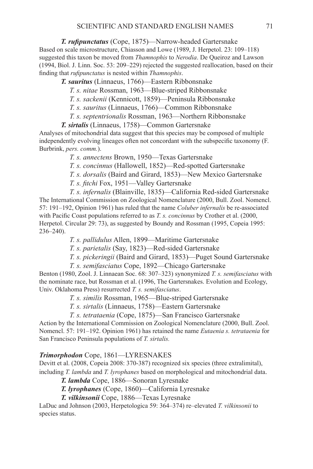*T. rufipunctatus* (Cope, 1875)—Narrow-headed Gartersnake Based on scale microstructure, Chiasson and Lowe (1989, J. Herpetol. 23: 109–118) suggested this taxon be moved from *Thamnophis* to *Nerodia*. De Queiroz and Lawson (1994, Biol. J. Linn. Soc. 53: 209–229) rejected the suggested reallocation, based on their finding that *rufipunctatus* is nested within *Thamnophis*.

 *T. sauritus* (Linnaeus, 1766)—Eastern Ribbonsnake

 *T. s. nitae* Rossman, 1963—Blue-striped Ribbonsnake

*T. s. sackenii* (Kennicott, 1859)—Peninsula Ribbonsnake

*T. s. sauritus* (Linnaeus, 1766)—Common Ribbonsnake

*T. s. septentrionalis* Rossman, 1963—Northern Ribbonsnake

 *T. sirtalis* (Linnaeus, 1758)—Common Gartersnake

Analyses of mitochondrial data suggest that this species may be composed of multiple independently evolving lineages often not concordant with the subspecific taxonomy (F. Burbrink, *pers. comm.*).

*T. s. annectens* Brown, 1950—Texas Gartersnake

*T. s. concinnus* (Hallowell, 1852)—Red-spotted Gartersnake

*T. s. dorsalis* (Baird and Girard, 1853)—New Mexico Gartersnake

*T. s. fitchi* Fox, 1951—Valley Gartersnake

*T. s. infernalis* (Blainville, 1835)—California Red-sided Gartersnake The International Commission on Zoological Nomenclature (2000, Bull. Zool. Nomencl. 57: 191–192, Opinion 1961) has ruled that the name *Coluber infernalis* be re-associated with Pacific Coast populations referred to as *T. s. concinnus* by Crother et al. (2000, Herpetol. Circular 29: 73), as suggested by Boundy and Rossman (1995, Copeia 1995: 236–240).

 *T. s. pallidulus* Allen, 1899—Maritime Gartersnake

 *T. s. parietalis* (Say, 1823)—Red-sided Gartersnake

 *T. s. pickeringii* (Baird and Girard, 1853)—Puget Sound Gartersnake

*T. s. semifasciatus* Cope, 1892—Chicago Gartersnake

Benton (1980, Zool. J. Linnaean Soc. 68: 307–323) synonymized *T. s. semifasciatus* with the nominate race, but Rossman et al. (1996, The Gartersnakes. Evolution and Ecology, Univ. Oklahoma Press) resurrected *T. s. semifasciatus*.

*T. s. similis* Rossman, 1965—Blue-striped Gartersnake

*T. s. sirtalis* (Linnaeus, 1758)—Eastern Gartersnake

*T. s. tetrataenia* (Cope, 1875)—San Francisco Gartersnake

Action by the International Commission on Zoological Nomenclature (2000, Bull. Zool. Nomencl. 57: 191–192. Opinion 1961) has retained the name *Eutaenia s. tetrataenia* for San Francisco Peninsula populations of *T. sirtalis.*

### *Trimorphodon* Cope, 1861—Lyresnakes

Devitt et al. (2008, Copeia 2008: 370-387) recognized six species (three extralimital), including *T. lambda* and *T. lyrophanes* based on morphological and mitochondrial data.

 *T. lambda* Cope, 1886—Sonoran Lyresnake

 *T. lyrophanes* (Cope, 1860)—California Lyresnake

 *T. vilkinsonii* Cope, 1886—Texas Lyresnake

LaDuc and Johnson (2003, Herpetologica 59: 364–374) re–elevated *T. vilkinsonii* to species status.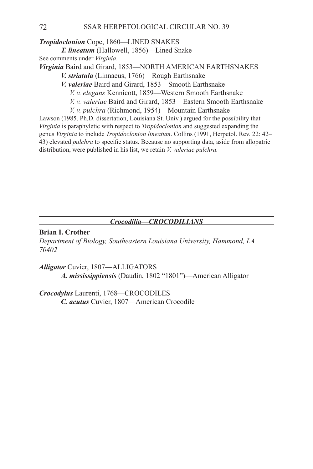*Tropidoclonion* Cope, 1860—LINED SNAKES *T. lineatum* (Hallowell, 1856)—Lined Snake See comments under *Virginia*. Virginia Baird and Girard, 1853—NORTH AMERICAN EARTHSNAKES *V. striatula* (Linnaeus, 1766)—Rough Earthsnake *V. valeriae* Baird and Girard, 1853—Smooth Earthsnake *V. v. elegans* Kennicott, 1859—Western Smooth Earthsnake *V. v. valeriae* Baird and Girard, 1853—Eastern Smooth Earthsnake *V. v. pulchra* (Richmond, 1954)—Mountain Earthsnake Lawson (1985, Ph.D. dissertation, Louisiana St. Univ.) argued for the possibility that

*Virginia* is paraphyletic with respect to *Tropidoclonion* and suggested expanding the genus *Virginia* to include *Tropidoclonion lineatum*. Collins (1991, Herpetol. Rev. 22: 42– 43) elevated *pulchra* to specific status. Because no supporting data, aside from allopatric distribution, were published in his list, we retain *V. valeriae pulchra.*

# *Crocodilia—CROCODILIANS*

# **Brian I. Crother**

*Department of Biology, Southeastern Louisiana University, Hammond, LA 70402*

*Alligator* Cuvier, 1807—ALLIGATORS  *A. mississippiensis* (Daudin, 1802 "1801")—American Alligator

*Crocodylus* Laurenti, 1768—CROCODILES *C. acutus* Cuvier, 1807—American Crocodile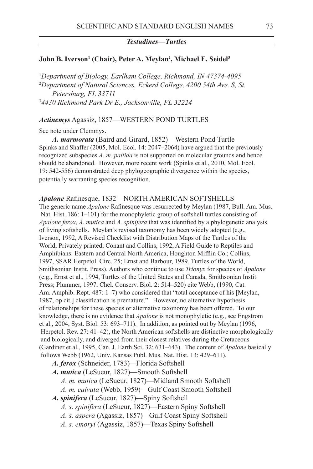#### *Testudines—Turtles*

### **John B. Iverson1 (Chair), Peter A. Meylan2 , Michael E. Seidel3**

 *Department of Biology, Earlham College, Richmond, IN 47374-4095 Department of Natural Sciences, Eckerd College, 4200 54th Ave. S, St. Petersburg, FL 33711 4430 Richmond Park Dr E., Jacksonville, FL 32224*

#### *Actinemys* Agassiz, 1857—WESTERN POND TURTLES

See note under Clemmys.

*A. marmorata* (Baird and Girard, 1852)—Western Pond Turtle Spinks and Shaffer (2005, Mol. Ecol. 14: 2047–2064) have argued that the previously recognized subspecies *A. m. pallida* is not supported on molecular grounds and hence should be abandoned. However, more recent work (Spinks et al., 2010, Mol. Ecol. 19: 542-556) demonstrated deep phylogeographic divergence within the species, potentially warranting species recognition.

### *Apalone* Rafinesque, 1832—NORTH AMERICAN SOFTSHELLS

The generic name *Apalone* Rafinesque was resurrected by Meylan (1987, Bull. Am. Mus. Nat. Hist. 186: 1–101) for the monophyletic group of softshell turtles consisting of *Apalone ferox*, *A. mutica* and *A. spinifera* that was identified by a phylogenetic analysis of living softshells. Meylan's revised taxonomy has been widely adopted (e.g., Iverson, 1992, A Revised Checklist with Distribution Maps of the Turtles of the World, Privately printed; Conant and Collins, 1992, A Field Guide to Reptiles and Amphibians: Eastern and Central North America, Houghton Mifflin Co.; Collins, 1997, SSAR Herpetol. Circ. 25; Ernst and Barbour, 1989, Turtles of the World, Smithsonian Instit. Press). Authors who continue to use *Trionyx* for species of *Apalone* (e.g., Ernst et al., 1994, Turtles of the United States and Canada, Smithsonian Instit. Press; Plummer, 1997, Chel. Conserv. Biol. 2: 514–520) cite Webb, (1990, Cat. Am. Amphib. Rept. 487: 1–7) who considered that "total acceptance of his [Meylan, 1987, op cit.] classification is premature." However, no alternative hypothesis of relationships for these species or alternative taxonomy has been offered. To our knowledge, there is no evidence that *Apalone* is not monophyletic (e.g., see Engstrom et al., 2004, Syst. Biol. 53: 693–711). In addition, as pointed out by Meylan (1996, Herpetol. Rev. 27: 41–42), the North American softshells are distinctive morphologically and biologically, and diverged from their closest relatives during the Cretaceous (Gardiner et al., 1995, Can. J. Earth Sci. 32: 631–643). The content of *Apalone* basically follows Webb (1962, Univ. Kansas Publ. Mus. Nat. Hist. 13: 429–611).

*A. ferox* (Schneider, 1783)*—*Florida Softshell

- *A. mutica* (LeSueur, 1827)—Smooth Softshell
	- *A. m. mutica* (LeSueur, 1827)—Midland Smooth Softshell
	- *A. m. calvata* (Webb, 1959)—Gulf Coast Smooth Softshell
- *A. spinifera* (LeSueur, 1827)—Spiny Softshell
	- *A. s. spinifera* (LeSueur, 1827)—Eastern Spiny Softshell
	- *A. s. aspera* (Agassiz, 1857)*—*Gulf Coast Spiny Softshell
	- *A. s. emoryi* (Agassiz, 1857)—Texas Spiny Softshell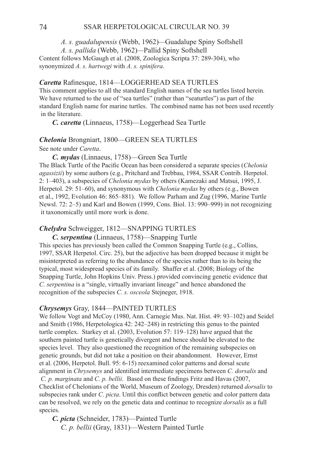*A. s. guadalupensis* (Webb, 1962)*—*Guadalupe Spiny Softshell  *A. s. pallida* (Webb, 1962)*—*Pallid Spiny Softshell

Content follows McGaugh et al. (2008, Zoologica Scripta 37: 289-304), who synonymized *A. s. hartwegi* with *A. s. spinifera*.

### **Caretta** Rafinesque, 1814—LOGGERHEAD SEA TURTLES

This comment applies to all the standard English names of the sea turtles listed herein. We have returned to the use of "sea turtles" (rather than "seaturtles") as part of the standard English name for marine turtles. The combined name has not been used recently in the literature.

*C. caretta* (Linnaeus, 1758)—Loggerhead Sea Turtle

### **Chelonia** Brongniart, 1800-GREEN SEA TURTLES

See note under *Caretta*.

*C. mydas* (Linnaeus, 1758)—Green Sea Turtle The Black Turtle of the Pacific Ocean has been considered a separate species (*Chelonia agassizii*) by some authors (e.g., Pritchard and Trebbau, 1984, SSAR Contrib. Herpetol. 2: 1–403), a subspecies of *Chelonia mydas* by others (Kamezaki and Matsui, 1995, J. Herpetol. 29: 51–60), and synonymous with *Chelonia mydas* by others (e.g., Bowen et al., 1992, Evolution 46: 865–881). We follow Parham and Zug (1996, Marine Turtle Newsl. 72: 2–5) and Karl and Bowen (1999, Cons. Biol. 13: 990–999) in not recognizing it taxonomically until more work is done.

### *Chelydra* Schweigger, 1812—SNAPPING TURTLES

*C. serpentina* (Linnaeus, 1758)—Snapping Turtle

This species has previously been called the Common Snapping Turtle (e.g., Collins, 1997, SSAR Herpetol. Circ. 25), but the adjective has been dropped because it might be misinterpreted as referring to the abundance of the species rather than to its being the typical, most widespread species of its family. Shaffer et al. (2008; Biology of the Snapping Turtle, John Hopkins Univ. Press.) provided convincing genetic evidence that *C. serpentina* is a "single, virtually invariant lineage" and hence abandoned the recognition of the subspecies *C. s. osceola* Stejneger, 1918.

### *Chrysemys* Gray, 1844—PAINTED TURTLES

We follow Vogt and McCoy (1980, Ann. Carnegie Mus. Nat. Hist. 49: 93–102) and Seidel and Smith (1986, Herpetologica 42: 242–248) in restricting this genus to the painted turtle complex. Starkey et al. (2003, Evolution 57: 119–128) have argued that the southern painted turtle is genetically divergent and hence should be elevated to the species level. They also questioned the recognition of the remaining subspecies on genetic grounds, but did not take a position on their abandonment. However, Ernst et al. (2006, Herpetol. Bull. 95: 6-15) reexamined color patterns and dorsal scute alignment in *Chrysemys* and identified intermediate specimens between *C. dorsalis* and *C. p. marginata* and *C. p. bellii*. Based on these findings Fritz and Havas (2007, Checklist of Chelonians of the World, Museum of Zoology, Dresden) returned *dorsalis* to subspecies rank under *C. picta*. Until this conflict between genetic and color pattern data can be resolved, we rely on the genetic data and continue to recognize *dorsalis* as a full species.

*C. picta* (Schneider, 1783)—Painted Turtle *C. p. bellii* (Gray, 1831)—Western Painted Turtle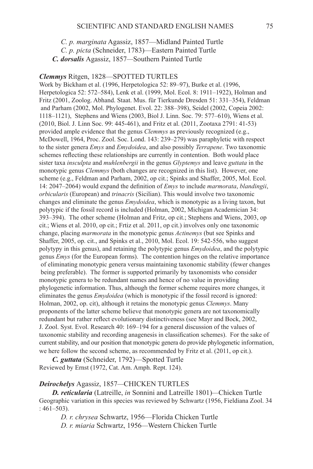*C. p. marginata* Agassiz, 1857—Midland Painted Turtle  *C. p. picta* (Schneider, 1783)—Eastern Painted Turtle *C. dorsalis* Agassiz, 1857*—*Southern Painted Turtle

### *Clemmys* Ritgen, 1828—SPOTTED TURTLES

Work by Bickham et al. (1996, Herpetologica 52: 89–97), Burke et al. (1996, Herpetologica 52: 572–584), Lenk et al. (1999, Mol. Ecol. 8: 1911–1922), Holman and Fritz (2001, Zoolog. Abhand. Staat. Mus. für Tierkunde Dresden 51: 331–354), Feldman and Parham (2002, Mol. Phylogenet. Evol. 22: 388–398), Seidel (2002, Copeia 2002: 1118–1121), Stephens and Wiens (2003, Biol J. Linn. Soc. 79: 577–610), Wiens et al. (2010, Biol. J. Linn Soc. 99: 445-461), and Fritz et al. (2011, Zootaxa 2791: 41-53) provided ample evidence that the genus *Clemmys* as previously recognized (e.g., McDowell, 1964, Proc. Zool. Soc. Lond. 143: 239–279) was paraphyletic with respect to the sister genera *Emys* and *Emydoidea*, and also possibly *Terrapene*. Two taxonomic schemes reflecting these relationships are currently in contention. Both would place sister taxa *insculpta* and *muhlenbergii* in the genus *Glyptemys* and leave *guttata* in the monotypic genus *Clemmys* (both changes are recognized in this list). However, one scheme (e.g., Feldman and Parham, 2002, op cit.; Spinks and Shaffer, 2005, Mol. Ecol. 14: 2047–2064) would expand the definition of *Emys* to include *marmorata*, *blandingii*, *orbicularis* (European) and *trinacris* (Sicilian). This would involve two taxonomic changes and eliminate the genus *Emydoidea*, which is monotypic as a living taxon, but polytypic if the fossil record is included (Holman, 2002, Michigan Academician 34: 393–394). The other scheme (Holman and Fritz, op cit.; Stephens and Wiens, 2003, op cit.; Wiens et al. 2010, op cit.; Frtiz et al. 2011, op cit.) involves only one taxonomic change, placing *marmorata* in the monotypic genus *Actinemys* (but see Spinks and Shaffer, 2005, op. cit., and Spinks et al., 2010, Mol. Ecol. 19: 542-556, who suggest polytypy in this genus), and retaining the polytypic genus *Emydoidea*, and the polytypic genus *Emys* (for the European forms). The contention hinges on the relative importance of eliminating monotypic genera versus maintaining taxonomic stability (fewer changes being preferable). The former is supported primarily by taxonomists who consider monotypic genera to be redundant names and hence of no value in providing phylogenetic information. Thus, although the former scheme requires more changes, it eliminates the genus *Emydoidea* (which is monotypic if the fossil record is ignored: Holman, 2002, op. cit), although it retains the monotypic genus *Clemmys*. Many proponents of the latter scheme believe that monotypic genera are not taxonomically redundant but rather reflect evolutionary distinctiveness (see Mayr and Bock, 2002, J. Zool. Syst. Evol. Research 40: 169–194 for a general discussion of the values of taxonomic stability and recording anagenesis in classification schemes). For the sake of current stability, and our position that monotypic genera do provide phylogenetic information, we here follow the second scheme, as recommended by Fritz et al. (2011, op cit.).

*C. guttata* (Schneider, 1792)—Spotted Turtle Reviewed by Ernst (1972, Cat. Am. Amph. Rept. 124).

### *Deirochelys* Agassiz, 1857*—*Chicken Turtles

*D. reticularia* (Latreille, *in* Sonnini and Latreille 1801)*—*Chicken Turtle Geographic variation in this species was reviewed by Schwartz (1956, Fieldiana Zool. 34  $: 461 - 503$ .

 *D. r. chrysea* Schwartz, 1956—Florida Chicken Turtle  *D. r. miaria* Schwartz, 1956*—*Western Chicken Turtle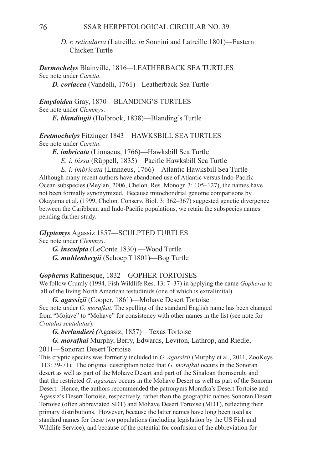*D. r. reticularia* (Latreille, *in* Sonnini and Latreille 1801)*—*Eastern Chicken Turtle

**Dermochelys** Blainville, 1816-LEATHERBACK SEA TURTLES See note under *Caretta*. *D. coriacea* (Vandelli, 1761)*—*Leatherback Sea Turtle

*Emydoidea* Gray, 1870—BLANDING'S TURTLES See note under *Clemmys*.

*E. blandingii* (Holbrook, 1838)—Blanding's Turtle

*Eretmochelys* Fitzinger 1843—HAWKSBILL SEA TURTLES See note under *Caretta*.

*E. imbricata* (Linnaeus, 1766)—Hawksbill Sea Turtle

 *E. i. bissa* (Rüppell, 1835)—Pacific Hawksbill Sea Turtle

 *E. i. imbricata* (Linnaeus, 1766)—Atlantic Hawksbill Sea Turtle Although many recent authors have abandoned use of Atlantic versus Indo-Pacific Ocean subspecies (Meylan, 2006, Chelon. Res. Monogr. 3: 105–127), the names have not been formally synonymized. Because mitochondrial genome comparisons by Okayama et al. (1999, Chelon. Conserv. Biol. 3: 362–367) suggested genetic divergence between the Caribbean and Indo-Pacific populations, we retain the subspecies names pending further study.

**Glyptemys** Agassiz 1857—SCULPTED TURTLES See note under *Clemmys*.

*G. insculpta* (LeConte 1830) —Wood Turtle *G. muhlenbergii* (Schoepff 1801)—Bog Turtle

Gopherus Rafinesque, 1832-GOPHER TORTOISES

We follow Crumly (1994, Fish Wildlife Res. 13: 7–37) in applying the name *Gopherus* to all of the living North American testudinids (one of which is extralimital).

*G. agassizii* (Cooper, 1861)—Mohave Desert Tortoise See note under *G. morafkai.* The spelling of the standard English name has been changed from "Mojave" to "Mohave" for consistency with other names in the list (see note for *Crotalus scutulatus*).

*G. berlandieri (*Agassiz, 1857)—Texas Tortoise

*G. morafkai* Murphy, Berry, Edwards, Leviton, Lathrop, and Riedle,

2011—Sonoran Desert Tortoise

This cryptic species was formerly included in *G. agassizii* (Murphy et al., 2011, ZooKeys 113: 39-71). The original description noted that *G. morafkai* occurs in the Sonoran desert as well as part of the Mohave Desert and part of the Sinaloan thornscrub, and that the restricted *G. agassizii* occurs in the Mohave Desert as well as part of the Sonoran Desert. Hence, the authors recommended the patronyms Morafka's Desert Tortoise and Agassiz's Desert Tortoise, respectively, rather than the geographic names Sonoran Desert Tortoise (often abbreviated SDT) and Mohave Desert Tortoise (MDT), reflecting their primary distributions. However, because the latter names have long been used as standard names for these two populations (including legislation by the US Fish and Wildlife Service), and because of the potential for confusion of the abbreviation for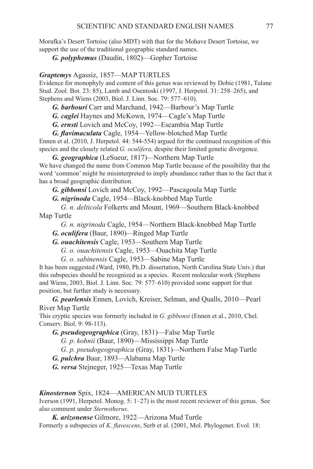Morafka's Desert Tortoise (also MDT) with that for the Mohave Desert Tortoise, we support the use of the traditional geographic standard names.

*G. polyphemus* (Daudin, 1802)—Gopher Tortoise

### *Graptemys Agassiz, 1857—MAP TURTLES*

Evidence for monophyly and content of this genus was reviewed by Dobie (1981, Tulane Stud. Zool. Bot. 23: 85), Lamb and Osentoski (1997, J. Herpetol. 31: 258–265), and Stephens and Wiens (2003, Biol. J. Linn. Soc. 79: 577–610).

*G. barbouri* Carr and Marchand, 1942—Barbour's Map Turtle

*G. caglei* Haynes and McKown, 1974—Cagle's Map Turtle

*G. ernsti* Lovich and McCoy, 1992—Escambia Map Turtle

*G. flavimaculata* Cagle, 1954*—*Yellow-blotched Map Turtle

Ennen et al. (2010, J. Herpetol. 44: 544-554) argued for the continued recognition of this species and the closely related *G. oculifera,* despite their limited genetic divergence.

*G. geographica* (LeSueur, 1817)*—*Northern Map Turtle We have changed the name from Common Map Turtle because of the possibility that the word 'common' might be misinterpreted to imply abundance rather than to the fact that it has a broad geographic distribution.

*G. gibbonsi* Lovich and McCoy, 1992—Pascagoula Map Turtle

*G. nigrinoda* Cagle, 1954*—*Black-knobbed Map Turtle

 *G. n. delticola* Folkerts and Mount, 1969—Southern Black-knobbed Map Turtle

 *G. n. nigrinoda* Cagle, 1954—Northern Black-knobbed Map Turtle

- *G. oculifera* (Baur, 1890)*—*Ringed Map Turtle
- *G. ouachitensis* Cagle, 1953*—*Southern Map Turtle

 *G. o. ouachitensis* Cagle, 1953*—*Ouachita Map Turtle

 *G. o. sabinensis* Cagle, 1953*—*Sabine Map Turtle

It has been suggested (Ward, 1980, Ph.D. dissertation, North Carolina State Univ.) that this subspecies should be recognized as a species. Recent molecular work (Stephens and Wiens, 2003, Biol. J. Linn. Soc. 79: 577–610) provided some support for that position, but further study is necessary.

*G. pearlensis* Ennen, Lovich, Kreiser, Selman, and Qualls, 2010—Pearl River Map Turtle

This cryptic species was formerly included in *G. gibbonsi* (Ennen et al., 2010, Chel. Conserv. Biol. 9: 98-113).

*G. pseudogeographica* (Gray, 1831)—False Map Turtle

*G. p. kohnii* (Baur, 1890)—Mississippi Map Turtle

 *G. p. pseudogeographica* (Gray, 1831)*—*Northern False Map Turtle

*G. pulchra* Baur, 1893*—*Alabama Map Turtle

*G. versa* Stejneger, 1925—Texas Map Turtle

### Kinosternon Spix, 1824—AMERICAN MUD TURTLES

Iverson (1991, Herpetol. Monog. 5: 1–27) is the most recent reviewer of this genus. See also comment under *Sternotherus*.

*K. arizonense* Gilmore, 1922—Arizona Mud Turtle

Formerly a subspecies of *K. flavescens*, Serb et al. (2001, Mol. Phylogenet. Evol. 18: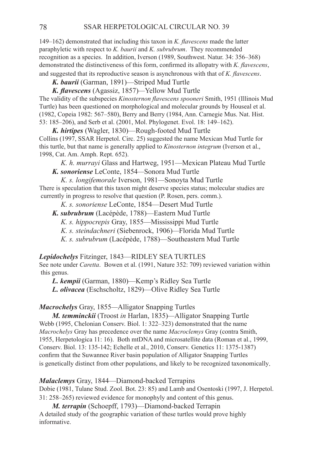149–162) demonstrated that including this taxon in *K. flavescens* made the latter paraphyletic with respect to *K. baurii* and *K. subrubrum*. They recommended recognition as a species. In addition, Iverson (1989, Southwest. Natur. 34: 356–368) demonstrated the distinctiveness of this form, confirmed its allopatry with *K. flavescens*, and suggested that its reproductive season is asynchronous with that of *K. flavescens*.

*K. baurii* (Garman, 1891)—Striped Mud Turtle

*K. flavescens* (Agassiz, 1857)*—*Yellow Mud Turtle

The validity of the subspecies *Kinosternon flavescens spooneri* Smith, 1951 (Illinois Mud Turtle) has been questioned on morphological and molecular grounds by Houseal et al. (1982, Copeia 1982: 567–580), Berry and Berry (1984, Ann. Carnegie Mus. Nat. Hist. 53: 185–206), and Serb et al. (2001, Mol. Phylogenet. Evol. 18: 149–162).

*K. hirtipes* (Wagler, 1830)—Rough-footed Mud Turtle Collins (1997, SSAR Herpetol. Circ. 25) suggested the name Mexican Mud Turtle for this turtle, but that name is generally applied to *Kinosternon integrum* (Iverson et al., 1998, Cat. Am. Amph. Rept. 652).

 *K. h. murrayi* Glass and Hartweg, 1951—Mexican Plateau Mud Turtle *K. sonoriense* LeConte, 1854*—*Sonora Mud Turtle

*K. s. longifemorale* Iverson, 1981*—*Sonoyta Mud Turtle

There is speculation that this taxon might deserve species status; molecular studies are currently in progress to resolve that question (P. Rosen, pers. comm.).

 *K. s. sonoriense* LeConte, 1854—Desert Mud Turtle

*K. subrubrum* (Lacépède, 1788)—Eastern Mud Turtle

 *K. s. hippocrepis* Gray, 1855—Mississippi Mud Turtle

 *K. s. steindachneri* (Siebenrock, 1906)*—*Florida Mud Turtle

 *K. s. subrubrum* (Lacépède, 1788)—Southeastern Mud Turtle

*Lepidochelys* Fitzinger, 1843—RIDLEY SEA TURTLES

See note under *Caretta*. Bowen et al. (1991, Nature 352: 709) reviewed variation within this genus.

*L. kempii* (Garman, 1880)—Kemp's Ridley Sea Turtle

*L. olivacea* (Eschscholtz, 1829)—Olive Ridley Sea Turtle

# *Macrochelys* Gray, 1855*—*Alligator Snapping Turtles

*M. temminckii* (Troost *in* Harlan, 1835)*—*Alligator Snapping Turtle Webb (1995, Chelonian Conserv. Biol. 1: 322–323) demonstrated that the name *Macrochelys* Gray has precedence over the name *Macroclemys* Gray (contra Smith, 1955, Herpetologica 11: 16). Both mtDNA and microsatellite data (Roman et al., 1999, Conserv. Biol. 13: 135-142; Echelle et al., 2010, Conserv. Genetics 11: 1375-1387) confirm that the Suwannee River basin population of Alligator Snapping Turtles is genetically distinct from other populations, and likely to be recognized taxonomically.

*Malaclemys* Gray, 1844—Diamond-backed Terrapins

Dobie (1981, Tulane Stud. Zool. Bot. 23: 85) and Lamb and Osentoski (1997, J. Herpetol. 31: 258–265) reviewed evidence for monophyly and content of this genus.

*M. terrapin* (Schoepff, 1793)—Diamond-backed Terrapin A detailed study of the geographic variation of these turtles would prove highly informative.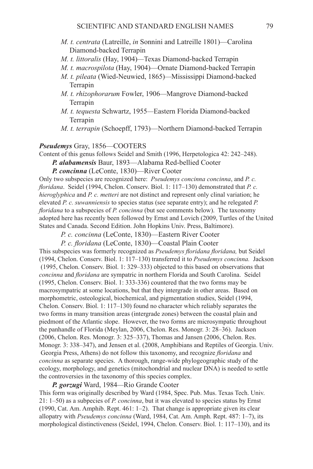- *M. t. centrata* (Latreille, *in* Sonnini and Latreille 1801)—Carolina Diamond-backed Terrapin
- *M. t. littoralis* (Hay, 1904)*—*Texas Diamond-backed Terrapin
- *M. t. macrospilota* (Hay, 1904)—Ornate Diamond-backed Terrapin
- *M. t. pileata* (Wied-Neuwied, 1865)*—*Mississippi Diamond-backed Terrapin
- *M. t. rhizophorarum* Fowler, 1906*—*Mangrove Diamond-backed Terrapin
- *M. t. tequesta* Schwartz, 1955*—*Eastern Florida Diamond-backed Terrapin
- *M. t. terrapin* (Schoepff, 1793)—Northern Diamond-backed Terrapin

### Pseudemys Gray, 1856—COOTERS

Content of this genus follows Seidel and Smith (1996, Herpetologica 42: 242–248). *P. alabamensis* Baur, 1893—Alabama Red-bellied Cooter

*P. concinna* (LeConte, 1830)—River Cooter

Only two subspecies are recognized here: *Pseudemys concinna concinna*, and *P. c. floridana*. Seidel (1994, Chelon. Conserv. Biol. 1: 117–130) demonstrated that *P. c. hieroglyphica* and *P. c. metteri* are not distinct and represent only clinal variation; he elevated *P. c. suwanniensis* to species status (see separate entry); and he relegated *P. floridana* to a subspecies of *P. concinna* (but see comments below). The taxonomy adopted here has recently been followed by Ernst and Lovich (2009, Turtles of the United States and Canada. Second Edition. John Hopkins Univ. Press, Baltimore).

 *P. c. concinna* (LeConte, 1830)—Eastern River Cooter

*P. c. floridana* (LeConte, 1830)—Coastal Plain Cooter

This subspecies was formerly recognized as *Pseudemys floridana floridana,* but Seidel (1994, Chelon. Conserv. Biol. 1: 117–130) transferred it to *Pseudemys concinna.* Jackson (1995, Chelon. Conserv. Biol. 1: 329–333) objected to this based on observations that *concinna* and *floridana* are sympatric in northern Florida and South Carolina. Seidel (1995, Chelon. Conserv. Biol. 1: 333-336) countered that the two forms may be macrosympatric at some locations, but that they intergrade in other areas. Based on morphometric, osteological, biochemical, and pigmentation studies, Seidel (1994, Chelon. Conserv. Biol. 1: 117–130) found no character which reliably separates the two forms in many transition areas (intergrade zones) between the coastal plain and piedmont of the Atlantic slope. However, the two forms are microsympatic throughout the panhandle of Florida (Meylan, 2006, Chelon. Res. Monogr. 3: 28–36). Jackson (2006, Chelon. Res. Monogr. 3: 325–337), Thomas and Jansen (2006, Chelon. Res. Monogr. 3: 338–347), and Jensen et al. (2008, Amphibians and Reptiles of Georgia. Univ. Georgia Press, Athens) do not follow this taxonomy, and recognize *floridana* and *concinna* as separate species. A thorough, range-wide phylogeographic study of the ecology, morphology, and genetics (mitochondrial and nuclear DNA) is needed to settle the controversies in the taxonomy of this species complex.

*P. gorzugi* Ward, 1984*—*Rio Grande Cooter This form was originally described by Ward (1984, Spec. Pub. Mus. Texas Tech. Univ. 21: 1–50) as a subpecies of *P. concinna*, but it was elevated to species status by Ernst (1990, Cat. Am. Amphib. Rept. 461: 1–2). That change is appropriate given its clear allopatry with *Pseudemys concinna* (Ward, 1984, Cat. Am. Amph. Rept. 487: 1–7), its morphological distinctiveness (Seidel, 1994, Chelon. Conserv. Biol. 1: 117–130), and its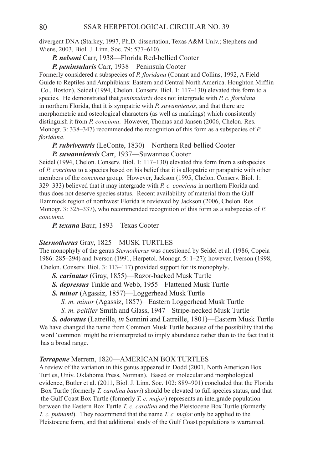divergent DNA (Starkey, 1997, Ph.D. dissertation, Texas A&M Univ.; Stephens and Wiens, 2003, Biol. J. Linn. Soc. 79: 577–610).

*P. nelsoni* Carr, 1938—Florida Red-bellied Cooter

*P. peninsularis* Carr, 1938—Peninsula Cooter

Formerly considered a subspecies of *P. floridana* (Conant and Collins, 1992, A Field Guide to Reptiles and Amphibians: Eastern and Central North America. Houghton Mifflin Co., Boston), Seidel (1994, Chelon. Conserv. Biol. 1: 117–130) elevated this form to a species. He demonstrated that *peninsularis* does not intergrade with *P. c. floridana*  in northern Florida, that it is sympatric with *P. suwanniensis*, and that there are morphometric and osteological characters (as well as markings) which consistently distinguish it from *P. concinna*. However, Thomas and Jansen (2006, Chelon. Res. Monogr. 3: 338–347) recommended the recognition of this form as a subspecies of *P. floridana*.

*P. rubriventris* (LeConte, 1830)—Northern Red-bellied Cooter *P. suwanniensis* Carr, 1937—Suwannee Cooter

Seidel (1994, Chelon. Conserv. Biol. 1: 117–130) elevated this form from a subspecies of *P. concinna* to a species based on his belief that it is allopatric or parapatric with other members of the *concinna* group. However, Jackson (1995, Chelon. Conserv. Biol. 1: 329–333) believed that it may intergrade with *P. c. concinna* in northern Florida and thus does not deserve species status. Recent availability of material from the Gulf Hammock region of northwest Florida is reviewed by Jackson (2006, Chelon. Res Monogr. 3: 325–337), who recommended recognition of this form as a subspecies of *P. concinna*.

*P. texana* Baur, 1893—Texas Cooter

### *Sternotherus* Gray, 1825—MUSK TURTLES

The monophyly of the genus *Sternotherus* was questioned by Seidel et al. (1986, Copeia 1986: 285–294) and Iverson (1991, Herpetol. Monogr. 5: 1–27); however, Iverson (1998, Chelon. Conserv. Biol. 3: 113–117) provided support for its monophyly.

- *S. carinatus* (Gray, 1855)—Razor-backed Musk Turtle
- *S. depressus* Tinkle and Webb, 1955*—*Flattened Musk Turtle
- *S. minor* (Agassiz, 1857)—Loggerhead Musk Turtle
	- *S. m. minor* (Agassiz, 1857)*—*Eastern Loggerhead Musk Turtle  *S. m. peltifer* Smith and Glass, 1947*—*Stripe-necked Musk Turtle
		-

*S. odoratus* (Latreille, *in* Sonnini and Latreille, 1801)—Eastern Musk Turtle We have changed the name from Common Musk Turtle because of the possibility that the word 'common' might be misinterpreted to imply abundance rather than to the fact that it has a broad range.

### **Terrapene** Merrem, 1820—AMERICAN BOX TURTLES

A review of the variation in this genus appeared in Dodd (2001, North American Box Turtles, Univ. Oklahoma Press, Norman). Based on molecular and morphological evidence, Butler et al. (2011, Biol. J. Linn. Soc. 102: 889–901) concluded that the Florida Box Turtle (formerly *T. carolina bauri*) should be elevated to full species status, and that the Gulf Coast Box Turtle (formerly *T. c. major*) represents an intergrade population between the Eastern Box Turtle *T. c. carolina* and the Pleistocene Box Turtle (formerly *T. c. putnami*). They recommend that the name *T. c. major* only be applied to the Pleistocene form, and that additional study of the Gulf Coast populations is warranted.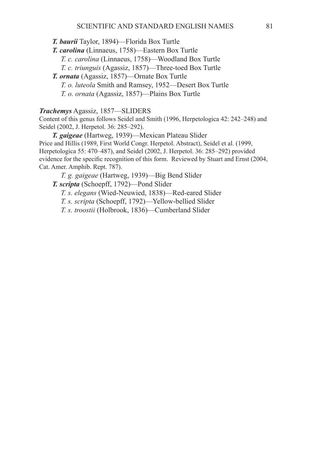*T. baurii* Taylor, 1894)—Florida Box Turtle

*T. carolina* (Linnaeus, 1758)—Eastern Box Turtle

 *T. c. carolina* (Linnaeus, 1758)—Woodland Box Turtle

 *T. c. triunguis* (Agassiz, 1857)—Three-toed Box Turtle

*T. ornata* (Agassiz, 1857)—Ornate Box Turtle  *T. o. luteola* Smith and Ramsey, 1952—Desert Box Turtle

 *T. o. ornata* (Agassiz, 1857)—Plains Box Turtle

*Trachemys* Agassiz, 1857—SLIDERS

Content of this genus follows Seidel and Smith (1996, Herpetologica 42: 242–248) and Seidel (2002, J. Herpetol. 36: 285–292).

*T. gaigeae* (Hartweg, 1939)—Mexican Plateau Slider Price and Hillis (1989, First World Congr. Herpetol. Abstract), Seidel et al. (1999, Herpetologica 55: 470–487), and Seidel (2002, J. Herpetol. 36: 285–292) provided evidence for the specific recognition of this form. Reviewed by Stuart and Ernst (2004, Cat. Amer. Amphib. Rept. 787).

 *T. g. gaigeae* (Hartweg, 1939)—Big Bend Slider

*T. scripta* (Schoepff, 1792)—Pond Slider

 *T. s. elegans* (Wied-Neuwied, 1838)—Red-eared Slider

 *T. s. scripta* (Schoepff, 1792)—Yellow-bellied Slider

 *T. s. troostii* (Holbrook, 1836)—Cumberland Slider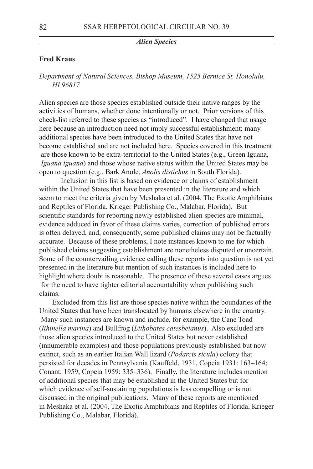#### *Alien Species*

# **Fred Kraus**

*Department of Natural Sciences, Bishop Museum, 1525 Bernice St. Honolulu, HI 96817*

Alien species are those species established outside their native ranges by the activities of humans, whether done intentionally or not. Prior versions of this check-list referred to these species as "introduced". I have changed that usage here because an introduction need not imply successful establishment; many additional species have been introduced to the United States that have not become established and are not included here. Species covered in this treatment are those known to be extra-territorial to the United States (e.g., Green Iguana,  *Iguana iguana*) and those whose native status within the United States may be open to question (e.g., Bark Anole, *Anolis distichus* in South Florida).

 Inclusion in this list is based on evidence or claims of establishment within the United States that have been presented in the literature and which seem to meet the criteria given by Meshaka et al. (2004, The Exotic Amphibians and Reptiles of Florida. Krieger Publishing Co., Malabar, Florida). But scientific standards for reporting newly established alien species are minimal, evidence adduced in favor of these claims varies, correction of published errors is often delayed, and, consequently, some published claims may not be factually accurate. Because of these problems, I note instances known to me for which published claims suggesting establishment are nonetheless disputed or uncertain. Some of the countervailing evidence calling these reports into question is not yet presented in the literature but mention of such instances is included here to highlight where doubt is reasonable. The presence of these several cases argues for the need to have tighter editorial accountability when publishing such claims.

Excluded from this list are those species native within the boundaries of the United States that have been translocated by humans elsewhere in the country. Many such instances are known and include, for example, the Cane Toad (*Rhinella marina*) and Bullfrog (*Lithobates catesbeianus*). Also excluded are those alien species introduced to the United States but never established (innumerable examples) and those populations previously established but now extinct, such as an earlier Italian Wall lizard (*Podarcis sicula*) colony that persisted for decades in Pennsylvania (Kauffeld, 1931, Copeia 1931: 163–164; Conant, 1959, Copeia 1959: 335–336). Finally, the literature includes mention of additional species that may be established in the United States but for which evidence of self-sustaining populations is less compelling or is not discussed in the original publications. Many of these reports are mentioned in Meshaka et al. (2004, The Exotic Amphibians and Reptiles of Florida, Krieger Publishing Co., Malabar, Florida).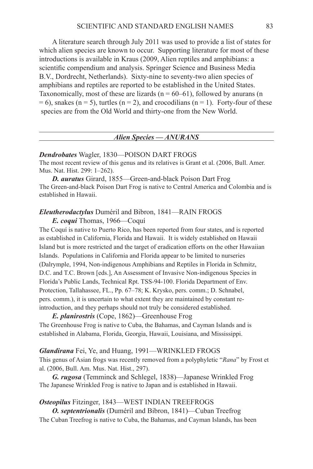A literature search through July 2011 was used to provide a list of states for which alien species are known to occur. Supporting literature for most of these introductions is available in Kraus (2009, Alien reptiles and amphibians: a scientific compendium and analysis. Springer Science and Business Media B.V., Dordrecht, Netherlands). Sixty-nine to seventy-two alien species of amphibians and reptiles are reported to be established in the United States. Taxonomically, most of these are lizards ( $n = 60-61$ ), followed by anurans (n  $= 6$ ), snakes (n = 5), turtles (n = 2), and crocodilians (n = 1). Forty-four of these species are from the Old World and thirty-one from the New World.

| Alien Species - ANURANS |
|-------------------------|
|                         |

#### *Dendrobates* Wagler, 1830—POISON DART FROGS

The most recent review of this genus and its relatives is Grant et al. (2006, Bull. Amer. Mus. Nat. Hist. 299: 1–262).

*D. auratus* Girard, 1855—Green-and-black Poison Dart Frog The Green-and-black Poison Dart Frog is native to Central America and Colombia and is established in Hawaii.

# *Eleutherodactylus* Duméril and Bibron, 1841—Rain Frogs

*E. coqui* Thomas, 1966—Coquí

The Coquí is native to Puerto Rico, has been reported from four states, and is reported as established in California, Florida and Hawaii. It is widely established on Hawaii Island but is more restricted and the target of eradication efforts on the other Hawaiian Islands. Populations in California and Florida appear to be limited to nurseries (Dalrymple, 1994, Non-indigenous Amphibians and Reptiles in Florida in Schmitz, D.C. and T.C. Brown [eds.], An Assessment of Invasive Non-indigenous Species in Florida's Public Lands, Technical Rpt. TSS-94-100. Florida Department of Env. Protection, Tallahassee, FL., Pp. 67–78; K. Krysko, pers. comm.; D. Schnabel, pers. comm.), it is uncertain to what extent they are maintained by constant reintroduction, and they perhaps should not truly be considered established.

*E. planirostris* (Cope, 1862)—Greenhouse Frog The Greenhouse Frog is native to Cuba, the Bahamas, and Cayman Islands and is established in Alabama, Florida, Georgia, Hawaii, Louisiana, and Mississippi.

*Glandirana* Fei, Ye, and Huang, 1991—WRINKLED FROGS This genus of Asian frogs was recently removed from a polyphyletic "*Rana*" by Frost et al. (2006, Bull. Am. Mus. Nat. Hist., 297).

*G. rugosa* (Temminck and Schlegel, 1838)—Japanese Wrinkled Frog The Japanese Wrinkled Frog is native to Japan and is established in Hawaii.

### **Osteopilus** Fitzinger, 1843—WEST INDIAN TREEFROGS

*O. septentrionalis* (Duméril and Bibron, 1841)—Cuban Treefrog The Cuban Treefrog is native to Cuba, the Bahamas, and Cayman Islands, has been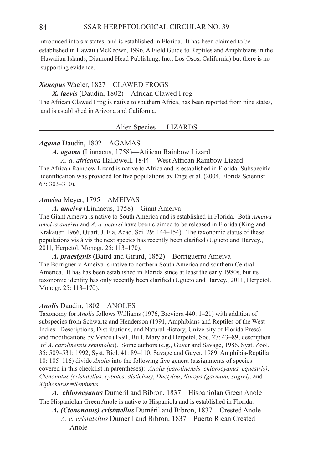introduced into six states, and is established in Florida. It has been claimed to be established in Hawaii (McKeown, 1996, A Field Guide to Reptiles and Amphibians in the Hawaiian Islands, Diamond Head Publishing, Inc., Los Osos, California) but there is no supporting evidence.

### *Xenopus* Wagler, 1827—Clawed Frogs

*X. laevis* (Daudin, 1802)—African Clawed Frog

The African Clawed Frog is native to southern Africa, has been reported from nine states, and is established in Arizona and California.

| $\overline{ }$ a uen Snecies — LIZADDC<br>Alien S |
|---------------------------------------------------|
|                                                   |

### *Agama* Daudin, 1802—AGAMAS

*A. agama* (Linnaeus, 1758)—African Rainbow Lizard

*A. a. africana* Hallowell, 1844—West African Rainbow Lizard The African Rainbow Lizard is native to Africa and is established in Florida. Subspecific identification was provided for five populations by Enge et al. (2004, Florida Scientist 67: 303–310).

### *Ameiva* Meyer, 1795—AMEIVAS

*A. ameiva* (Linnaeus, 1758)—Giant Ameiva

The Giant Ameiva is native to South America and is established in Florida. Both *Ameiva ameiva ameiva* and *A. a. petersi* have been claimed to be released in Florida (King and Krakauer, 1966, Quart. J. Fla. Acad. Sci. 29: 144–154). The taxonomic status of these populations vis á vis the next species has recently been clarified (Ugueto and Harvey., 2011, Herpetol. Monogr. 25: 113–170).

*A. praesignis* (Baird and Girard, 1852)—Borriguerro Ameiva The Borriguerro Ameiva is native to northern South America and southern Central America. It has has been established in Florida since at least the early 1980s, but its taxonomic identity has only recently been clarified (Ugueto and Harvey., 2011, Herpetol. Monogr. 25: 113–170).

### *Anolis* Daudin, 1802—ANOLES

Taxonomy for *Anolis* follows Williams (1976, Breviora 440: 1–21) with addition of subspecies from Schwartz and Henderson (1991, Amphibians and Reptiles of the West Indies: Descriptions, Distributions, and Natural History, University of Florida Press) and modifications by Vance (1991, Bull. Maryland Herpetol. Soc. 27: 43–89; description of *A. carolinensis seminolus*). Some authors (e.g., Guyer and Savage, 1986, Syst. Zool. 35: 509–531; 1992, Syst. Biol. 41: 89–110; Savage and Guyer, 1989, Amphibia-Reptilia 10: 105–116) divide *Anolis* into the following five genera (assignments of species covered in this checklist in parentheses): *Anolis (carolinensis, chlorocyanus, equestris)*, *Ctenonotus (cristatellus, cybotes, distichus)*, *Dactyloa*, *Norops (garmani, sagrei)*, and *Xiphosurus* =*Semiurus*.

*A. chlorocyanus* Duméril and Bibron, 1837—Hispaniolan Green Anole The Hispaniolan Green Anole is native to Hispaniola and is established in Florida.

*A. (Ctenonotus) cristatellus* Duméril and Bibron, 1837—Crested Anole

 *A. c. cristatellus* Duméril and Bibron, 1837—Puerto Rican Crested Anole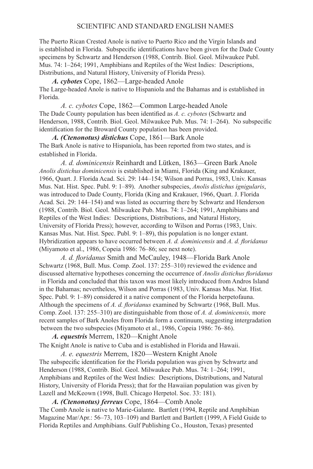### SCIENTIFIC AND STANDARD ENGLISH NAMES

The Puerto Rican Crested Anole is native to Puerto Rico and the Virgin Islands and is established in Florida. Subspecific identifications have been given for the Dade County specimens by Schwartz and Henderson (1988, Contrib. Biol. Geol. Milwaukee Publ. Mus. 74: 1–264; 1991, Amphibians and Reptiles of the West Indies: Descriptions, Distributions, and Natural History, University of Florida Press).

*A. cybotes* Cope, 1862—Large-headed Anole The Large-headed Anole is native to Hispaniola and the Bahamas and is established in Florida.

 *A. c. cybotes* Cope, 1862—Common Large-headed Anole The Dade County population has been identified as *A. c. cybotes* (Schwartz and Henderson, 1988, Contrib. Biol. Geol. Milwaukee Pub. Mus. 74: 1–264). No subspecific identification for the Broward County population has been provided.

*A. (Ctenonotus) distichus* Cope, 1861—Bark Anole The Bark Anole is native to Hispaniola, has been reported from two states, and is established in Florida.

 *A. d. dominicensis* Reinhardt and Lütken, 1863—Green Bark Anole *Anolis distichus dominicensis* is established in Miami, Florida (King and Krakauer, 1966, Quart. J. Florida Acad. Sci. 29: 144–154; Wilson and Porras, 1983, Univ. Kansas Mus. Nat. Hist. Spec. Publ. 9: 1–89). Another subspecies, *Anolis distichus ignigularis*, was introduced to Dade County, Florida (King and Krakauer, 1966, Quart. J. Florida Acad. Sci. 29: 144–154) and was listed as occurring there by Schwartz and Henderson (1988, Contrib. Biol. Geol. Milwaukee Pub. Mus. 74: 1–264; 1991, Amphibians and Reptiles of the West Indies: Descriptions, Distributions, and Natural History, University of Florida Press); however, according to Wilson and Porras (1983, Univ. Kansas Mus. Nat. Hist. Spec. Publ. 9: 1–89), this population is no longer extant. Hybridization appears to have occurred between *A. d. dominicensis* and *A. d. floridanus* (Miyamoto et al., 1986, Copeia 1986: 76–86; see next note).

*A. d. floridanus* Smith and McCauley, 1948—Florida Bark Anole Schwartz (1968, Bull. Mus. Comp. Zool. 137: 255–310) reviewed the evidence and discussed alternative hypotheses concerning the occurrence of *Anolis distichus floridanus* in Florida and concluded that this taxon was most likely introduced from Andros Island in the Bahamas; nevertheless, Wilson and Porras (1983, Univ. Kansas Mus. Nat. Hist. Spec. Publ. 9: 1–89) considered it a native component of the Florida herpetofauna. Although the specimens of *A. d. floridanus* examined by Schwartz (1968, Bull. Mus. Comp. Zool. 137: 255–310) are distinguishable from those of *A. d. dominicensis,* more recent samples of Bark Anoles from Florida form a continuum, suggesting intergradation between the two subspecies (Miyamoto et al., 1986, Copeia 1986: 76–86).

*A. equestris* Merrem, 1820—Knight Anole The Knight Anole is native to Cuba and is established in Florida and Hawaii.

 *A. e. equestris* Merrem, 1820—Western Knight Anole The subspecific identification for the Florida population was given by Schwartz and Henderson (1988, Contrib. Biol. Geol. Milwaukee Pub. Mus. 74: 1–264; 1991, Amphibians and Reptiles of the West Indies: Descriptions, Distributions, and Natural History, University of Florida Press); that for the Hawaiian population was given by Lazell and McKeown (1998, Bull. Chicago Herpetol. Soc. 33: 181).

*A. (Ctenonotus) ferreus* Cope, 1864—Comb Anole The Comb Anole is native to Marie-Galante. Bartlett (1994, Reptile and Amphibian Magazine Mar/Apr.: 56–73, 103–109) and Bartlett and Bartlett (1999, A Field Guide to Florida Reptiles and Amphibians. Gulf Publishing Co., Houston, Texas) presented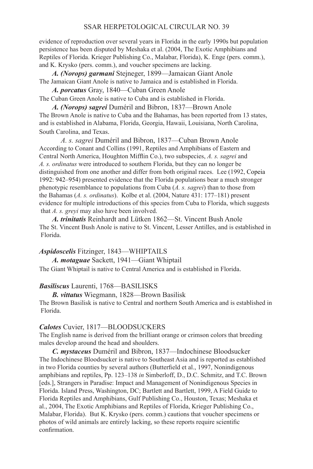### 86 SSAR HERPETOLOGICAL CIRCULAR NO. 39

 evidence of reproduction over several years in Florida in the early 1990s but population persistence has been disputed by Meshaka et al. (2004, The Exotic Amphibians and Reptiles of Florida. Krieger Publishing Co., Malabar, Florida), K. Enge (pers. comm.), and K. Krysko (pers. comm.), and voucher specimens are lacking.

*A. (Norops) garmani* Stejneger, 1899—Jamaican Giant Anole The Jamaican Giant Anole is native to Jamaica and is established in Florida.

*A. porcatus* Gray, 1840—Cuban Green Anole

The Cuban Green Anole is native to Cuba and is established in Florida.

*A. (Norops) sagrei* Duméril and Bibron, 1837—Brown Anole The Brown Anole is native to Cuba and the Bahamas, has been reported from 13 states, and is established in Alabama, Florida, Georgia, Hawaii, Louisiana, North Carolina, South Carolina, and Texas.

 *A. s. sagrei* Duméril and Bibron, 1837—Cuban Brown Anole According to Conant and Collins (1991, Reptiles and Amphibians of Eastern and Central North America, Houghton Mifflin Co.), two subspecies, *A. s. sagrei* and *A. s. ordinatus* were introduced to southern Florida, but they can no longer be distinguished from one another and differ from both original races. Lee (1992, Copeia 1992: 942–954) presented evidence that the Florida populations bear a much stronger phenotypic resemblance to populations from Cuba (*A. s. sagrei*) than to those from the Bahamas (*A. s. ordinatus*). Kolbe et al. (2004, Nature 431: 177–181) present evidence for multiple introductions of this species from Cuba to Florida, which suggests that *A. s. greyi* may also have been involved.

*A. trinitatis* Reinhardt and Lütken 1862—St. Vincent Bush Anole The St. Vincent Bush Anole is native to St. Vincent, Lesser Antilles, and is established in Florida.

### *Aspidoscelis* Fitzinger, 1843—WHIPTAILS

*A. motaguae* Sackett, 1941—Giant Whiptail The Giant Whiptail is native to Central America and is established in Florida.

### *Basiliscus* Laurenti, 1768—Basilisks

*B. vittatus* Wiegmann, 1828—Brown Basilisk The Brown Basilisk is native to Central and northern South America and is established in Florida.

#### *Calotes* Cuvier, 1817—BLOODSUCKERS

The English name is derived from the brilliant orange or crimson colors that breeding males develop around the head and shoulders.

*C. mystaceus* Duméril and Bibron, 1837—Indochinese Bloodsucker The Indochinese Bloodsucker is native to Southeast Asia and is reported as established in two Florida counties by several authors (Butterfield et al., 1997, Nonindigenous amphibians and reptiles, Pp. 123–138 *in* Simberloff, D., D.C. Schmitz, and T.C. Brown [eds.], Strangers in Paradise: Impact and Management of Nonindigenous Species in Florida. Island Press, Washington, DC; Bartlett and Bartlett, 1999, A Field Guide to Florida Reptiles and Amphibians, Gulf Publishing Co., Houston, Texas; Meshaka et al., 2004, The Exotic Amphibians and Reptiles of Florida, Krieger Publishing Co., Malabar, Florida). But K. Krysko (pers. comm.) cautions that voucher specimens or photos of wild animals are entirely lacking, so these reports require scientific confirmation.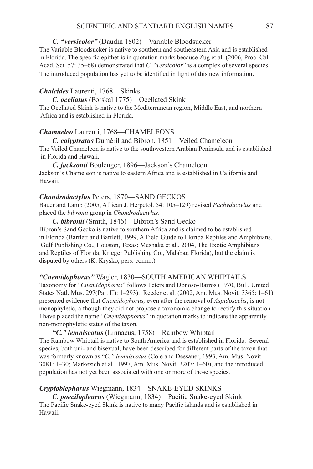### SCIENTIFIC AND STANDARD ENGLISH NAMES 87

### *C. "versicolor"* (Daudin 1802)—Variable Bloodsucker

The Variable Bloodsucker is native to southern and southeastern Asia and is established in Florida. The specific epithet is in quotation marks because Zug et al. (2006, Proc. Cal. Acad. Sci. 57: 35–68) demonstrated that *C*. "*versicolor*" is a complex of several species. The introduced population has yet to be identified in light of this new information.

### *Chalcides* Laurenti, 1768—Skinks

*C. ocellatus* (Forskål 1775)—Ocellated Skink

The Ocellated Skink is native to the Mediterranean region, Middle East, and northern Africa and is established in Florida.

### **Chamaeleo** Laurenti, 1768-CHAMELEONS

*C. calyptratus* Duméril and Bibron, 1851—Veiled Chameleon The Veiled Chameleon is native to the southwestern Arabian Peninsula and is established in Florida and Hawaii.

*C. jacksonii* Boulenger, 1896—Jackson's Chameleon Jackson's Chameleon is native to eastern Africa and is established in California and Hawaii.

### *Chondrodactylus* Peters, 1870—SAND GECKOS

Bauer and Lamb (2005, African J. Herpetol. 54: 105–129) revised *Pachydactylus* and placed the *bibronii* group in *Chondrodactylus*.

### *C. bibronii* (Smith, 1846)—Bibron's Sand Gecko

Bibron's Sand Gecko is native to southern Africa and is claimed to be established in Florida (Bartlett and Bartlett, 1999, A Field Guide to Florida Reptiles and Amphibians, Gulf Publishing Co., Houston, Texas; Meshaka et al., 2004, The Exotic Amphibians and Reptiles of Florida, Krieger Publishing Co., Malabar, Florida), but the claim is disputed by others (K. Krysko, pers. comm.).

### *"Cnemidophorus"* Wagler, 1830—South American Whiptails

Taxonomy for "*Cnemidophorus*" follows Peters and Donoso-Barros (1970, Bull. United States Natl. Mus. 297(Part II): 1–293). Reeder et al. (2002, Am. Mus. Novit. 3365: 1–61) presented evidence that *Cnemidophorus,* even after the removal of *Aspidoscelis*, is not monophyletic, although they did not propose a taxonomic change to rectify this situation. I have placed the name "*Cnemidophorus*" in quotation marks to indicate the apparently non-monophyletic status of the taxon.

#### *"C." lemniscatus* (Linnaeus, 1758)—Rainbow Whiptail

The Rainbow Whiptail is native to South America and is established in Florida. Several species, both uni- and bisexual, have been described for different parts of the taxon that was formerly known as "*C." lemniscatus* (Cole and Dessauer, 1993, Am. Mus. Novit. 3081: 1–30; Markezich et al., 1997, Am. Mus. Novit. 3207: 1–60), and the introduced population has not yet been associated with one or more of those species.

### *Cryptoblepharus* Wiegmann, 1834—SNAKE-EYED Skinks

*C. poecilopleurus* (Wiegmann, 1834)—Pacific Snake-eyed Skink The Pacific Snake-eyed Skink is native to many Pacific islands and is established in Hawaii.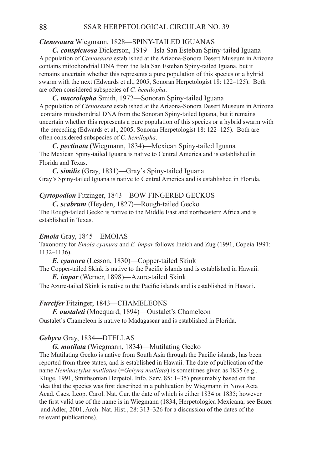# **Ctenosaura** Wiegmann, 1828-SPINY-TAILED IG

*C. conspicuosa* Dickerson, 1919—Isla San Esteban Spiny-tailed Iguana A population of *Ctenosaura* established at the Arizona-Sonora Desert Museum in Arizona contains mitochondrial DNA from the Isla San Esteban Spiny-tailed Iguana, but it remains uncertain whether this represents a pure population of this species or a hybrid swarm with the next (Edwards et al., 2005, Sonoran Herpetologist 18: 122–125). Both are often considered subspecies of *C. hemilopha*.

*C. macrolopha* Smith, 1972—Sonoran Spiny-tailed Iguana A population of *Ctenosaura* established at the Arizona-Sonora Desert Museum in Arizona contains mitochondrial DNA from the Sonoran Spiny-tailed Iguana, but it remains uncertain whether this represents a pure population of this species or a hybrid swarm with the preceding (Edwards et al., 2005, Sonoran Herpetologist 18: 122–125). Both are often considered subspecies of *C. hemilopha*.

*C. pectinata* (Wiegmann, 1834)—Mexican Spiny-tailed Iguana The Mexican Spiny-tailed Iguana is native to Central America and is established in Florida and Texas.

*C. similis* (Gray, 1831)—Gray's Spiny-tailed Iguana Gray's Spiny-tailed Iguana is native to Central America and is established in Florida.

### *Cyrtopodion* Fitzinger, 1843—BOW-FINGERED GECKOS

*C. scabrum* (Heyden, 1827)—Rough-tailed Gecko

The Rough-tailed Gecko is native to the Middle East and northeastern Africa and is established in Texas.

### **Emoia** Gray, 1845—EMOIAS

Taxonomy for *Emoia cyanura* and *E. impar* follows Ineich and Zug (1991, Copeia 1991: 1132–1136).

*E. cyanura* (Lesson, 1830)—Copper-tailed Skink The Copper-tailed Skink is native to the Pacific islands and is established in Hawaii.

*E. impar* (Werner, 1898)—Azure-tailed Skink

The Azure-tailed Skink is native to the Pacific islands and is established in Hawaii.

### **Furcifer** Fitzinger, 1843-CHAMELEONS

*F. oustaleti* (Mocquard, 1894)—Oustalet's Chameleon

Oustalet's Chameleon is native to Madagascar and is established in Florida.

### Gehyra Gray, 1834—DTELLAS

*G. mutilata* (Wiegmann, 1834)—Mutilating Gecko

The Mutilating Gecko is native from South Asia through the Pacific islands, has been reported from three states, and is established in Hawaii. The date of publication of the name *Hemidactylus mutilatus* (=*Gehyra mutilata*) is sometimes given as 1835 (e.g., Kluge, 1991, Smithsonian Herpetol. Info. Serv. 85: 1–35) presumably based on the idea that the species was first described in a publication by Wiegmann in Nova Acta Acad. Caes. Leop. Carol. Nat. Cur. the date of which is either 1834 or 1835; however the first valid use of the name is in Wiegmann (1834, Herpetologica Mexicana; see Bauer and Adler, 2001, Arch. Nat. Hist., 28: 313–326 for a discussion of the dates of the relevant publications).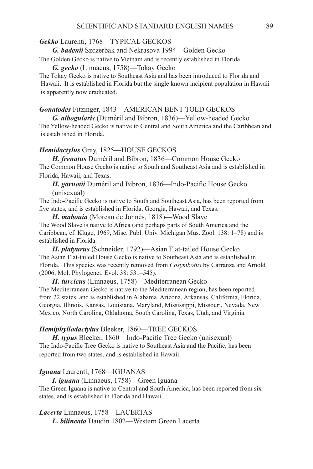### *Gekko* Laurenti, 1768—TYPICAL GECKOS

*G. badenii* Szczerbak and Nekrasova 1994—Golden Gecko

The Golden Gecko is native to Vietnam and is recently established in Florida.

*G. gecko* (Linnaeus, 1758)—Tokay Gecko

The Tokay Gecko is native to Southeast Asia and has been introduced to Florida and Hawaii. It is established in Florida but the single known incipient population in Hawaii is apparently now eradicated.

#### *Gonatodes* Fitzinger, 1843—AMERICAN BENT-TOED GECKOS

*G. albogularis* (Duméril and Bibron, 1836)—Yellow-headed Gecko The Yellow-headed Gecko is native to Central and South America and the Caribbean and is established in Florida.

### *Hemidactylus* Gray, 1825—HOUSE Geckos

*H. frenatus* Duméril and Bibron, 1836—Common House Gecko The Common House Gecko is native to South and Southeast Asia and is established in Florida, Hawaii, and Texas.

*H. garnotii* Duméril and Bibron, 1836—Indo-Pacific House Gecko (unisexual)

The Indo-Pacific Gecko is native to South and Southeast Asia, has been reported from five states, and is established in Florida, Georgia, Hawaii, and Texas.

*H. mabouia* (Moreau de Jonnès, 1818)—Wood Slave The Wood Slave is native to Africa (and perhaps parts of South America and the Caribbean, cf. Kluge, 1969, Misc. Publ. Univ. Michigan Mus. Zool. 138: 1–78) and is established in Florida.

*H. platyurus* (Schneider, 1792)—Asian Flat-tailed House Gecko The Asian Flat-tailed House Gecko is native to Southeast Asia and is established in Florida. This species was recently removed from *Cosymbotus* by Carranza and Arnold (2006, Mol. Phylogenet. Evol. 38: 531–545).

*H. turcicus* (Linnaeus, 1758)—Mediterranean Gecko The Mediterranean Gecko is native to the Mediterranean region, has been reported from 22 states, and is established in Alabama, Arizona, Arkansas, California, Florida, Georgia, Illinois, Kansas, Louisiana, Maryland, Mississippi, Missouri, Nevada, New Mexico, North Carolina, Oklahoma, South Carolina, Texas, Utah, and Virginia.

### *Hemiphyllodactylus* Bleeker, 1860—TREE GECKOS

*H. typus* Bleeker, 1860—Indo-Pacific Tree Gecko (unisexual) The Indo-Pacific Tree Gecko is native to Southeast Asia and the Pacific, has been reported from two states, and is established in Hawaii.

### Iguana Laurenti, 1768-IGUANAS

*I. iguana* (Linnaeus, 1758)—Green Iguana The Green Iguana is native to Central and South America, has been reported from six states, and is established in Florida and Hawaii.

*Lacerta* Linnaeus, 1758—LACERTAS *L. bilineata* Daudin 1802—Western Green Lacerta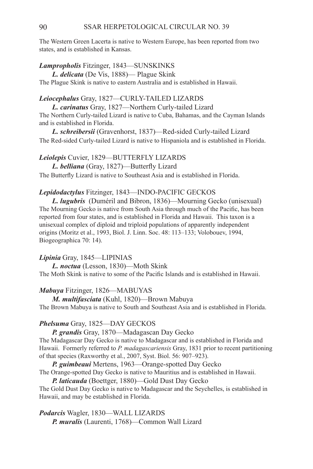The Western Green Lacerta is native to Western Europe, has been reported from two states, and is established in Kansas.

# *Lampropholis* Fitzinger, 1843—SUNSkinks

*L. delicata* (De Vis, 1888)— Plague Skink The Plague Skink is native to eastern Australia and is established in Hawaii.

### Leiocephalus Gray, 1827—CURLY-TAILED LIZARDS

*L. carinatus* Gray, 1827—Northern Curly-tailed Lizard The Northern Curly-tailed Lizard is native to Cuba, Bahamas, and the Cayman Islands and is established in Florida.

*L. schreibersii* (Gravenhorst, 1837)—Red-sided Curly-tailed Lizard The Red-sided Curly-tailed Lizard is native to Hispaniola and is established in Florida.

*Leiolepis* Cuvier, 1829—BUTTERFLY LIZARDS *L. belliana* (Gray, 1827)—Butterfly Lizard The Butterfly Lizard is native to Southeast Asia and is established in Florida.

#### *Lepidodactylus* Fitzinger, 1843—INDO-PACIFIC GECKOS

*L. lugubris* (Duméril and Bibron, 1836)—Mourning Gecko (unisexual) The Mourning Gecko is native from South Asia through much of the Pacific, has been reported from four states, and is established in Florida and Hawaii. This taxon is a unisexual complex of diploid and triploid populations of apparently independent origins (Moritz et al., 1993, Biol. J. Linn. Soc. 48: 113–133; Volobouev, 1994, Biogeographica 70: 14).

### *Lipinia* Gray, 1845—LIPINIAS

*L. noctua* (Lesson, 1830)—Moth Skink The Moth Skink is native to some of the Pacific Islands and is established in Hawaii.

### *Mabuya* Fitzinger, 1826—Mabuyas

*M. multifasciata* (Kuhl, 1820)—Brown Mabuya The Brown Mabuya is native to South and Southeast Asia and is established in Florida.

# *Phelsuma* Gray, 1825—Day Geckos

*P. grandis* Gray, 1870—Madagascan Day Gecko The Madagascar Day Gecko is native to Madagascar and is established in Florida and Hawaii. Formerly referred to *P. madagascariensis* Gray, 1831 prior to recent partitioning

of that species (Raxworthy et al., 2007, Syst. Biol. 56: 907–923).

*P. guimbeaui* Mertens, 1963—Orange-spotted Day Gecko The Orange-spotted Day Gecko is native to Mauritius and is established in Hawaii.

*P. laticauda* (Boettger, 1880)—Gold Dust Day Gecko The Gold Dust Day Gecko is native to Madagascar and the Seychelles, is established in Hawaii, and may be established in Florida.

Podarcis Wagler, 1830—WALL LIZARDS *P. muralis* (Laurenti, 1768)—Common Wall Lizard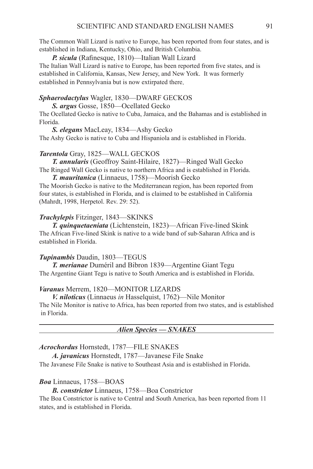The Common Wall Lizard is native to Europe, has been reported from four states, and is established in Indiana, Kentucky, Ohio, and British Columbia.

*P. sicula* (Rafinesque, 1810)—Italian Wall Lizard The Italian Wall Lizard is native to Europe, has been reported from five states, and is established in California, Kansas, New Jersey, and New York. It was formerly established in Pennsylvania but is now extirpated there.

### Sphaerodactylus Wagler, 1830-DWARF GECKOS

*S. argus* Gosse, 1850—Ocellated Gecko

The Ocellated Gecko is native to Cuba, Jamaica, and the Bahamas and is established in Florida.

*S. elegans* MacLeay, 1834—Ashy Gecko

The Ashy Gecko is native to Cuba and Hispaniola and is established in Florida.

### *Tarentola* Gray, 1825—WALL GECKOS

*T. annularis* (Geoffroy Saint-Hilaire, 1827)—Ringed Wall Gecko The Ringed Wall Gecko is native to northern Africa and is established in Florida.

*T. mauritanica* (Linnaeus, 1758)—Moorish Gecko

The Moorish Gecko is native to the Mediterranean region, has been reported from four states, is established in Florida, and is claimed to be established in California (Mahrdt, 1998, Herpetol. Rev. 29: 52).

#### *Trachylepis* Fitzinger, 1843—SKINKS

*T. quinquetaeniata* (Lichtenstein, 1823)—African Five-lined Skink The African Five-lined Skink is native to a wide band of sub-Saharan Africa and is established in Florida.

#### *Tupinambis* Daudin, 1803—TEGUS

*T. merianae* Duméril and Bibron 1839—Argentine Giant Tegu The Argentine Giant Tegu is native to South America and is established in Florida.

### *Varanus* Merrem, 1820—MONITOR LIZARDS

*V. niloticus* (Linnaeus *in* Hasselquist, 1762)—Nile Monitor The Nile Monitor is native to Africa, has been reported from two states, and is established in Florida.

*Alien Species — SNAKES*

#### *Acrochordus* Hornstedt, 1787—FILE SNAKES

*A. javanicus* Hornstedt, 1787—Javanese File Snake The Javanese File Snake is native to Southeast Asia and is established in Florida.

#### *Boa* Linnaeus, 1758—BOAS

*B. constrictor* Linnaeus, 1758—Boa Constrictor

The Boa Constrictor is native to Central and South America, has been reported from 11 states, and is established in Florida.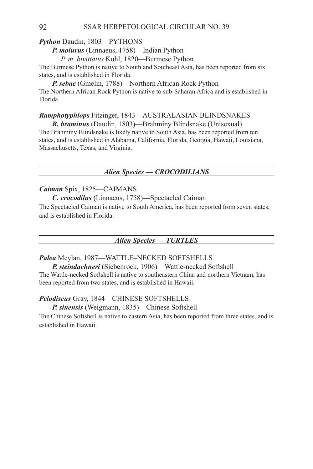### 92 SSAR HERPETOLOGICAL CIRCULAR NO. 39

# *Python* Daudin, 1803—PYTHONS

*P. molurus* (Linnaeus, 1758)—Indian Python

*P. m. bivittatus* Kuhl, 1820—Burmese Python

The Burmese Python is native to South and Southeast Asia, has been reported from six states, and is established in Florida.

*P. sebae* (Gmelin, 1788)—Northern African Rock Python The Northern African Rock Python is native to sub-Saharan Africa and is established in Florida.

# *Ramphotyphlops* Fitzinger, 1843—AUSTRALASIAN Blindsnakes

*R. braminus* (Daudin, 1803)—Brahminy Blindsnake (Unisexual) The Brahminy Blindsnake is likely native to South Asia, has been reported from ten states, and is established in Alabama, California, Florida, Georgia, Hawaii, Louisiana, Massachusetts, Texas, and Virginia.

### *Alien Species — CROCODILIANS*

# *Caiman* Spix, 1825—Caimans

*C. crocodilus* (Linnaeus, 1758)*—*Spectacled Caiman The Spectacled Caiman is native to South America, has been reported from seven states, and is established in Florida.

### *Alien Species — TURTLES*

# *Palea* Meylan, 1987—WATTLE–NECKED SOFTSHELLS

*P. steindachneri* (Siebenrock, 1906)—Wattle-necked Softshell The Wattle-necked Softshell is native to southeastern China and northern Vietnam, has been reported from two states, and is established in Hawaii.

### *Pelodiscus* Gray, 1844—CHINESE SOFTSHELLS

*P. sinensis* (Weigmann, 1835)—Chinese Softshell

The Chinese Softshell is native to eastern Asia, has been reported from three states, and is established in Hawaii.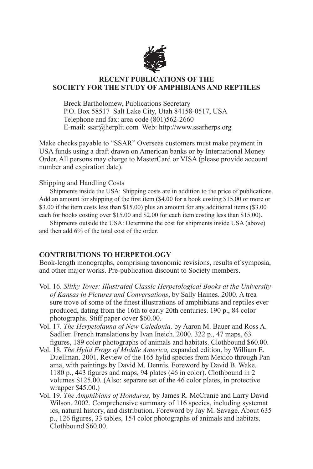

 Breck Bartholomew, Publications Secretary P.O. Box 58517 Salt Lake City, Utah 84158-0517, USA Telephone and fax: area code (801)562-2660 E-mail: ssar@herplit.com Web: http://www.ssarherps.org

Make checks payable to "SSAR" Overseas customers must make payment in USA funds using a draft drawn on American banks or by International Money Order. All persons may charge to MasterCard or VISA (please provide account number and expiration date).

### Shipping and Handling Costs

Shipments inside the USA: Shipping costs are in addition to the price of publications. Add an amount for shipping of the first item (\$4.00 for a book costing \$15.00 or more or \$3.00 if the item costs less than \$15.00) plus an amount for any additional items (\$3.00 each for books costing over \$15.00 and \$2.00 for each item costing less than \$15.00).

Shipments outside the USA: Determine the cost for shipments inside USA (above) and then add 6% of the total cost of the order.

# **CONTRIBUTIONS TO HERPETOLOGY**

Book-length monographs, comprising taxonomic revisions, results of symposia, and other major works. Pre-publication discount to Society members.

- Vol. 16. *Slithy Toves: Illustrated Classic Herpetological Books at the University of Kansas in Pictures and Conversations*, by Sally Haines. 2000. A trea sure trove of some of the finest illustrations of amphibians and reptiles ever produced, dating from the 16th to early 20th centuries. 190 p., 84 color photographs. Stiff paper cover \$60.00.
- Vol. 17. *The Herpetofauna of New Caledonia,* by Aaron M. Bauer and Ross A. Sadlier. French translations by Ivan Ineich. 2000. 322 p., 47 maps, 63 figures, 189 color photographs of animals and habitats. Clothbound \$60.00.
- Vol. 18. *The Hylid Frogs of Middle America,* expanded edition, by William E. Duellman. 2001. Review of the 165 hylid species from Mexico through Pan ama, with paintings by David M. Dennis. Foreword by David B. Wake. 1180 p., 443 figures and maps, 94 plates (46 in color). Clothbound in 2 volumes \$125.00. (Also: separate set of the 46 color plates, in protective wrapper \$45.00.)
- Vol. 19. *The Amphibians of Honduras,* by James R. McCranie and Larry David Wilson. 2002. Comprehensive summary of 116 species, including systemat ics, natural history, and distribution. Foreword by Jay M. Savage. About 635 p., 126 figures, 33 tables, 154 color photographs of animals and habitats. Clothbound \$60.00.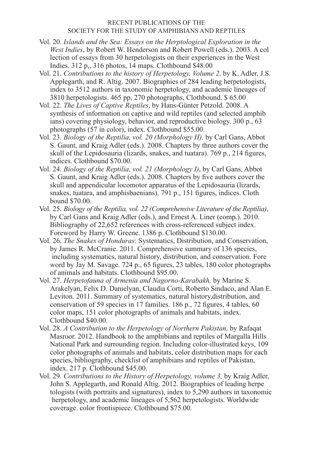- Vol. 20. *Islands and the Sea: Essays on the Herptological Exploration in the West Indies*, by Robert W. Henderson and Robert Powell (eds.). 2003. A col lection of essays from 30 herpetologists on their experiences in the West Indies. 312 p,, 316 photos, 14 maps. Clothbound \$48.00
- Vol. 21. *Contributions to the history of Herpetology, Volume 2*. by K. Adler, J.S. Applegarth, and R. Altig. 2007. Biographies of 284 leading herpetologists, index to 3512 authors in taxonomic herpetology, and academic lineages of 3810 herpetologists. 465 pp, 270 photographs, Clothbound. \$ 65.00
- Vol. 22. *The Lives of Captive Reptiles*, by Hans-Günter Petzold. 2008. A synthesis of information on captive and wild reptiles (and selected amphib ians) covering physiology, behavior, and reproductive biology. 300 p., 63 photographs (57 in color), index. Clothbound \$55.00.
- Vol. 23. *Biology of the Reptilia, vol. 20 (Morphology H),* by Carl Gans, Abbot S. Gaunt, and Kraig Adler (eds.). 2008. Chapters by three authors cover the skull of the Lepidosauria (lizards, snakes, and tuatara). 769 p., 214 figures, indices. Clothbound \$70.00.
- Vol. 24. *Biology of the Reptilia, vol. 21 (Morphology I)*, by Carl Gans, Abbot S. Gaunt, and Kraig Adler (eds.). 2008. Chapters by five authors cover the skull and appendicular locomotor apparatus of the Lepidosauria (lizards, snakes, tuatara, and amphisbaenians). 791 p., 151 figures, indices. Cloth bound \$70.00.
- Vol. 25. *Biology of the Reptilia, vol. 22 (Comprehensive Literature of the Reptilia)*, by Carl Gans and Kraig Adler (eds.), and Ernest A. Liner (comp.). 2010. Bibliography of 22,652 references with cross-referenced subject index. Foreword by Harry W. Greene. 1386 p. Clothbound \$130.00.
- Vol. 26. *The Snakes of Honduras*: Systematics, Distribution, and Conservation, by James R. McCranie. 2011. Comprehensive summary of 136 species, including systematics, natural history, distribution, and conservation. Fore word by Jay M. Savage. 724 p., 65 figures, 23 tables, 180 color photographs of animals and habitats. Clothbound \$95.00.
- Vol. 27. *Herpetofauna of Armenia and Nagorno-Karabakh,* by Marine S. Arakelyan, Felix D. Danielyan, Claudia Corti, Roberto Sindaco, and Alan E. Leviton. 2011. Summary of systematics, natural history,distribution, and conservation of 59 species in 17 families. 186 p., 72 figures, 4 tables, 60 color maps, 151 color photographs of animals and habitats, index. Clothbound \$40.00.
- Vol. 28. *A Contribution to the Herpetology of Northern Pakistan,* by Rafaqat Masroor. 2012. Handbook to the amphibians and reptiles of Margalla Hills National Park and surrounding region. Including color-illustrated keys, 109 color photographs of animals and habitats, color distribution maps for each species, bibliography, checklist of amphibians and reptiles of Pakistan, index. 217 p. Clothbound \$45.00.
- Vol. 29. *Contributions to the History of Herpetology, volume 3,* by Kraig Adler, John S. Applegarth, and Ronald Altig. 2012. Biographies of leading herpe tologists (with portraits and signatures), index to  $5,290$  authors in taxonomic herpetology, and academic lineages of 5,562 herpetologists. Worldwide coverage. color frontispiece. Clothbound \$75.00.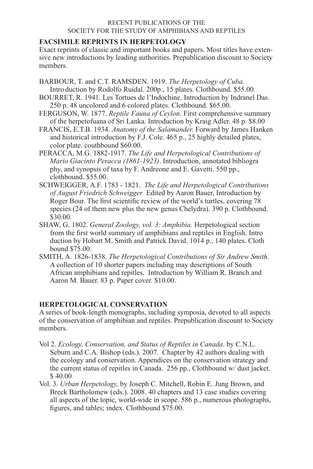# **FACSIMILE REPRINTS IN HERPETOLOGY**

Exact reprints of classic and important books and papers. Most titles have extensive new introductions by leading authorities. Prepublication discount to Society members.

- BARBOUR, T. and C.T. RAMSDEN. 1919. *The Herpetology of Cuba.* Intro duction by Rodolfo Ruidal. 200p., 15 plates. Clothbound. \$55.00.
- BOURRET, R. 1941. Les Tortues de l'Indochine. Introduction by Indranel Das. 250 p. 48 uncolored and 6 colored plates. Clothbound. \$65.00.
- FERGUSON, W. 1877. *Reptile Fauna of Ceylon*. First comprehensive summary of the herpetofuana of Sri Lanka. Introduction by Kraig Adler. 48 p. \$8.00
- FRANCIS, E.T.B. 1934. *Anatomy of the Salamander.* Forward by James Hanken and historical introduction by F.J. Cole. 465 p., 25 highly detailed plates, color plate. couthbound \$60.00.
- PERACCA, M.G. 1882-1917. *The Life and Herpetological Contributions of Mario Giacinto Peracca (1861-1923)*. Introduction, annotated bibliogra phy, and synopsis of taxa by F. Andreone and E. Gavetti. 550 pp., clothbound. \$55.00.
- SCHWEIGGER, A.F. 1783 1821. *The Life and Herpetological Contributions of August Friedrich Schweigger* Edited by Aaron Bauer, Introduction by Roger Bour. The first scientific review of the world's turtles, covering 78 species (24 of them new plus the new genus Chelydra). 390 p. Clothbound. \$30.00.
- SHAW, G. 1802. *General Zoology, vol. 3: Amphibia.* Herpetological section from the first world summary of amphibians and reptiles in English. Intro duction by Hobart M. Smith and Patrick David. 1014 p., 140 plates. Cloth bound \$75.00.
- SMITH, A. 1826-1838. *The Herpetological Contributions of Sir Andrew Smith.* A collection of 10 shorter papers including may descriptions of South African amphibians and repitles. Introduction by William R. Branch and Aaron M. Bauer. 83 p. Paper cover. \$10.00.

# **HERPETOLOGICAL CONSERVATION**

A series of book-length monographs, including symposia, devoted to all aspects of the conservation of amphibian and reptiles. Prepublication discount to Society members.

- Vol 2. *Ecology, Conservation, and Status of Reptiles in Canada*. by C.N.L. Seburn and C.A. Bishop (eds.). 2007. Chapter by 42 authors dealing with the ecology and conservation. Appendices on the conservation strategy and the current status of repitles in Canada. 256 pp., Clothbound w/ dust jacket. \$ 40.00
- Vol. 3. *Urban Herpetology,* by Joseph C. Mitchell, Robin E. Jung Brown, and Breck Bartholomew (eds.). 2008. 40 chapters and 13 case studies covering all aspects of the topic, world-wide in scope. 586 p., numerous photographs, figures, and tables; index. Clothbound \$75.00.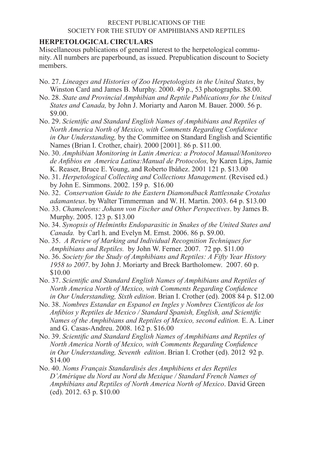# **HERPETOLOGICAL CIRCULARS**

Miscellaneous publications of general interest to the herpetological community. All numbers are paperbound, as issued. Prepublication discount to Society members.

- No. 27. *Lineages and Histories of Zoo Herpetologists in the United States*, by Winston Card and James B. Murphy. 2000. 49 p., 53 photographs. \$8.00.
- No. 28. *State and Provincial Amphibian and Reptile Publications for the United States and Canada,* by John J. Moriarty and Aaron M. Bauer. 2000. 56 p. \$9.00.
- No. 29. *Scientific and Standard English Names of Amphibians and Reptiles of North America North of Mexico, with Comments Regarding Confidence in Our Understanding,* by the Committee on Standard English and Scientific Names (Brian I. Crother, chair). 2000 [2001]. 86 p. \$11.00.
- No. 30. *Amphibian Monitoring in Latin America: a Protocol Manual/Monitoreo de Anfibios en America Latina:Manual de Protocolos,* by Karen Lips, Jamie K. Reaser, Bruce E. Young, and Roberto Ibáñez. 2001 121 p. \$13.00
- No. 31. *Herpetological Collecting and Collections Management.* (Revised ed.) by John E. Simmons. 2002. 159 p. \$16.00
- No. 32. *Conservation Guide to the Eastern Diamondback Rattlesnake Crotalus adamanteus*. by Walter Timmerman and W. H. Martin. 2003. 64 p. \$13.00
- No. 33. *Chameleons: Johann von Fischer and Other Perspectives*. by James B. Murphy. 2005. 123 p. \$13.00
- No. 34. *Synopsis of Helminths Endoparasitic in Snakes of the United States and Canada.* by Carl h. and Evelyn M. Ernst. 2006. 86 p. \$9.00.
- No. 35. *A Review of Marking and Individual Recognition Techniques for Amphibians and Reptiles.* by John W. Ferner. 2007. 72 pp. \$11.00
- No. 36. *Society for the Study of Amphibians and Reptiles: A Fifty Year History 1958 to 2007*. by John J. Moriarty and Breck Bartholomew. 2007. 60 p. \$10.00
- No. 37. *Scientific and Standard English Names of Amphibians and Reptiles of North America North of Mexico, with Comments Regarding Confidence in Our Understanding, Sixth edition*. Brian I. Crother (ed). 2008 84 p. \$12.00
- No. 38. *Nombres Estandar en Espanol en Ingles y Nombres Cientificos de los Anfibios y Reptiles de Mexico / Standard Spanish, English, and Scientific Names of the Amphibians and Reptiles of Mexico, second edition.* E. A. Liner and G. Casas-Andreu. 2008. 162 p. \$16.00
- No. 39. *Scientific and Standard English Names of Amphibians and Reptiles of North America North of Mexico, with Comments Regarding Confidence in Our Understanding, Seventh edition*. Brian I. Crother (ed). 2012 92 p. \$14.00
- No. 40. *Noms Français Standardisés des Amphibiens et des Reptiles D'Amérique du Nord au Nord du Mexique / Standard French Names of Amphibians and Reptiles of North America North of Mexico*. David Green (ed). 2012. 63 p. \$10.00